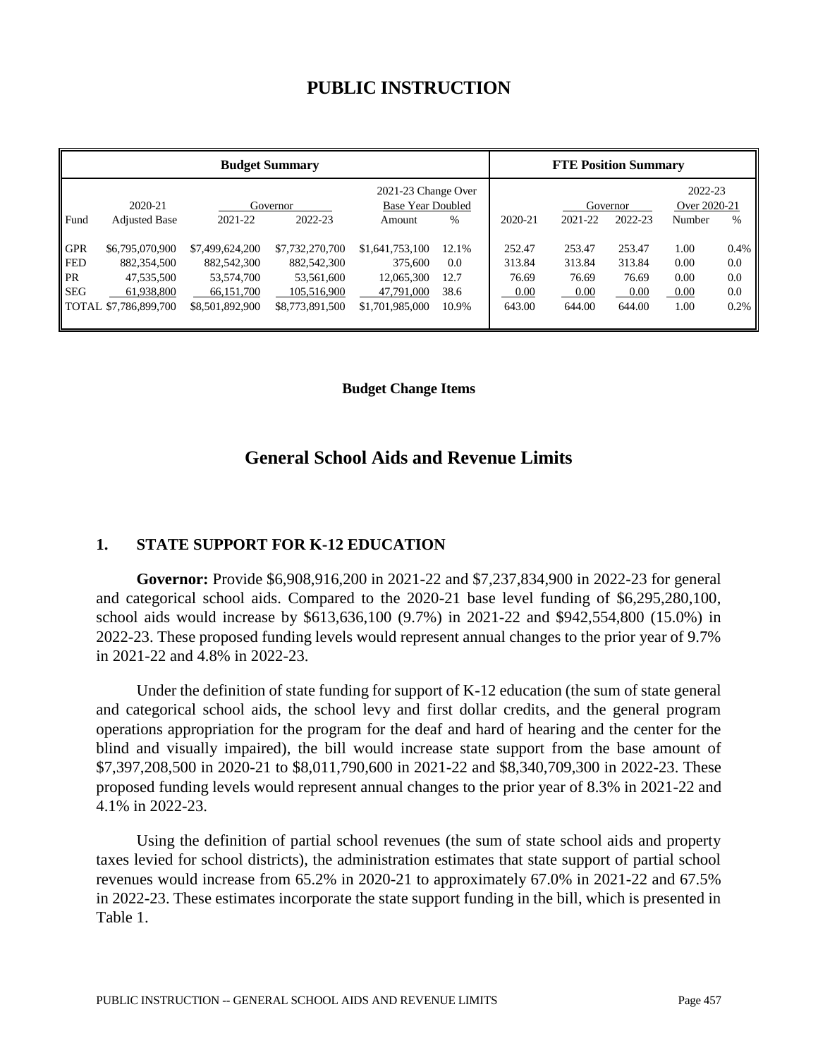# **PUBLIC INSTRUCTION**

| <b>Budget Summary</b>                               |                                                                                            |                                                                               |                                                                                |                                                                           | <b>FTE Position Summary</b>           |                                             |                                             |                                             |                                      |                                   |
|-----------------------------------------------------|--------------------------------------------------------------------------------------------|-------------------------------------------------------------------------------|--------------------------------------------------------------------------------|---------------------------------------------------------------------------|---------------------------------------|---------------------------------------------|---------------------------------------------|---------------------------------------------|--------------------------------------|-----------------------------------|
| Fund                                                | 2020-21<br><b>Adjusted Base</b>                                                            | 2021-22                                                                       | Governor<br>2022-23                                                            | 2021-23 Change Over<br><b>Base Year Doubled</b><br>Amount                 | %                                     | 2020-21                                     | 2021-22                                     | Governor<br>2022-23                         | 2022-23<br>Over 2020-21<br>Number    | $\frac{0}{0}$                     |
| <b>GPR</b><br><b>FED</b><br><b>PR</b><br><b>SEG</b> | \$6,795,070,900<br>882,354,500<br>47,535,500<br>61.938.800<br><b>TOTAL \$7.786.899.700</b> | \$7,499,624,200<br>882,542,300<br>53,574,700<br>66,151,700<br>\$8,501,892,900 | \$7,732,270,700<br>882,542,300<br>53,561,600<br>105.516.900<br>\$8,773,891,500 | \$1,641,753,100<br>375,600<br>12,065,300<br>47,791,000<br>\$1,701,985,000 | 12.1%<br>0.0<br>12.7<br>38.6<br>10.9% | 252.47<br>313.84<br>76.69<br>0.00<br>643.00 | 253.47<br>313.84<br>76.69<br>0.00<br>644.00 | 253.47<br>313.84<br>76.69<br>0.00<br>644.00 | 1.00<br>0.00<br>0.00<br>0.00<br>1.00 | 0.4%<br>0.0<br>0.0<br>0.0<br>0.2% |

#### **Budget Change Items**

## **General School Aids and Revenue Limits**

#### **1. STATE SUPPORT FOR K-12 EDUCATION**

**Governor:** Provide \$6,908,916,200 in 2021-22 and \$7,237,834,900 in 2022-23 for general and categorical school aids. Compared to the 2020-21 base level funding of \$6,295,280,100, school aids would increase by \$613,636,100 (9.7%) in 2021-22 and \$942,554,800 (15.0%) in 2022-23. These proposed funding levels would represent annual changes to the prior year of 9.7% in 2021-22 and 4.8% in 2022-23.

Under the definition of state funding for support of K-12 education (the sum of state general and categorical school aids, the school levy and first dollar credits, and the general program operations appropriation for the program for the deaf and hard of hearing and the center for the blind and visually impaired), the bill would increase state support from the base amount of \$7,397,208,500 in 2020-21 to \$8,011,790,600 in 2021-22 and \$8,340,709,300 in 2022-23. These proposed funding levels would represent annual changes to the prior year of 8.3% in 2021-22 and 4.1% in 2022-23.

Using the definition of partial school revenues (the sum of state school aids and property taxes levied for school districts), the administration estimates that state support of partial school revenues would increase from 65.2% in 2020-21 to approximately 67.0% in 2021-22 and 67.5% in 2022-23. These estimates incorporate the state support funding in the bill, which is presented in Table 1.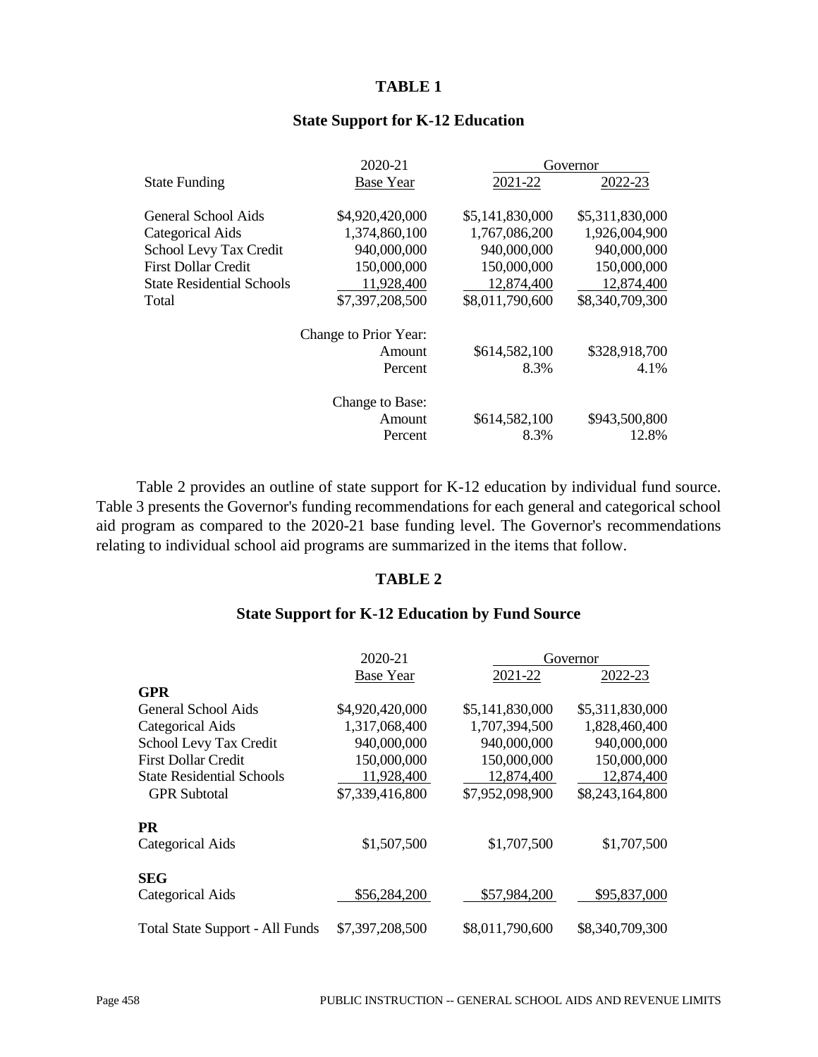#### **TABLE 1**

|                                  | 2020-21               | Governor        |                 |  |  |
|----------------------------------|-----------------------|-----------------|-----------------|--|--|
| <b>State Funding</b>             | <b>Base Year</b>      | 2021-22         | 2022-23         |  |  |
| <b>General School Aids</b>       | \$4,920,420,000       | \$5,141,830,000 | \$5,311,830,000 |  |  |
| Categorical Aids                 | 1,374,860,100         | 1,767,086,200   | 1,926,004,900   |  |  |
| <b>School Levy Tax Credit</b>    | 940,000,000           | 940,000,000     | 940,000,000     |  |  |
| <b>First Dollar Credit</b>       | 150,000,000           | 150,000,000     | 150,000,000     |  |  |
| <b>State Residential Schools</b> | 11,928,400            | 12,874,400      | 12,874,400      |  |  |
| Total                            | \$7,397,208,500       | \$8,011,790,600 | \$8,340,709,300 |  |  |
|                                  | Change to Prior Year: |                 |                 |  |  |
|                                  | Amount                | \$614,582,100   | \$328,918,700   |  |  |
|                                  | Percent               | 8.3%            | 4.1%            |  |  |
|                                  | Change to Base:       |                 |                 |  |  |
|                                  | Amount                | \$614,582,100   | \$943,500,800   |  |  |
|                                  | Percent               | 8.3%            | 12.8%           |  |  |
|                                  |                       |                 |                 |  |  |

## **State Support for K-12 Education**

Table 2 provides an outline of state support for K-12 education by individual fund source. Table 3 presents the Governor's funding recommendations for each general and categorical school aid program as compared to the 2020-21 base funding level. The Governor's recommendations relating to individual school aid programs are summarized in the items that follow.

#### **TABLE 2**

## **State Support for K-12 Education by Fund Source**

|                                        | 2020-21          |                 | Governor        |
|----------------------------------------|------------------|-----------------|-----------------|
|                                        | <b>Base Year</b> | 2021-22         | 2022-23         |
| <b>GPR</b>                             |                  |                 |                 |
| General School Aids                    | \$4,920,420,000  | \$5,141,830,000 | \$5,311,830,000 |
| <b>Categorical Aids</b>                | 1,317,068,400    | 1,707,394,500   | 1,828,460,400   |
| School Levy Tax Credit                 | 940,000,000      | 940,000,000     | 940,000,000     |
| <b>First Dollar Credit</b>             | 150,000,000      | 150,000,000     | 150,000,000     |
| <b>State Residential Schools</b>       | 11,928,400       | 12,874,400      | 12,874,400      |
| <b>GPR</b> Subtotal                    | \$7,339,416,800  | \$7,952,098,900 | \$8,243,164,800 |
| <b>PR</b>                              |                  |                 |                 |
| Categorical Aids                       | \$1,507,500      | \$1,707,500     | \$1,707,500     |
| <b>SEG</b>                             |                  |                 |                 |
| <b>Categorical Aids</b>                | \$56,284,200     | \$57,984,200    | \$95,837,000    |
| <b>Total State Support - All Funds</b> | \$7,397,208,500  | \$8,011,790,600 | \$8,340,709,300 |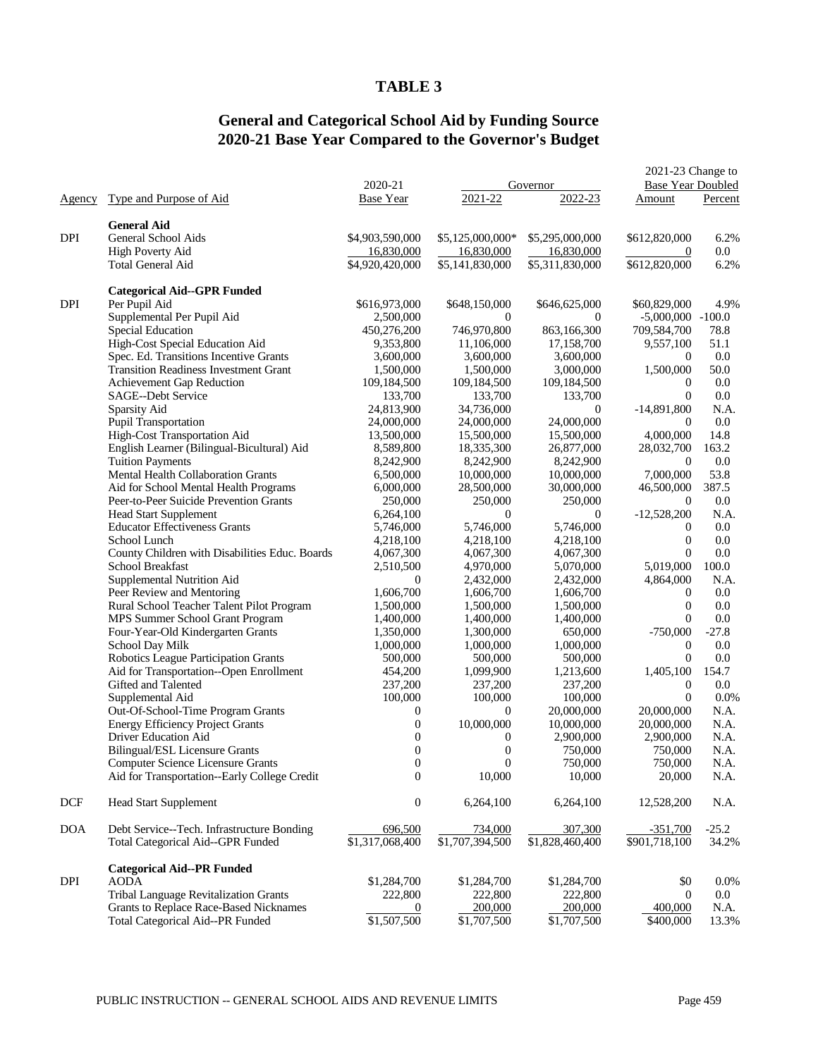#### **TABLE 3**

## **General and Categorical School Aid by Funding Source 2020-21 Base Year Compared to the Governor's Budget**

|            |                                                                           | 2020-21                       |                               | Governor                      | 2021-23 Change to<br><b>Base Year Doubled</b> |                 |
|------------|---------------------------------------------------------------------------|-------------------------------|-------------------------------|-------------------------------|-----------------------------------------------|-----------------|
| Agency     | Type and Purpose of Aid                                                   | <b>Base Year</b>              | 2021-22                       | 2022-23                       | Amount                                        | Percent         |
|            |                                                                           |                               |                               |                               |                                               |                 |
|            | <b>General Aid</b>                                                        |                               |                               |                               |                                               |                 |
| <b>DPI</b> | General School Aids                                                       | \$4,903,590,000               | \$5,125,000,000*              | \$5,295,000,000               | \$612,820,000                                 | 6.2%<br>$0.0\,$ |
|            | High Poverty Aid<br><b>Total General Aid</b>                              | 16,830,000<br>\$4,920,420,000 | 16,830,000<br>\$5,141,830,000 | 16,830,000<br>\$5,311,830,000 | $\theta$<br>\$612,820,000                     | 6.2%            |
|            |                                                                           |                               |                               |                               |                                               |                 |
|            | <b>Categorical Aid--GPR Funded</b>                                        |                               |                               |                               |                                               |                 |
| <b>DPI</b> | Per Pupil Aid                                                             | \$616,973,000                 | \$648,150,000                 | \$646,625,000                 | \$60,829,000                                  | 4.9%            |
|            | Supplemental Per Pupil Aid                                                | 2,500,000                     | $\theta$                      | $\Omega$                      | $-5,000,000$ $-100.0$                         |                 |
|            | <b>Special Education</b>                                                  | 450,276,200                   | 746,970,800                   | 863,166,300                   | 709,584,700                                   | 78.8            |
|            | High-Cost Special Education Aid<br>Spec. Ed. Transitions Incentive Grants | 9,353,800                     | 11,106,000                    | 17,158,700                    | 9,557,100                                     | 51.1            |
|            | <b>Transition Readiness Investment Grant</b>                              | 3,600,000                     | 3,600,000                     | 3,600,000<br>3,000,000        | $\overline{0}$<br>1,500,000                   | 0.0<br>50.0     |
|            |                                                                           | 1,500,000                     | 1,500,000                     |                               | $\overline{0}$                                | 0.0             |
|            | Achievement Gap Reduction<br>SAGE--Debt Service                           | 109,184,500<br>133,700        | 109,184,500<br>133,700        | 109,184,500<br>133,700        | $\Omega$                                      | 0.0             |
|            | Sparsity Aid                                                              | 24,813,900                    | 34,736,000                    | $\overline{0}$                | $-14,891,800$                                 | N.A.            |
|            | <b>Pupil Transportation</b>                                               | 24,000,000                    | 24,000,000                    | 24,000,000                    | $\overline{0}$                                | 0.0             |
|            | High-Cost Transportation Aid                                              | 13,500,000                    | 15,500,000                    | 15,500,000                    | 4,000,000                                     | 14.8            |
|            | English Learner (Bilingual-Bicultural) Aid                                | 8,589,800                     | 18,335,300                    | 26,877,000                    | 28,032,700                                    | 163.2           |
|            | <b>Tuition Payments</b>                                                   | 8,242,900                     | 8,242,900                     | 8,242,900                     | $\overline{0}$                                | 0.0             |
|            | Mental Health Collaboration Grants                                        | 6,500,000                     | 10,000,000                    | 10,000,000                    | 7,000,000                                     | 53.8            |
|            | Aid for School Mental Health Programs                                     | 6,000,000                     | 28,500,000                    | 30,000,000                    | 46,500,000                                    | 387.5           |
|            | Peer-to-Peer Suicide Prevention Grants                                    | 250,000                       | 250,000                       | 250,000                       | $\overline{0}$                                | 0.0             |
|            | <b>Head Start Supplement</b>                                              | 6,264,100                     | $\theta$                      | $\mathbf{0}$                  | $-12,528,200$                                 | N.A.            |
|            | <b>Educator Effectiveness Grants</b>                                      | 5,746,000                     | 5,746,000                     | 5,746,000                     | $\overline{0}$                                | 0.0             |
|            | School Lunch                                                              | 4,218,100                     | 4,218,100                     | 4,218,100                     | $\boldsymbol{0}$                              | 0.0             |
|            | County Children with Disabilities Educ. Boards                            | 4,067,300                     | 4,067,300                     | 4,067,300                     | $\overline{0}$                                | 0.0             |
|            | School Breakfast                                                          | 2,510,500                     | 4,970,000                     | 5,070,000                     | 5,019,000                                     | 100.0           |
|            | Supplemental Nutrition Aid                                                | $\mathbf{0}$                  | 2,432,000                     | 2,432,000                     | 4,864,000                                     | N.A.            |
|            | Peer Review and Mentoring                                                 | 1,606,700                     | 1,606,700                     | 1,606,700                     | $\mathbf{0}$                                  | 0.0             |
|            | Rural School Teacher Talent Pilot Program                                 | 1,500,000                     | 1,500,000                     | 1,500,000                     | $\overline{0}$                                | 0.0             |
|            | MPS Summer School Grant Program                                           | 1,400,000                     | 1,400,000                     | 1,400,000                     | $\Omega$                                      | 0.0             |
|            | Four-Year-Old Kindergarten Grants                                         | 1,350,000                     | 1,300,000                     | 650,000                       | $-750,000$                                    | $-27.8$         |
|            | School Day Milk                                                           | 1,000,000                     | 1,000,000                     | 1,000,000                     | $\overline{0}$                                | 0.0             |
|            | Robotics League Participation Grants                                      | 500,000                       | 500,000                       | 500,000                       | $\theta$                                      | 0.0             |
|            | Aid for Transportation--Open Enrollment                                   | 454,200                       | 1,099,900                     | 1,213,600                     | 1,405,100                                     | 154.7           |
|            | Gifted and Talented                                                       | 237,200                       | 237,200                       | 237,200                       | $\mathbf{0}$                                  | 0.0             |
|            | Supplemental Aid                                                          | 100,000                       | 100,000                       | 100,000                       | $\overline{0}$                                | 0.0%            |
|            | Out-Of-School-Time Program Grants                                         | $\boldsymbol{0}$              | $\overline{0}$                | 20,000,000                    | 20,000,000                                    | N.A.            |
|            | <b>Energy Efficiency Project Grants</b>                                   | $\boldsymbol{0}$              | 10,000,000                    | 10,000,000                    | 20,000,000                                    | N.A.            |
|            | <b>Driver Education Aid</b>                                               | $\boldsymbol{0}$              | $\boldsymbol{0}$              | 2,900,000                     | 2,900,000                                     | N.A.            |
|            | <b>Bilingual/ESL Licensure Grants</b>                                     | $\boldsymbol{0}$              | $\boldsymbol{0}$              | 750,000                       | 750,000                                       | N.A.            |
|            | Computer Science Licensure Grants                                         | $\boldsymbol{0}$              | 0                             | 750,000                       | 750,000                                       | N.A.            |
|            | Aid for Transportation--Early College Credit                              | $\boldsymbol{0}$              | 10,000                        | 10,000                        | 20,000                                        | N.A.            |
| <b>DCF</b> | <b>Head Start Supplement</b>                                              | $\boldsymbol{0}$              | 6,264,100                     | 6,264,100                     | 12,528,200                                    | N.A.            |
| <b>DOA</b> | Debt Service--Tech. Infrastructure Bonding                                | 696,500                       | 734,000                       | 307,300                       | $-351,700$                                    | $-25.2$         |
|            | <b>Total Categorical Aid--GPR Funded</b>                                  | \$1,317,068,400               | \$1,707,394,500               | \$1,828,460,400               | \$901,718,100                                 | 34.2%           |
|            | <b>Categorical Aid--PR Funded</b>                                         |                               |                               |                               |                                               |                 |
| DPI        | <b>AODA</b><br>Tribal Language Revitalization Grants                      | \$1,284,700                   | \$1,284,700                   | \$1,284,700<br>222,800        | \$0<br>$\mathbf{0}$                           | 0.0%<br>$0.0\,$ |
|            | Grants to Replace Race-Based Nicknames                                    | 222,800                       | 222,800<br>200,000            | 200,000                       | 400,000                                       | N.A.            |
|            | Total Categorical Aid--PR Funded                                          | 0<br>\$1,507,500              | \$1,707,500                   | \$1,707,500                   | \$400,000                                     | 13.3%           |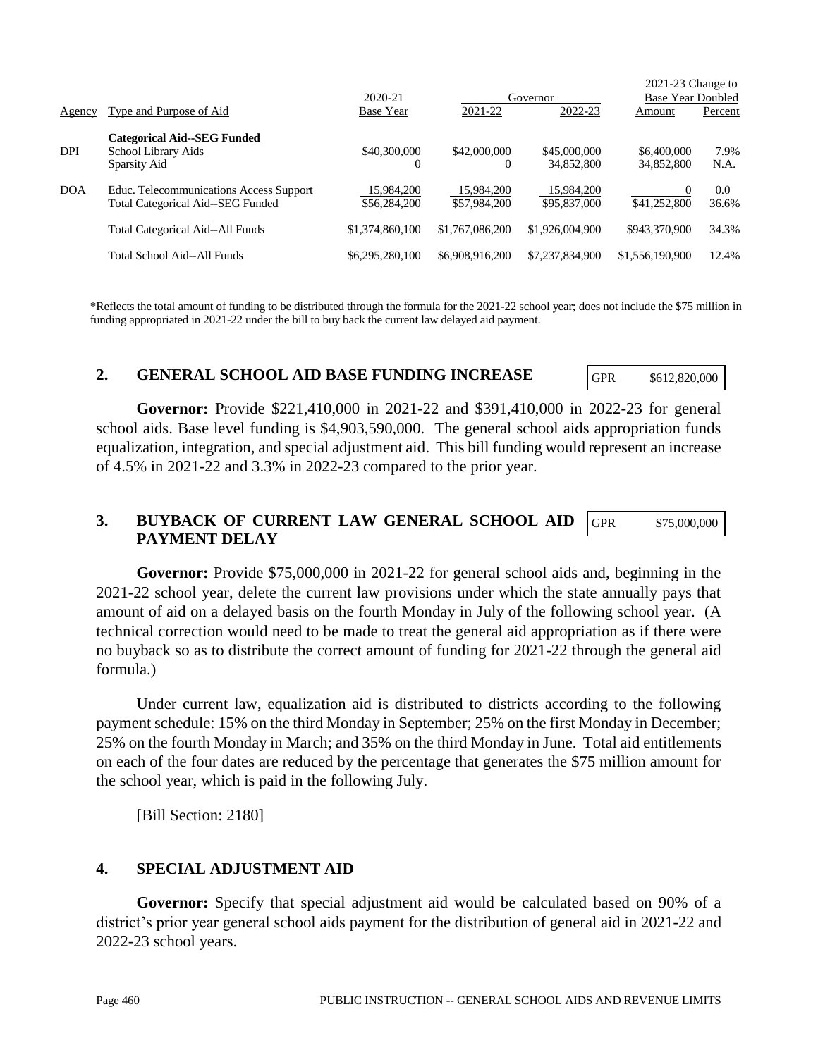| DPI        | <b>Categorical Aid--SEG Funded</b><br>School Library Aids<br>Sparsity Aid                                                                        | \$40,300,000<br>$\Omega$   | \$42,000,000               | \$45,000,000<br>34,852,800 | \$6,400,000<br>34,852,800 | 7.9%<br>N.A. |
|------------|--------------------------------------------------------------------------------------------------------------------------------------------------|----------------------------|----------------------------|----------------------------|---------------------------|--------------|
| <b>DOA</b> | Educ. Telecommunications Access Support<br>Total Categorical Aid--SEG Funded                                                                     | 15,984,200<br>\$56,284,200 | 15.984.200<br>\$57,984,200 | 15.984.200<br>\$95,837,000 | 0<br>\$41,252,800         | 0.0<br>36.6% |
|            | <b>Total Categorical Aid--All Funds</b>                                                                                                          | \$1,374,860,100            | \$1,767,086,200            | \$1,926,004,900            | \$943,370,900             | 34.3%        |
|            | Total School Aid--All Funds                                                                                                                      | \$6,295,280,100            | \$6,908,916,200            | \$7,237,834,900            | \$1,556,190,900           | 12.4%        |
|            | $*Defecto the total amount of fundamental thought of the ground, the formula for the 2021-22 global reason, does not include the 975 million in$ |                            |                            |                            |                           |              |

Agency Type and Purpose of Aid Base Year 2021-22 2022-23 Amount Percent

Reflects the total amount of funding to be distributed through the formula for the 2021-22 school year; does not include the \$75 million in funding appropriated in 2021-22 under the bill to buy back the current law delayed aid payment.

#### **2. GENERAL SCHOOL AID BASE FUNDING INCREASE**

GPR \$612,820,000

2021-23 Change to

2020-21 Governor Base Year Doubled

**Governor:** Provide \$221,410,000 in 2021-22 and \$391,410,000 in 2022-23 for general school aids. Base level funding is \$4,903,590,000. The general school aids appropriation funds equalization, integration, and special adjustment aid. This bill funding would represent an increase of 4.5% in 2021-22 and 3.3% in 2022-23 compared to the prior year.

#### **3. BUYBACK OF CURRENT LAW GENERAL SCHOOL AID PAYMENT DELAY** GPR \$75,000,000

**Governor:** Provide \$75,000,000 in 2021-22 for general school aids and, beginning in the 2021-22 school year, delete the current law provisions under which the state annually pays that amount of aid on a delayed basis on the fourth Monday in July of the following school year. (A technical correction would need to be made to treat the general aid appropriation as if there were no buyback so as to distribute the correct amount of funding for 2021-22 through the general aid formula.)

Under current law, equalization aid is distributed to districts according to the following payment schedule: 15% on the third Monday in September; 25% on the first Monday in December; 25% on the fourth Monday in March; and 35% on the third Monday in June. Total aid entitlements on each of the four dates are reduced by the percentage that generates the \$75 million amount for the school year, which is paid in the following July.

[Bill Section: 2180]

## **4. SPECIAL ADJUSTMENT AID**

**Governor:** Specify that special adjustment aid would be calculated based on 90% of a district's prior year general school aids payment for the distribution of general aid in 2021-22 and 2022-23 school years.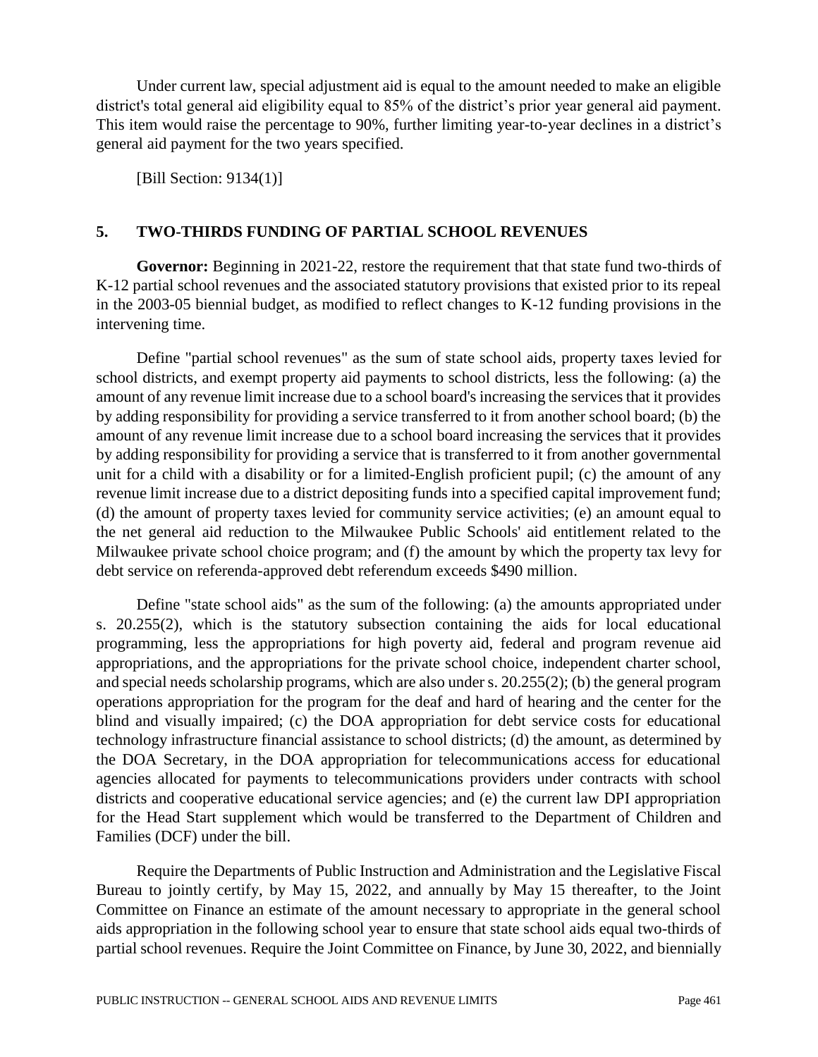Under current law, special adjustment aid is equal to the amount needed to make an eligible district's total general aid eligibility equal to 85% of the district's prior year general aid payment. This item would raise the percentage to 90%, further limiting year-to-year declines in a district's general aid payment for the two years specified.

[Bill Section: 9134(1)]

## **5. TWO-THIRDS FUNDING OF PARTIAL SCHOOL REVENUES**

Governor: Beginning in 2021-22, restore the requirement that that state fund two-thirds of K-12 partial school revenues and the associated statutory provisions that existed prior to its repeal in the 2003-05 biennial budget, as modified to reflect changes to K-12 funding provisions in the intervening time.

Define "partial school revenues" as the sum of state school aids, property taxes levied for school districts, and exempt property aid payments to school districts, less the following: (a) the amount of any revenue limit increase due to a school board's increasing the services that it provides by adding responsibility for providing a service transferred to it from another school board; (b) the amount of any revenue limit increase due to a school board increasing the services that it provides by adding responsibility for providing a service that is transferred to it from another governmental unit for a child with a disability or for a limited-English proficient pupil; (c) the amount of any revenue limit increase due to a district depositing funds into a specified capital improvement fund; (d) the amount of property taxes levied for community service activities; (e) an amount equal to the net general aid reduction to the Milwaukee Public Schools' aid entitlement related to the Milwaukee private school choice program; and (f) the amount by which the property tax levy for debt service on referenda-approved debt referendum exceeds \$490 million.

Define "state school aids" as the sum of the following: (a) the amounts appropriated under s. 20.255(2), which is the statutory subsection containing the aids for local educational programming, less the appropriations for high poverty aid, federal and program revenue aid appropriations, and the appropriations for the private school choice, independent charter school, and special needs scholarship programs, which are also under s. 20.255(2); (b) the general program operations appropriation for the program for the deaf and hard of hearing and the center for the blind and visually impaired; (c) the DOA appropriation for debt service costs for educational technology infrastructure financial assistance to school districts; (d) the amount, as determined by the DOA Secretary, in the DOA appropriation for telecommunications access for educational agencies allocated for payments to telecommunications providers under contracts with school districts and cooperative educational service agencies; and (e) the current law DPI appropriation for the Head Start supplement which would be transferred to the Department of Children and Families (DCF) under the bill.

Require the Departments of Public Instruction and Administration and the Legislative Fiscal Bureau to jointly certify, by May 15, 2022, and annually by May 15 thereafter, to the Joint Committee on Finance an estimate of the amount necessary to appropriate in the general school aids appropriation in the following school year to ensure that state school aids equal two-thirds of partial school revenues. Require the Joint Committee on Finance, by June 30, 2022, and biennially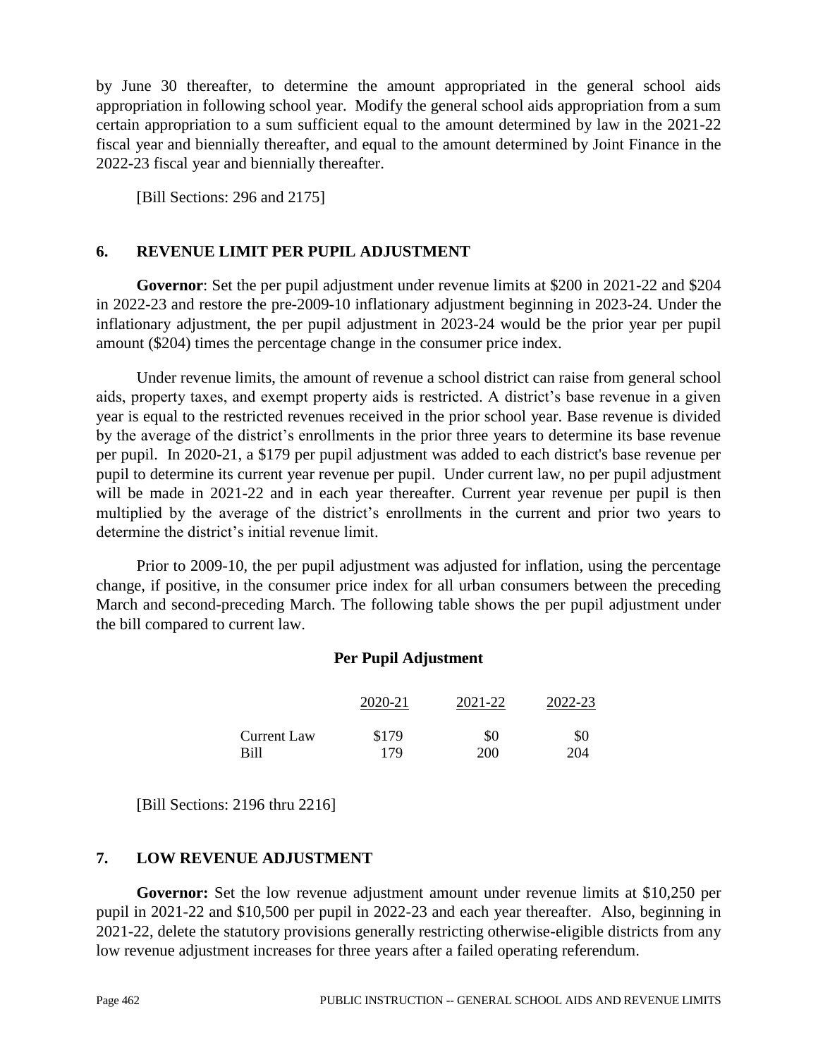by June 30 thereafter, to determine the amount appropriated in the general school aids appropriation in following school year. Modify the general school aids appropriation from a sum certain appropriation to a sum sufficient equal to the amount determined by law in the 2021-22 fiscal year and biennially thereafter, and equal to the amount determined by Joint Finance in the 2022-23 fiscal year and biennially thereafter.

[Bill Sections: 296 and 2175]

## **6. REVENUE LIMIT PER PUPIL ADJUSTMENT**

**Governor**: Set the per pupil adjustment under revenue limits at \$200 in 2021-22 and \$204 in 2022-23 and restore the pre-2009-10 inflationary adjustment beginning in 2023-24. Under the inflationary adjustment, the per pupil adjustment in 2023-24 would be the prior year per pupil amount (\$204) times the percentage change in the consumer price index.

Under revenue limits, the amount of revenue a school district can raise from general school aids, property taxes, and exempt property aids is restricted. A district's base revenue in a given year is equal to the restricted revenues received in the prior school year. Base revenue is divided by the average of the district's enrollments in the prior three years to determine its base revenue per pupil. In 2020-21, a \$179 per pupil adjustment was added to each district's base revenue per pupil to determine its current year revenue per pupil. Under current law, no per pupil adjustment will be made in 2021-22 and in each year thereafter. Current year revenue per pupil is then multiplied by the average of the district's enrollments in the current and prior two years to determine the district's initial revenue limit.

Prior to 2009-10, the per pupil adjustment was adjusted for inflation, using the percentage change, if positive, in the consumer price index for all urban consumers between the preceding March and second-preceding March. The following table shows the per pupil adjustment under the bill compared to current law.

## **Per Pupil Adjustment**

|             | 2020-21 | 2021-22 | 2022-23 |
|-------------|---------|---------|---------|
| Current Law | \$179   | \$0     | \$0     |
| <b>Bill</b> | 179     | 200     | 204     |

[Bill Sections: 2196 thru 2216]

## **7. LOW REVENUE ADJUSTMENT**

**Governor:** Set the low revenue adjustment amount under revenue limits at \$10,250 per pupil in 2021-22 and \$10,500 per pupil in 2022-23 and each year thereafter. Also, beginning in 2021-22, delete the statutory provisions generally restricting otherwise-eligible districts from any low revenue adjustment increases for three years after a failed operating referendum.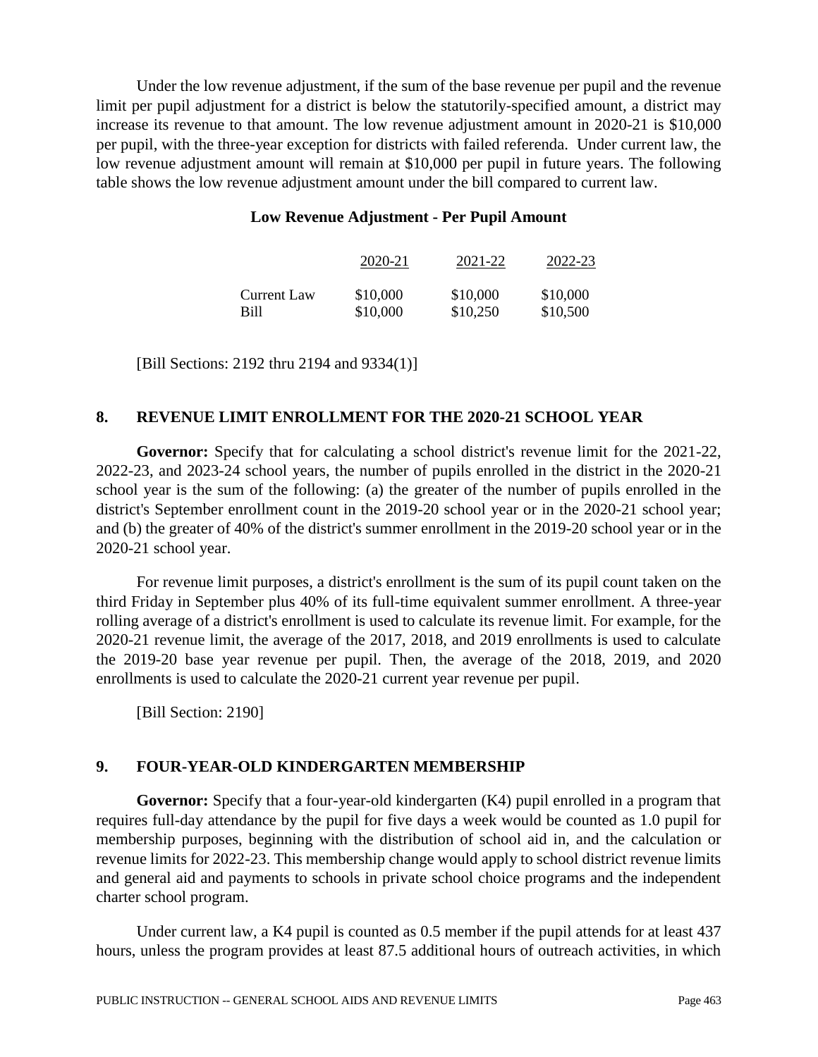Under the low revenue adjustment, if the sum of the base revenue per pupil and the revenue limit per pupil adjustment for a district is below the statutorily-specified amount, a district may increase its revenue to that amount. The low revenue adjustment amount in 2020-21 is \$10,000 per pupil, with the three-year exception for districts with failed referenda. Under current law, the low revenue adjustment amount will remain at \$10,000 per pupil in future years. The following table shows the low revenue adjustment amount under the bill compared to current law.

#### **Low Revenue Adjustment - Per Pupil Amount**

|             | 2020-21  | 2021-22  | 2022-23  |
|-------------|----------|----------|----------|
| Current Law | \$10,000 | \$10,000 | \$10,000 |
| Bill        | \$10,000 | \$10,250 | \$10,500 |

[Bill Sections: 2192 thru 2194 and 9334(1)]

## **8. REVENUE LIMIT ENROLLMENT FOR THE 2020-21 SCHOOL YEAR**

**Governor:** Specify that for calculating a school district's revenue limit for the 2021-22, 2022-23, and 2023-24 school years, the number of pupils enrolled in the district in the 2020-21 school year is the sum of the following: (a) the greater of the number of pupils enrolled in the district's September enrollment count in the 2019-20 school year or in the 2020-21 school year; and (b) the greater of 40% of the district's summer enrollment in the 2019-20 school year or in the 2020-21 school year.

For revenue limit purposes, a district's enrollment is the sum of its pupil count taken on the third Friday in September plus 40% of its full-time equivalent summer enrollment. A three-year rolling average of a district's enrollment is used to calculate its revenue limit. For example, for the 2020-21 revenue limit, the average of the 2017, 2018, and 2019 enrollments is used to calculate the 2019-20 base year revenue per pupil. Then, the average of the 2018, 2019, and 2020 enrollments is used to calculate the 2020-21 current year revenue per pupil.

[Bill Section: 2190]

## **9. FOUR-YEAR-OLD KINDERGARTEN MEMBERSHIP**

**Governor:** Specify that a four-year-old kindergarten (K4) pupil enrolled in a program that requires full-day attendance by the pupil for five days a week would be counted as 1.0 pupil for membership purposes, beginning with the distribution of school aid in, and the calculation or revenue limits for 2022-23. This membership change would apply to school district revenue limits and general aid and payments to schools in private school choice programs and the independent charter school program.

Under current law, a K4 pupil is counted as 0.5 member if the pupil attends for at least 437 hours, unless the program provides at least 87.5 additional hours of outreach activities, in which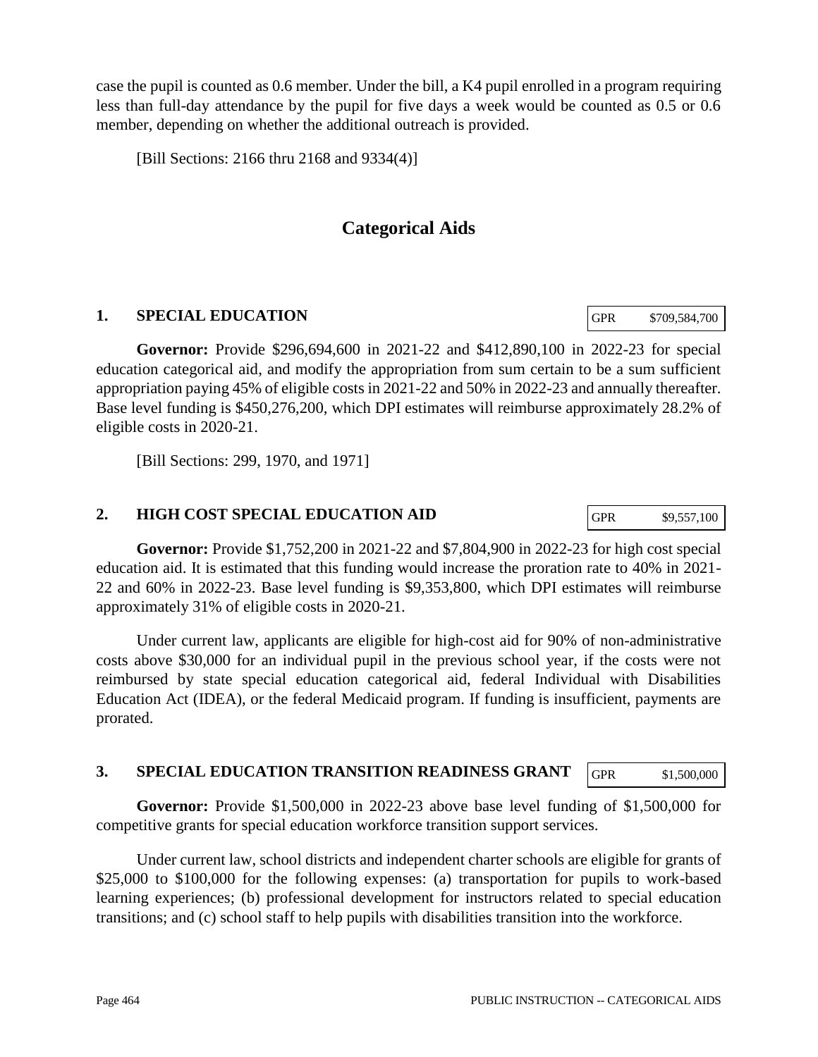case the pupil is counted as 0.6 member. Under the bill, a K4 pupil enrolled in a program requiring less than full-day attendance by the pupil for five days a week would be counted as 0.5 or 0.6 member, depending on whether the additional outreach is provided.

[Bill Sections: 2166 thru 2168 and 9334(4)]

## **Categorical Aids**

## **1. SPECIAL EDUCATION**

**Governor:** Provide \$296,694,600 in 2021-22 and \$412,890,100 in 2022-23 for special education categorical aid, and modify the appropriation from sum certain to be a sum sufficient appropriation paying 45% of eligible costs in 2021-22 and 50% in 2022-23 and annually thereafter. Base level funding is \$450,276,200, which DPI estimates will reimburse approximately 28.2% of eligible costs in 2020-21.

[Bill Sections: 299, 1970, and 1971]

## **2. HIGH COST SPECIAL EDUCATION AID**

**Governor:** Provide \$1,752,200 in 2021-22 and \$7,804,900 in 2022-23 for high cost special education aid. It is estimated that this funding would increase the proration rate to 40% in 2021- 22 and 60% in 2022-23. Base level funding is \$9,353,800, which DPI estimates will reimburse approximately 31% of eligible costs in 2020-21.

Under current law, applicants are eligible for high-cost aid for 90% of non-administrative costs above \$30,000 for an individual pupil in the previous school year, if the costs were not reimbursed by state special education categorical aid, federal Individual with Disabilities Education Act (IDEA), or the federal Medicaid program. If funding is insufficient, payments are prorated.

#### **3. SPECIAL EDUCATION TRANSITION READINESS GRANT** GPR \$1,500,000

**Governor:** Provide \$1,500,000 in 2022-23 above base level funding of \$1,500,000 for competitive grants for special education workforce transition support services.

Under current law, school districts and independent charter schools are eligible for grants of \$25,000 to \$100,000 for the following expenses: (a) transportation for pupils to work-based learning experiences; (b) professional development for instructors related to special education transitions; and (c) school staff to help pupils with disabilities transition into the workforce.

GPR \$709,584,700

GPR \$9,557,100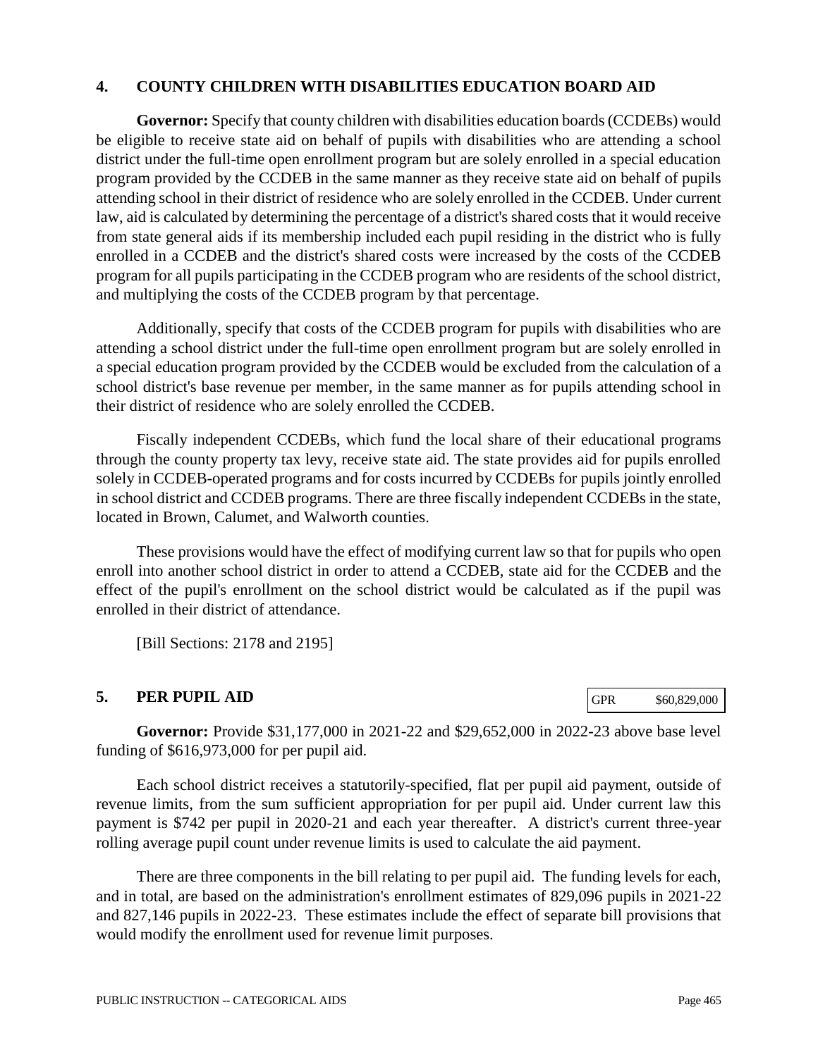#### **4. COUNTY CHILDREN WITH DISABILITIES EDUCATION BOARD AID**

**Governor:** Specify that county children with disabilities education boards (CCDEBs) would be eligible to receive state aid on behalf of pupils with disabilities who are attending a school district under the full-time open enrollment program but are solely enrolled in a special education program provided by the CCDEB in the same manner as they receive state aid on behalf of pupils attending school in their district of residence who are solely enrolled in the CCDEB. Under current law, aid is calculated by determining the percentage of a district's shared costs that it would receive from state general aids if its membership included each pupil residing in the district who is fully enrolled in a CCDEB and the district's shared costs were increased by the costs of the CCDEB program for all pupils participating in the CCDEB program who are residents of the school district, and multiplying the costs of the CCDEB program by that percentage.

Additionally, specify that costs of the CCDEB program for pupils with disabilities who are attending a school district under the full-time open enrollment program but are solely enrolled in a special education program provided by the CCDEB would be excluded from the calculation of a school district's base revenue per member, in the same manner as for pupils attending school in their district of residence who are solely enrolled the CCDEB.

Fiscally independent CCDEBs, which fund the local share of their educational programs through the county property tax levy, receive state aid. The state provides aid for pupils enrolled solely in CCDEB-operated programs and for costs incurred by CCDEBs for pupils jointly enrolled in school district and CCDEB programs. There are three fiscally independent CCDEBs in the state, located in Brown, Calumet, and Walworth counties.

These provisions would have the effect of modifying current law so that for pupils who open enroll into another school district in order to attend a CCDEB, state aid for the CCDEB and the effect of the pupil's enrollment on the school district would be calculated as if the pupil was enrolled in their district of attendance.

[Bill Sections: 2178 and 2195]

#### **5. PER PUPIL AID**

GPR \$60,829,000

**Governor:** Provide \$31,177,000 in 2021-22 and \$29,652,000 in 2022-23 above base level funding of \$616,973,000 for per pupil aid.

Each school district receives a statutorily-specified, flat per pupil aid payment, outside of revenue limits, from the sum sufficient appropriation for per pupil aid. Under current law this payment is \$742 per pupil in 2020-21 and each year thereafter. A district's current three-year rolling average pupil count under revenue limits is used to calculate the aid payment.

There are three components in the bill relating to per pupil aid. The funding levels for each, and in total, are based on the administration's enrollment estimates of 829,096 pupils in 2021-22 and 827,146 pupils in 2022-23. These estimates include the effect of separate bill provisions that would modify the enrollment used for revenue limit purposes.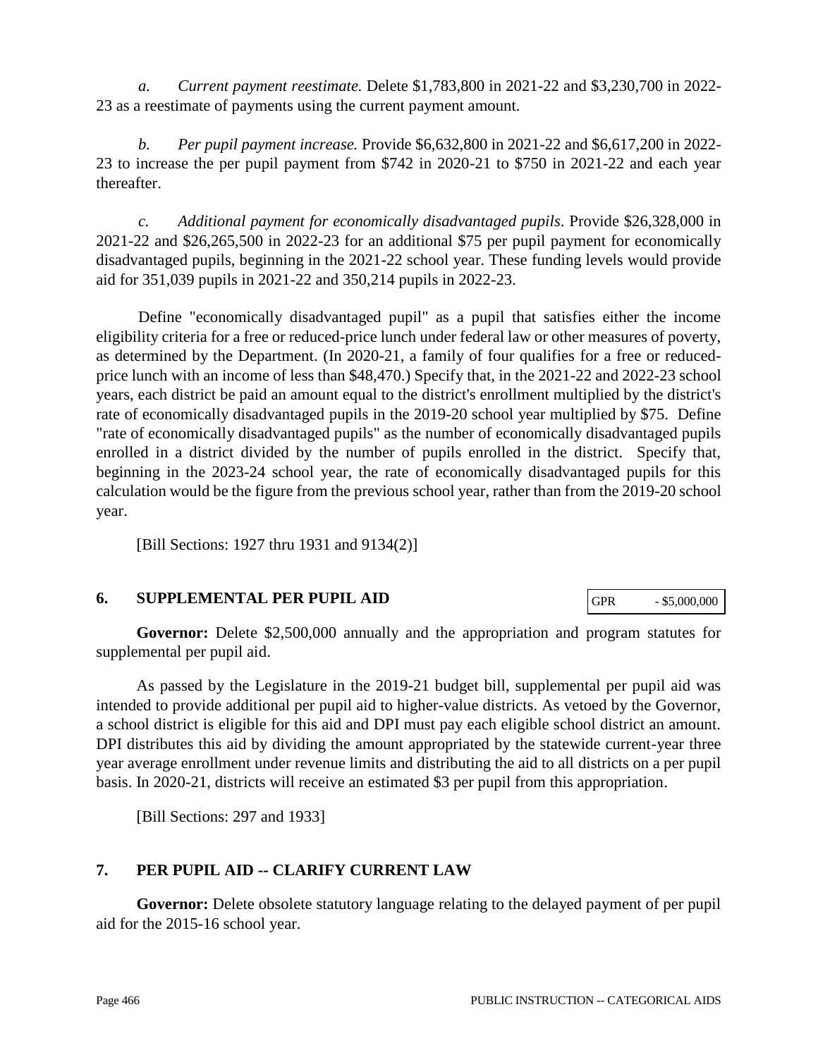*a. Current payment reestimate.* Delete \$1,783,800 in 2021-22 and \$3,230,700 in 2022- 23 as a reestimate of payments using the current payment amount.

*b. Per pupil payment increase.* Provide \$6,632,800 in 2021-22 and \$6,617,200 in 2022- 23 to increase the per pupil payment from \$742 in 2020-21 to \$750 in 2021-22 and each year thereafter.

*c. Additional payment for economically disadvantaged pupils*. Provide \$26,328,000 in 2021-22 and \$26,265,500 in 2022-23 for an additional \$75 per pupil payment for economically disadvantaged pupils, beginning in the 2021-22 school year. These funding levels would provide aid for 351,039 pupils in 2021-22 and 350,214 pupils in 2022-23.

Define "economically disadvantaged pupil" as a pupil that satisfies either the income eligibility criteria for a free or reduced-price lunch under federal law or other measures of poverty, as determined by the Department. (In 2020-21, a family of four qualifies for a free or reducedprice lunch with an income of less than \$48,470.) Specify that, in the 2021-22 and 2022-23 school years, each district be paid an amount equal to the district's enrollment multiplied by the district's rate of economically disadvantaged pupils in the 2019-20 school year multiplied by \$75. Define "rate of economically disadvantaged pupils" as the number of economically disadvantaged pupils enrolled in a district divided by the number of pupils enrolled in the district. Specify that, beginning in the 2023-24 school year, the rate of economically disadvantaged pupils for this calculation would be the figure from the previous school year, rather than from the 2019-20 school year.

[Bill Sections: 1927 thru 1931 and 9134(2)]

# **6. SUPPLEMENTAL PER PUPIL AID**

**Governor:** Delete \$2,500,000 annually and the appropriation and program statutes for supplemental per pupil aid.

As passed by the Legislature in the 2019-21 budget bill, supplemental per pupil aid was intended to provide additional per pupil aid to higher-value districts. As vetoed by the Governor, a school district is eligible for this aid and DPI must pay each eligible school district an amount. DPI distributes this aid by dividing the amount appropriated by the statewide current-year three year average enrollment under revenue limits and distributing the aid to all districts on a per pupil basis. In 2020-21, districts will receive an estimated \$3 per pupil from this appropriation.

[Bill Sections: 297 and 1933]

# **7. PER PUPIL AID -- CLARIFY CURRENT LAW**

**Governor:** Delete obsolete statutory language relating to the delayed payment of per pupil aid for the 2015-16 school year.

GPR  $-$  \$5,000,000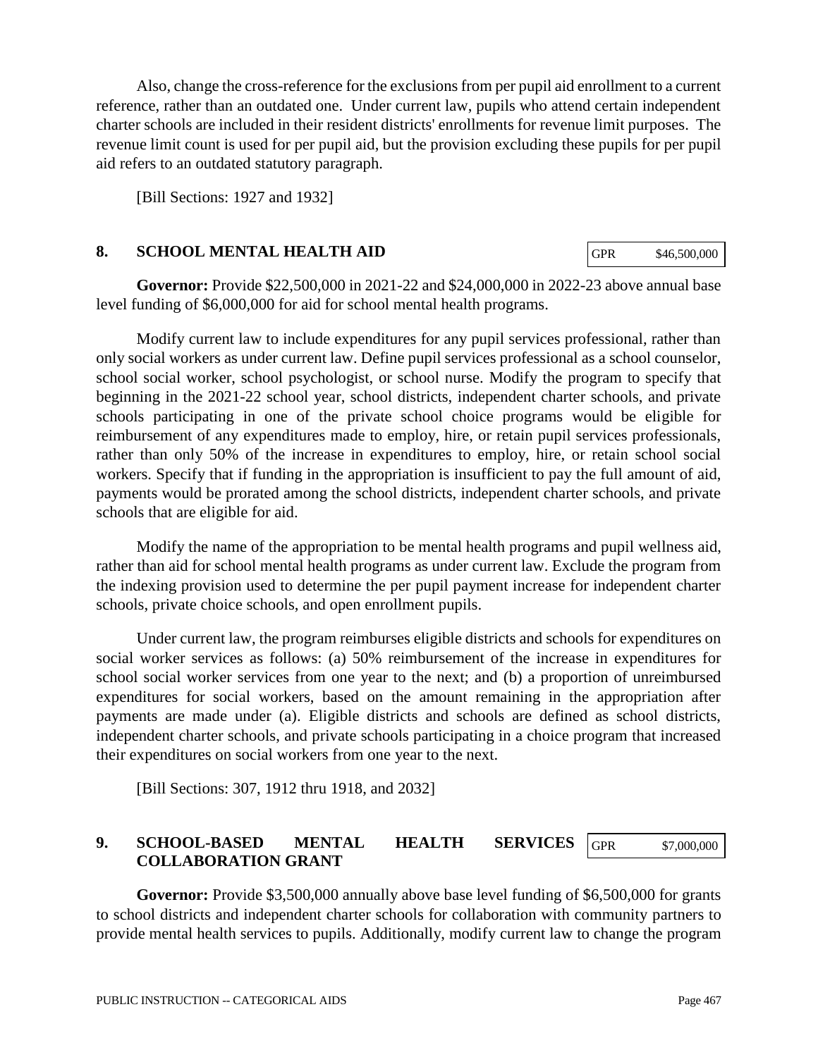Also, change the cross-reference for the exclusions from per pupil aid enrollment to a current reference, rather than an outdated one. Under current law, pupils who attend certain independent charter schools are included in their resident districts' enrollments for revenue limit purposes. The revenue limit count is used for per pupil aid, but the provision excluding these pupils for per pupil aid refers to an outdated statutory paragraph.

[Bill Sections: 1927 and 1932]

#### **8. SCHOOL MENTAL HEALTH AID**

GPR \$46,500,000

**Governor:** Provide \$22,500,000 in 2021-22 and \$24,000,000 in 2022-23 above annual base level funding of \$6,000,000 for aid for school mental health programs.

Modify current law to include expenditures for any pupil services professional, rather than only social workers as under current law. Define pupil services professional as a school counselor, school social worker, school psychologist, or school nurse. Modify the program to specify that beginning in the 2021-22 school year, school districts, independent charter schools, and private schools participating in one of the private school choice programs would be eligible for reimbursement of any expenditures made to employ, hire, or retain pupil services professionals, rather than only 50% of the increase in expenditures to employ, hire, or retain school social workers. Specify that if funding in the appropriation is insufficient to pay the full amount of aid, payments would be prorated among the school districts, independent charter schools, and private schools that are eligible for aid.

Modify the name of the appropriation to be mental health programs and pupil wellness aid, rather than aid for school mental health programs as under current law. Exclude the program from the indexing provision used to determine the per pupil payment increase for independent charter schools, private choice schools, and open enrollment pupils.

Under current law, the program reimburses eligible districts and schools for expenditures on social worker services as follows: (a) 50% reimbursement of the increase in expenditures for school social worker services from one year to the next; and (b) a proportion of unreimbursed expenditures for social workers, based on the amount remaining in the appropriation after payments are made under (a). Eligible districts and schools are defined as school districts, independent charter schools, and private schools participating in a choice program that increased their expenditures on social workers from one year to the next.

[Bill Sections: 307, 1912 thru 1918, and 2032]

#### **9. SCHOOL-BASED MENTAL HEALTH SERVICES COLLABORATION GRANT** GPR \$7,000,000

**Governor:** Provide \$3,500,000 annually above base level funding of \$6,500,000 for grants to school districts and independent charter schools for collaboration with community partners to provide mental health services to pupils. Additionally, modify current law to change the program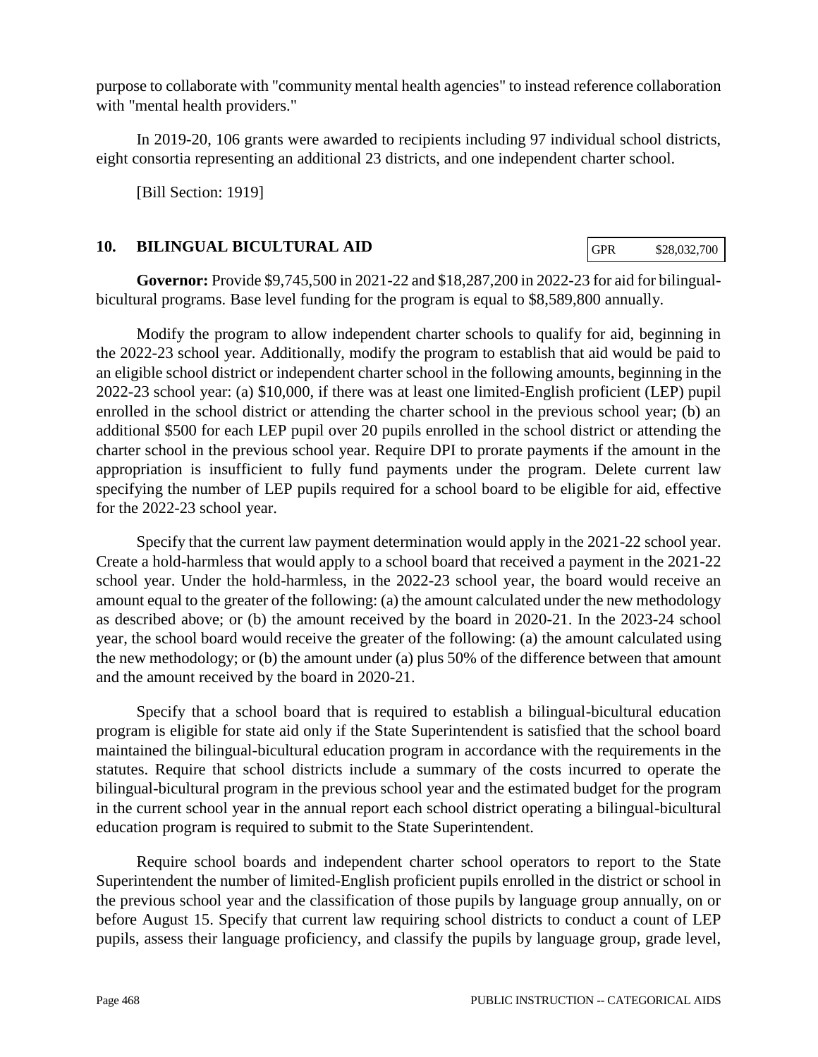purpose to collaborate with "community mental health agencies" to instead reference collaboration with "mental health providers."

In 2019-20, 106 grants were awarded to recipients including 97 individual school districts, eight consortia representing an additional 23 districts, and one independent charter school.

[Bill Section: 1919]

## **10. BILINGUAL BICULTURAL AID**

GPR \$28,032,700

**Governor:** Provide \$9,745,500 in 2021-22 and \$18,287,200 in 2022-23 for aid for bilingualbicultural programs. Base level funding for the program is equal to \$8,589,800 annually.

Modify the program to allow independent charter schools to qualify for aid, beginning in the 2022-23 school year. Additionally, modify the program to establish that aid would be paid to an eligible school district or independent charter school in the following amounts, beginning in the 2022-23 school year: (a) \$10,000, if there was at least one limited-English proficient (LEP) pupil enrolled in the school district or attending the charter school in the previous school year; (b) an additional \$500 for each LEP pupil over 20 pupils enrolled in the school district or attending the charter school in the previous school year. Require DPI to prorate payments if the amount in the appropriation is insufficient to fully fund payments under the program. Delete current law specifying the number of LEP pupils required for a school board to be eligible for aid, effective for the 2022-23 school year.

Specify that the current law payment determination would apply in the 2021-22 school year. Create a hold-harmless that would apply to a school board that received a payment in the 2021-22 school year. Under the hold-harmless, in the 2022-23 school year, the board would receive an amount equal to the greater of the following: (a) the amount calculated under the new methodology as described above; or (b) the amount received by the board in 2020-21. In the 2023-24 school year, the school board would receive the greater of the following: (a) the amount calculated using the new methodology; or (b) the amount under (a) plus 50% of the difference between that amount and the amount received by the board in 2020-21.

Specify that a school board that is required to establish a bilingual-bicultural education program is eligible for state aid only if the State Superintendent is satisfied that the school board maintained the bilingual-bicultural education program in accordance with the requirements in the statutes. Require that school districts include a summary of the costs incurred to operate the bilingual-bicultural program in the previous school year and the estimated budget for the program in the current school year in the annual report each school district operating a bilingual-bicultural education program is required to submit to the State Superintendent.

Require school boards and independent charter school operators to report to the State Superintendent the number of limited-English proficient pupils enrolled in the district or school in the previous school year and the classification of those pupils by language group annually, on or before August 15. Specify that current law requiring school districts to conduct a count of LEP pupils, assess their language proficiency, and classify the pupils by language group, grade level,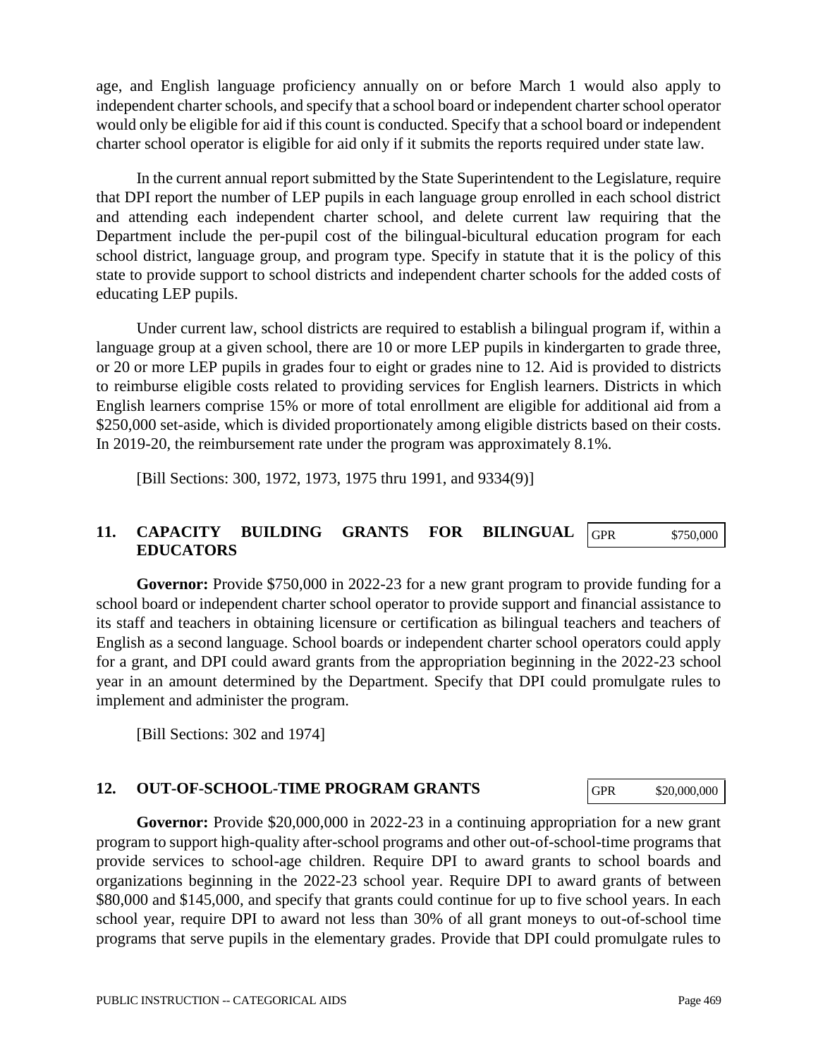age, and English language proficiency annually on or before March 1 would also apply to independent charter schools, and specify that a school board or independent charter school operator would only be eligible for aid if this count is conducted. Specify that a school board or independent charter school operator is eligible for aid only if it submits the reports required under state law.

In the current annual report submitted by the State Superintendent to the Legislature, require that DPI report the number of LEP pupils in each language group enrolled in each school district and attending each independent charter school, and delete current law requiring that the Department include the per-pupil cost of the bilingual-bicultural education program for each school district, language group, and program type. Specify in statute that it is the policy of this state to provide support to school districts and independent charter schools for the added costs of educating LEP pupils.

Under current law, school districts are required to establish a bilingual program if, within a language group at a given school, there are 10 or more LEP pupils in kindergarten to grade three, or 20 or more LEP pupils in grades four to eight or grades nine to 12. Aid is provided to districts to reimburse eligible costs related to providing services for English learners. Districts in which English learners comprise 15% or more of total enrollment are eligible for additional aid from a \$250,000 set-aside, which is divided proportionately among eligible districts based on their costs. In 2019-20, the reimbursement rate under the program was approximately 8.1%.

[Bill Sections: 300, 1972, 1973, 1975 thru 1991, and 9334(9)]

#### **11. CAPACITY BUILDING GRANTS FOR BILINGUAL EDUCATORS** GPR \$750,000

**Governor:** Provide \$750,000 in 2022-23 for a new grant program to provide funding for a school board or independent charter school operator to provide support and financial assistance to its staff and teachers in obtaining licensure or certification as bilingual teachers and teachers of English as a second language. School boards or independent charter school operators could apply for a grant, and DPI could award grants from the appropriation beginning in the 2022-23 school year in an amount determined by the Department. Specify that DPI could promulgate rules to implement and administer the program.

[Bill Sections: 302 and 1974]

# **12. OUT-OF-SCHOOL-TIME PROGRAM GRANTS**

**Governor:** Provide \$20,000,000 in 2022-23 in a continuing appropriation for a new grant program to support high-quality after-school programs and other out-of-school-time programs that provide services to school-age children. Require DPI to award grants to school boards and organizations beginning in the 2022-23 school year. Require DPI to award grants of between \$80,000 and \$145,000, and specify that grants could continue for up to five school years. In each school year, require DPI to award not less than 30% of all grant moneys to out-of-school time programs that serve pupils in the elementary grades. Provide that DPI could promulgate rules to

GPR \$20,000,000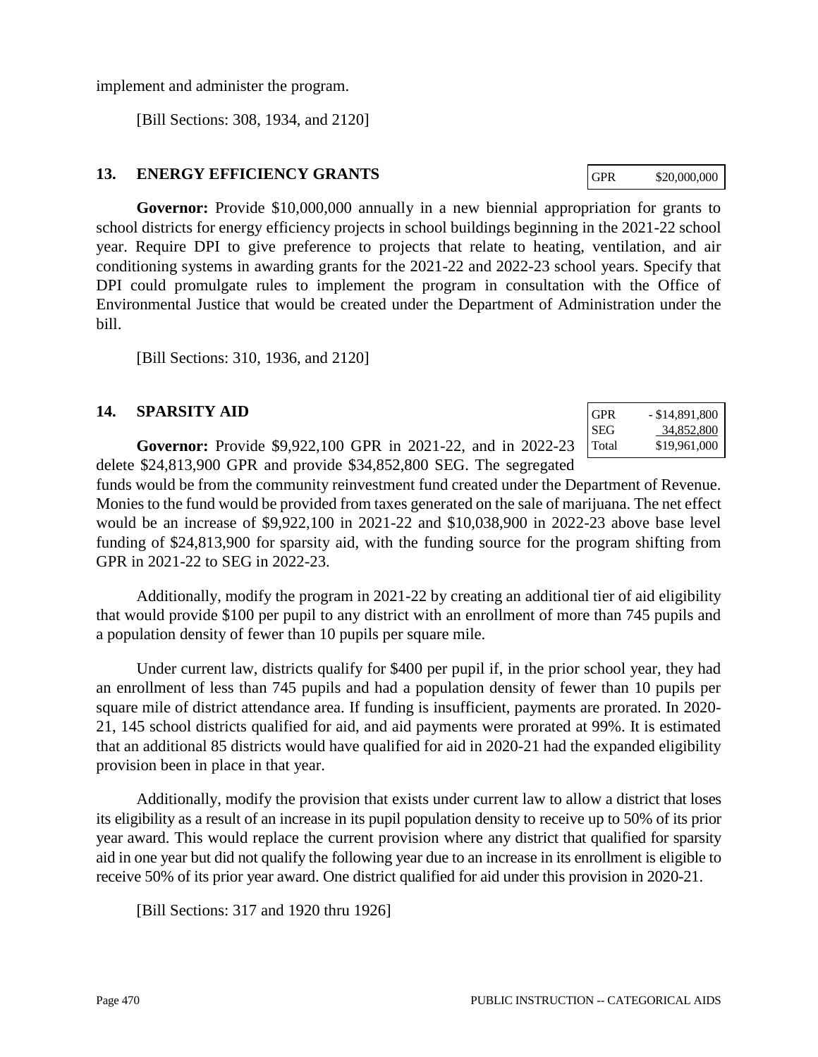implement and administer the program.

[Bill Sections: 308, 1934, and 2120]

## **13. ENERGY EFFICIENCY GRANTS**

**Governor:** Provide \$10,000,000 annually in a new biennial appropriation for grants to school districts for energy efficiency projects in school buildings beginning in the 2021-22 school year. Require DPI to give preference to projects that relate to heating, ventilation, and air conditioning systems in awarding grants for the 2021-22 and 2022-23 school years. Specify that DPI could promulgate rules to implement the program in consultation with the Office of Environmental Justice that would be created under the Department of Administration under the bill.

[Bill Sections: 310, 1936, and 2120]

## **14. SPARSITY AID**

**Governor:** Provide \$9,922,100 GPR in 2021-22, and in 2022-23 delete \$24,813,900 GPR and provide \$34,852,800 SEG. The segregated

funds would be from the community reinvestment fund created under the Department of Revenue. Monies to the fund would be provided from taxes generated on the sale of marijuana. The net effect would be an increase of \$9,922,100 in 2021-22 and \$10,038,900 in 2022-23 above base level funding of \$24,813,900 for sparsity aid, with the funding source for the program shifting from GPR in 2021-22 to SEG in 2022-23.

Additionally, modify the program in 2021-22 by creating an additional tier of aid eligibility that would provide \$100 per pupil to any district with an enrollment of more than 745 pupils and a population density of fewer than 10 pupils per square mile.

Under current law, districts qualify for \$400 per pupil if, in the prior school year, they had an enrollment of less than 745 pupils and had a population density of fewer than 10 pupils per square mile of district attendance area. If funding is insufficient, payments are prorated. In 2020- 21, 145 school districts qualified for aid, and aid payments were prorated at 99%. It is estimated that an additional 85 districts would have qualified for aid in 2020-21 had the expanded eligibility provision been in place in that year.

Additionally, modify the provision that exists under current law to allow a district that loses its eligibility as a result of an increase in its pupil population density to receive up to 50% of its prior year award. This would replace the current provision where any district that qualified for sparsity aid in one year but did not qualify the following year due to an increase in its enrollment is eligible to receive 50% of its prior year award. One district qualified for aid under this provision in 2020-21.

[Bill Sections: 317 and 1920 thru 1926]

| GPR   | $-$ \$14,891,800 |
|-------|------------------|
| SEG   | 34,852,800       |
| Total | \$19,961,000     |

GPR \$20,000,000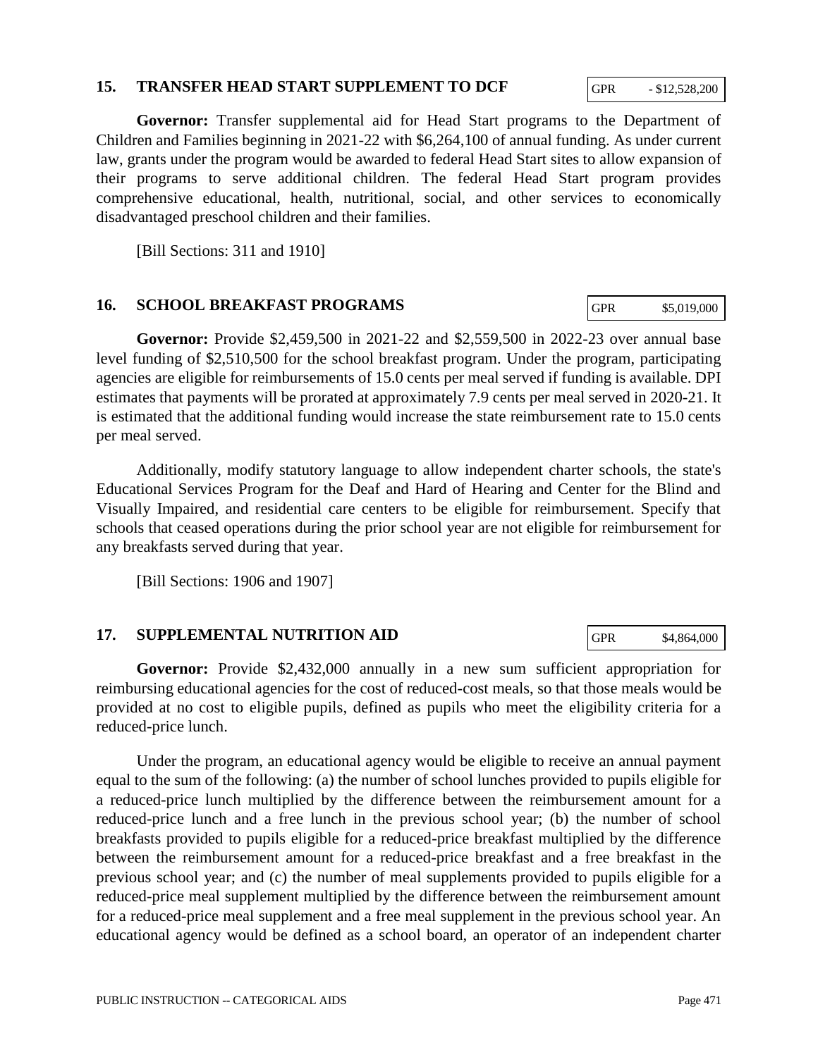#### PUBLIC INSTRUCTION -- CATEGORICAL AIDS PAGE 471

#### **15. TRANSFER HEAD START SUPPLEMENT TO DCF**

**Governor:** Transfer supplemental aid for Head Start programs to the Department of Children and Families beginning in 2021-22 with \$6,264,100 of annual funding. As under current law, grants under the program would be awarded to federal Head Start sites to allow expansion of their programs to serve additional children. The federal Head Start program provides comprehensive educational, health, nutritional, social, and other services to economically disadvantaged preschool children and their families.

[Bill Sections: 311 and 1910]

#### **16. SCHOOL BREAKFAST PROGRAMS**

**Governor:** Provide \$2,459,500 in 2021-22 and \$2,559,500 in 2022-23 over annual base level funding of \$2,510,500 for the school breakfast program. Under the program, participating agencies are eligible for reimbursements of 15.0 cents per meal served if funding is available. DPI estimates that payments will be prorated at approximately 7.9 cents per meal served in 2020-21. It is estimated that the additional funding would increase the state reimbursement rate to 15.0 cents per meal served.

Additionally, modify statutory language to allow independent charter schools, the state's Educational Services Program for the Deaf and Hard of Hearing and Center for the Blind and Visually Impaired, and residential care centers to be eligible for reimbursement. Specify that schools that ceased operations during the prior school year are not eligible for reimbursement for any breakfasts served during that year.

[Bill Sections: 1906 and 1907]

#### **17. SUPPLEMENTAL NUTRITION AID**

**Governor:** Provide \$2,432,000 annually in a new sum sufficient appropriation for reimbursing educational agencies for the cost of reduced-cost meals, so that those meals would be provided at no cost to eligible pupils, defined as pupils who meet the eligibility criteria for a reduced-price lunch.

Under the program, an educational agency would be eligible to receive an annual payment equal to the sum of the following: (a) the number of school lunches provided to pupils eligible for a reduced-price lunch multiplied by the difference between the reimbursement amount for a reduced-price lunch and a free lunch in the previous school year; (b) the number of school breakfasts provided to pupils eligible for a reduced-price breakfast multiplied by the difference between the reimbursement amount for a reduced-price breakfast and a free breakfast in the previous school year; and (c) the number of meal supplements provided to pupils eligible for a reduced-price meal supplement multiplied by the difference between the reimbursement amount for a reduced-price meal supplement and a free meal supplement in the previous school year. An educational agency would be defined as a school board, an operator of an independent charter

GPR  $-$  \$12,528,200

GPR \$5,019,000

GPR \$4,864,000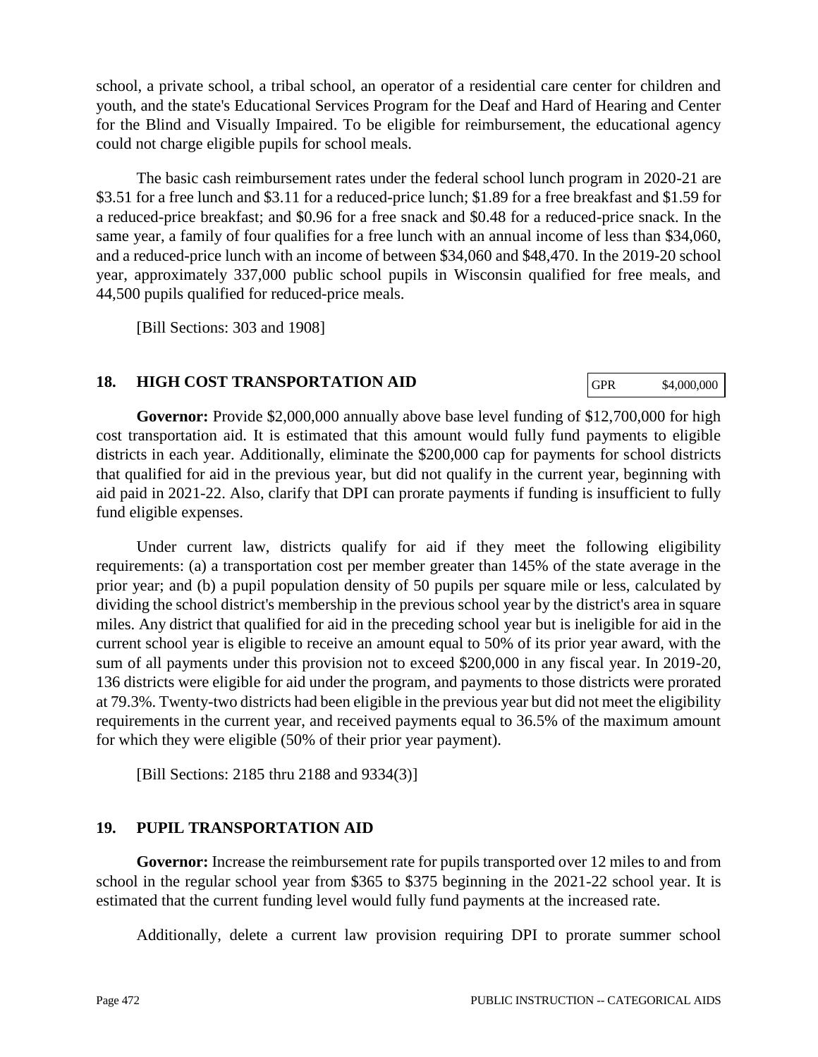school, a private school, a tribal school, an operator of a residential care center for children and youth, and the state's Educational Services Program for the Deaf and Hard of Hearing and Center for the Blind and Visually Impaired. To be eligible for reimbursement, the educational agency could not charge eligible pupils for school meals.

The basic cash reimbursement rates under the federal school lunch program in 2020-21 are \$3.51 for a free lunch and \$3.11 for a reduced-price lunch; \$1.89 for a free breakfast and \$1.59 for a reduced-price breakfast; and \$0.96 for a free snack and \$0.48 for a reduced-price snack. In the same year, a family of four qualifies for a free lunch with an annual income of less than \$34,060, and a reduced-price lunch with an income of between \$34,060 and \$48,470. In the 2019-20 school year, approximately 337,000 public school pupils in Wisconsin qualified for free meals, and 44,500 pupils qualified for reduced-price meals.

[Bill Sections: 303 and 1908]

## **18. HIGH COST TRANSPORTATION AID**

GPR \$4,000,000

**Governor:** Provide \$2,000,000 annually above base level funding of \$12,700,000 for high cost transportation aid. It is estimated that this amount would fully fund payments to eligible districts in each year. Additionally, eliminate the \$200,000 cap for payments for school districts that qualified for aid in the previous year, but did not qualify in the current year, beginning with aid paid in 2021-22. Also, clarify that DPI can prorate payments if funding is insufficient to fully fund eligible expenses.

Under current law, districts qualify for aid if they meet the following eligibility requirements: (a) a transportation cost per member greater than 145% of the state average in the prior year; and (b) a pupil population density of 50 pupils per square mile or less, calculated by dividing the school district's membership in the previous school year by the district's area in square miles. Any district that qualified for aid in the preceding school year but is ineligible for aid in the current school year is eligible to receive an amount equal to 50% of its prior year award, with the sum of all payments under this provision not to exceed \$200,000 in any fiscal year. In 2019-20, 136 districts were eligible for aid under the program, and payments to those districts were prorated at 79.3%. Twenty-two districts had been eligible in the previous year but did not meet the eligibility requirements in the current year, and received payments equal to 36.5% of the maximum amount for which they were eligible (50% of their prior year payment).

[Bill Sections: 2185 thru 2188 and 9334(3)]

## **19. PUPIL TRANSPORTATION AID**

**Governor:** Increase the reimbursement rate for pupils transported over 12 miles to and from school in the regular school year from \$365 to \$375 beginning in the 2021-22 school year. It is estimated that the current funding level would fully fund payments at the increased rate.

Additionally, delete a current law provision requiring DPI to prorate summer school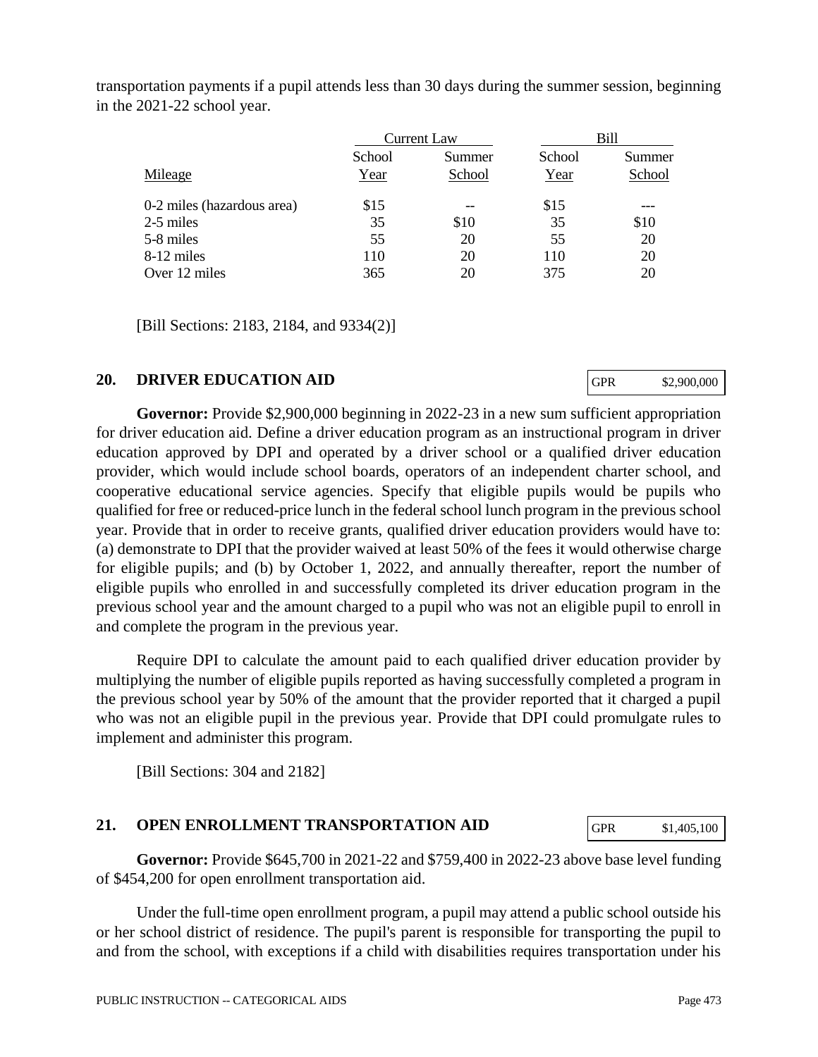Current Law Bill School Summer School Summer Mileage Year School Year School Year School  $0-2$  miles (hazardous area)  $$15$  --  $$15$  --

2-5 miles 35 \$10 35 \$10 5-8 miles 55 20 55 20 8-12 miles 110 20 110 20 Over 12 miles 365 20 375 20

[Bill Sections: 2183, 2184, and 9334(2)]

#### **20. DRIVER EDUCATION AID**

**Governor:** Provide \$2,900,000 beginning in 2022-23 in a new sum sufficient appropriation for driver education aid. Define a driver education program as an instructional program in driver education approved by DPI and operated by a driver school or a qualified driver education provider, which would include school boards, operators of an independent charter school, and cooperative educational service agencies. Specify that eligible pupils would be pupils who qualified for free or reduced-price lunch in the federal school lunch program in the previous school year. Provide that in order to receive grants, qualified driver education providers would have to: (a) demonstrate to DPI that the provider waived at least 50% of the fees it would otherwise charge for eligible pupils; and (b) by October 1, 2022, and annually thereafter, report the number of eligible pupils who enrolled in and successfully completed its driver education program in the previous school year and the amount charged to a pupil who was not an eligible pupil to enroll in and complete the program in the previous year.

Require DPI to calculate the amount paid to each qualified driver education provider by multiplying the number of eligible pupils reported as having successfully completed a program in the previous school year by 50% of the amount that the provider reported that it charged a pupil who was not an eligible pupil in the previous year. Provide that DPI could promulgate rules to implement and administer this program.

[Bill Sections: 304 and 2182]

## **21. OPEN ENROLLMENT TRANSPORTATION AID**

**Governor:** Provide \$645,700 in 2021-22 and \$759,400 in 2022-23 above base level funding of \$454,200 for open enrollment transportation aid.

Under the full-time open enrollment program, a pupil may attend a public school outside his or her school district of residence. The pupil's parent is responsible for transporting the pupil to and from the school, with exceptions if a child with disabilities requires transportation under his

GPR \$2,900,000

| transportation payments if a pupil attends less than 30 days during the summer session, beginning |  |
|---------------------------------------------------------------------------------------------------|--|
| in the 2021-22 school year.                                                                       |  |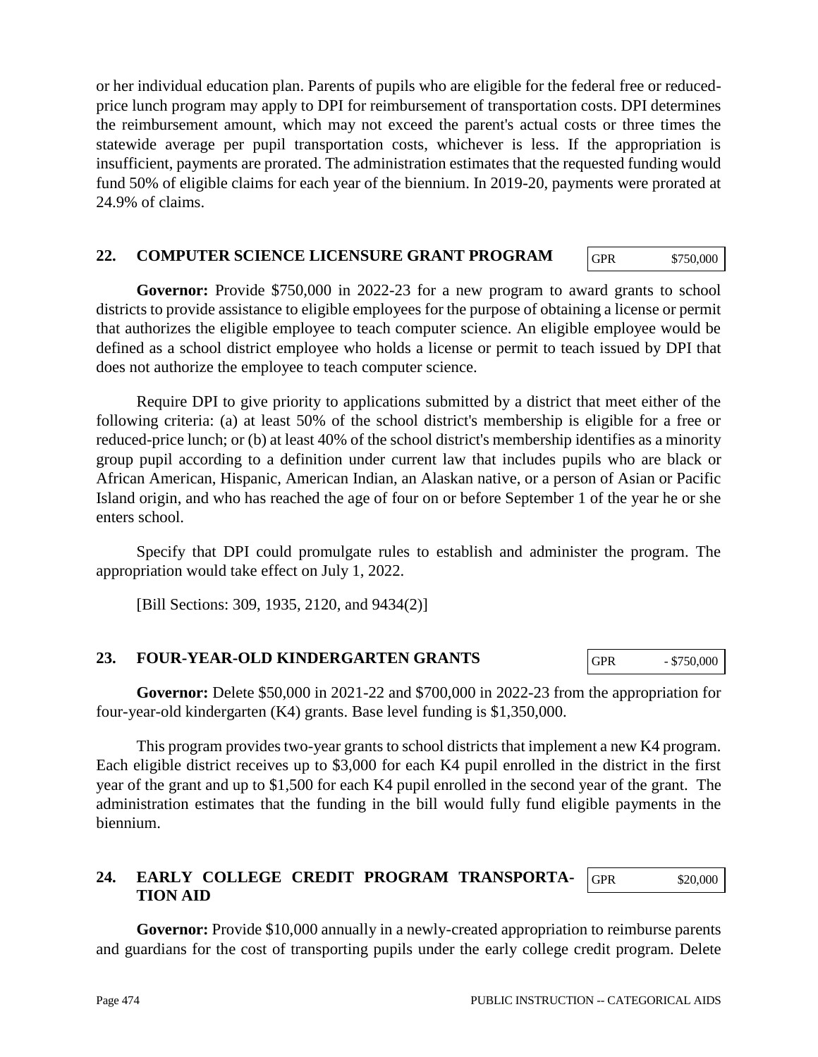or her individual education plan. Parents of pupils who are eligible for the federal free or reducedprice lunch program may apply to DPI for reimbursement of transportation costs. DPI determines the reimbursement amount, which may not exceed the parent's actual costs or three times the statewide average per pupil transportation costs, whichever is less. If the appropriation is insufficient, payments are prorated. The administration estimates that the requested funding would fund 50% of eligible claims for each year of the biennium. In 2019-20, payments were prorated at 24.9% of claims.

## **22. COMPUTER SCIENCE LICENSURE GRANT PROGRAM**

GPR \$750,000

**Governor:** Provide \$750,000 in 2022-23 for a new program to award grants to school districts to provide assistance to eligible employees for the purpose of obtaining a license or permit that authorizes the eligible employee to teach computer science. An eligible employee would be defined as a school district employee who holds a license or permit to teach issued by DPI that does not authorize the employee to teach computer science.

Require DPI to give priority to applications submitted by a district that meet either of the following criteria: (a) at least 50% of the school district's membership is eligible for a free or reduced-price lunch; or (b) at least 40% of the school district's membership identifies as a minority group pupil according to a definition under current law that includes pupils who are black or African American, Hispanic, American Indian, an Alaskan native, or a person of Asian or Pacific Island origin, and who has reached the age of four on or before September 1 of the year he or she enters school.

Specify that DPI could promulgate rules to establish and administer the program. The appropriation would take effect on July 1, 2022.

[Bill Sections: 309, 1935, 2120, and 9434(2)]

#### **23. FOUR-YEAR-OLD KINDERGARTEN GRANTS**

**Governor:** Delete \$50,000 in 2021-22 and \$700,000 in 2022-23 from the appropriation for four-year-old kindergarten (K4) grants. Base level funding is \$1,350,000.

This program provides two-year grants to school districts that implement a new K4 program. Each eligible district receives up to \$3,000 for each K4 pupil enrolled in the district in the first year of the grant and up to \$1,500 for each K4 pupil enrolled in the second year of the grant. The administration estimates that the funding in the bill would fully fund eligible payments in the biennium.

#### **24. EARLY COLLEGE CREDIT PROGRAM TRANSPORTA-TION AID** GPR \$20,000

**Governor:** Provide \$10,000 annually in a newly-created appropriation to reimburse parents and guardians for the cost of transporting pupils under the early college credit program. Delete

GPR - \$750,000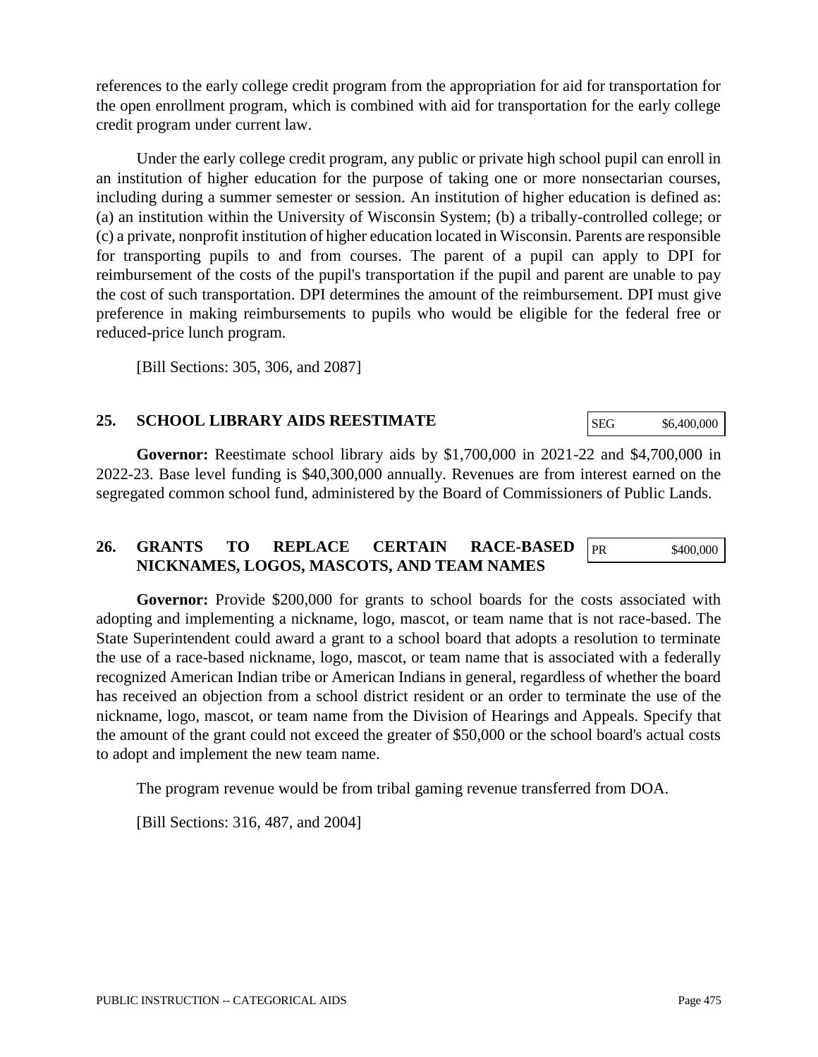references to the early college credit program from the appropriation for aid for transportation for the open enrollment program, which is combined with aid for transportation for the early college credit program under current law.

Under the early college credit program, any public or private high school pupil can enroll in an institution of higher education for the purpose of taking one or more nonsectarian courses, including during a summer semester or session. An institution of higher education is defined as: (a) an institution within the University of Wisconsin System; (b) a tribally-controlled college; or (c) a private, nonprofit institution of higher education located in Wisconsin. Parents are responsible for transporting pupils to and from courses. The parent of a pupil can apply to DPI for reimbursement of the costs of the pupil's transportation if the pupil and parent are unable to pay the cost of such transportation. DPI determines the amount of the reimbursement. DPI must give preference in making reimbursements to pupils who would be eligible for the federal free or reduced-price lunch program.

[Bill Sections: 305, 306, and 2087]

## **25. SCHOOL LIBRARY AIDS REESTIMATE**

**Governor:** Reestimate school library aids by \$1,700,000 in 2021-22 and \$4,700,000 in 2022-23. Base level funding is \$40,300,000 annually. Revenues are from interest earned on the segregated common school fund, administered by the Board of Commissioners of Public Lands.

## **26. GRANTS TO REPLACE CERTAIN RACE-BASED NICKNAMES, LOGOS, MASCOTS, AND TEAM NAMES**

**Governor:** Provide \$200,000 for grants to school boards for the costs associated with adopting and implementing a nickname, logo, mascot, or team name that is not race-based. The State Superintendent could award a grant to a school board that adopts a resolution to terminate the use of a race-based nickname, logo, mascot, or team name that is associated with a federally recognized American Indian tribe or American Indians in general, regardless of whether the board has received an objection from a school district resident or an order to terminate the use of the nickname, logo, mascot, or team name from the Division of Hearings and Appeals. Specify that the amount of the grant could not exceed the greater of \$50,000 or the school board's actual costs to adopt and implement the new team name.

The program revenue would be from tribal gaming revenue transferred from DOA.

[Bill Sections: 316, 487, and 2004]

SEG \$6,400,000

PR \$400,000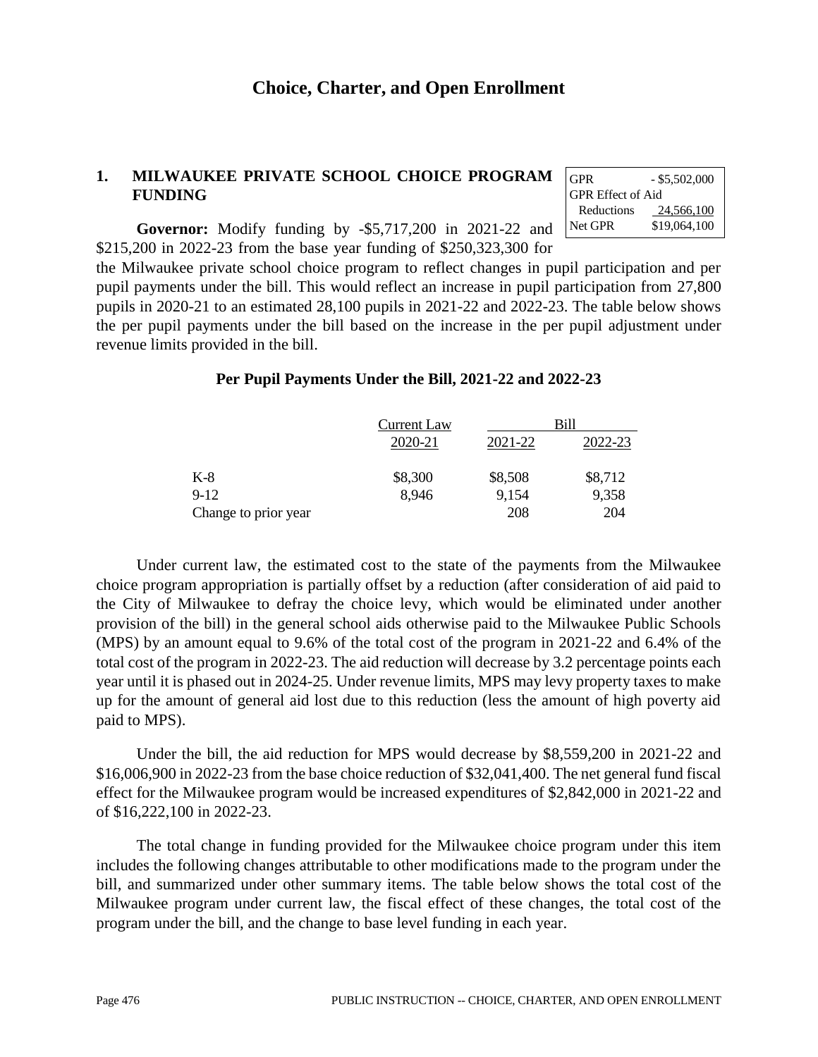GPR  $-$  \$5,502,000

 Reductions 24,566,100 Net GPR \$19,064,100

GPR Effect of Aid

## **1. MILWAUKEE PRIVATE SCHOOL CHOICE PROGRAM FUNDING**

**Governor:** Modify funding by -\$5,717,200 in 2021-22 and \$215,200 in 2022-23 from the base year funding of \$250,323,300 for

the Milwaukee private school choice program to reflect changes in pupil participation and per pupil payments under the bill. This would reflect an increase in pupil participation from 27,800 pupils in 2020-21 to an estimated 28,100 pupils in 2021-22 and 2022-23. The table below shows the per pupil payments under the bill based on the increase in the per pupil adjustment under revenue limits provided in the bill.

## **Per Pupil Payments Under the Bill, 2021-22 and 2022-23**

|                      | Current Law |         | Bill    |
|----------------------|-------------|---------|---------|
|                      | 2020-21     | 2021-22 | 2022-23 |
| $K-8$                | \$8,300     | \$8,508 | \$8,712 |
| $9-12$               | 8,946       | 9,154   | 9,358   |
| Change to prior year |             | 208     | 204     |

Under current law, the estimated cost to the state of the payments from the Milwaukee choice program appropriation is partially offset by a reduction (after consideration of aid paid to the City of Milwaukee to defray the choice levy, which would be eliminated under another provision of the bill) in the general school aids otherwise paid to the Milwaukee Public Schools (MPS) by an amount equal to 9.6% of the total cost of the program in 2021-22 and 6.4% of the total cost of the program in 2022-23. The aid reduction will decrease by 3.2 percentage points each year until it is phased out in 2024-25. Under revenue limits, MPS may levy property taxes to make up for the amount of general aid lost due to this reduction (less the amount of high poverty aid paid to MPS).

Under the bill, the aid reduction for MPS would decrease by \$8,559,200 in 2021-22 and \$16,006,900 in 2022-23 from the base choice reduction of \$32,041,400. The net general fund fiscal effect for the Milwaukee program would be increased expenditures of \$2,842,000 in 2021-22 and of \$16,222,100 in 2022-23.

The total change in funding provided for the Milwaukee choice program under this item includes the following changes attributable to other modifications made to the program under the bill, and summarized under other summary items. The table below shows the total cost of the Milwaukee program under current law, the fiscal effect of these changes, the total cost of the program under the bill, and the change to base level funding in each year.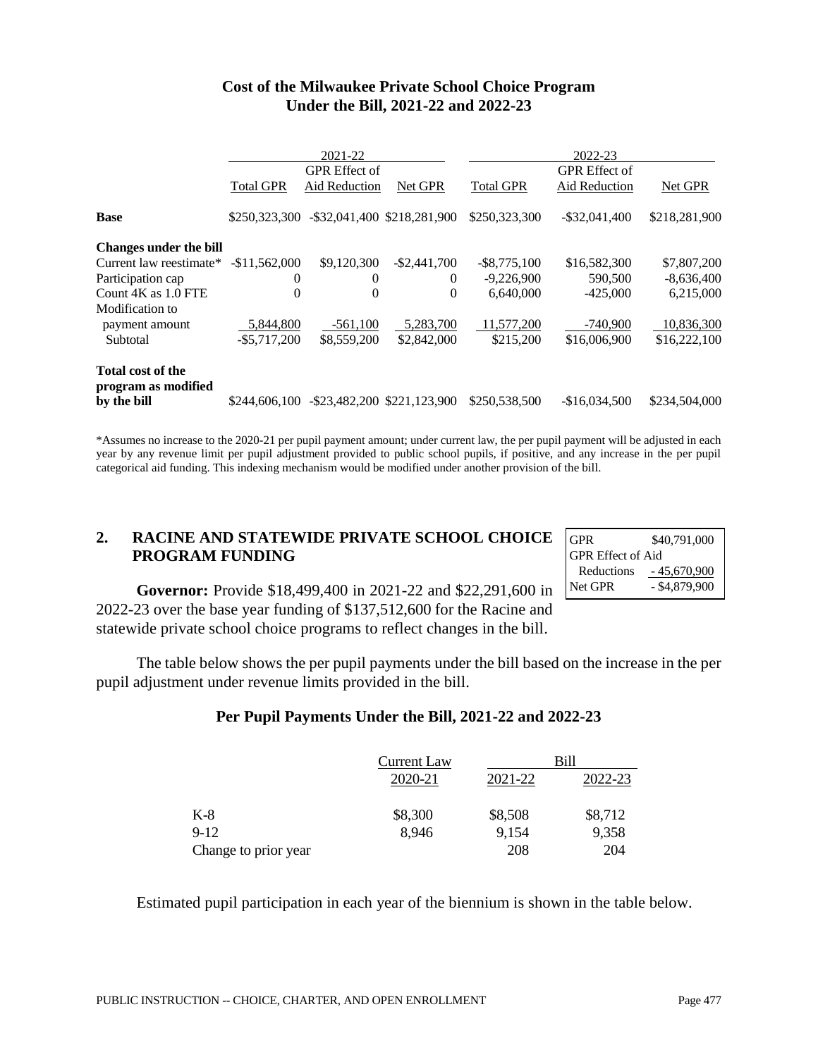|                                                 |                  | 2021-22              |                                            |                  | 2022-23              |               |
|-------------------------------------------------|------------------|----------------------|--------------------------------------------|------------------|----------------------|---------------|
|                                                 |                  | <b>GPR</b> Effect of |                                            |                  | <b>GPR</b> Effect of |               |
|                                                 | <b>Total GPR</b> | Aid Reduction        | Net GPR                                    | <b>Total GPR</b> | Aid Reduction        | Net GPR       |
| <b>Base</b>                                     |                  |                      | \$250,323,300 - \$32,041,400 \$218,281,900 | \$250,323,300    | $-$ \$32,041,400     | \$218,281,900 |
| <b>Changes under the bill</b>                   |                  |                      |                                            |                  |                      |               |
| Current law reestimate*                         | $-$11.562.000$   | \$9,120,300          | $-$ \$2,441,700                            | $-$ \$8,775,100  | \$16,582,300         | \$7,807,200   |
| Participation cap                               | $\Omega$         | $\Omega$             | $\Omega$                                   | $-9,226,900$     | 590,500              | $-8,636,400$  |
| Count 4K as 1.0 FTE                             | 0                | $\Omega$             | $\Omega$                                   | 6.640,000        | $-425,000$           | 6,215,000     |
| Modification to                                 |                  |                      |                                            |                  |                      |               |
| payment amount                                  | 5,844,800        | $-561,100$           | 5.283.700                                  | 11,577,200       | -740,900             | 10,836,300    |
| Subtotal                                        | $-$ \$5,717,200  | \$8,559,200          | \$2,842,000                                | \$215,200        | \$16,006,900         | \$16,222,100  |
| <b>Total cost of the</b><br>program as modified |                  |                      |                                            |                  |                      |               |
| by the bill                                     |                  |                      | \$244,606,100 - \$23,482,200 \$221,123,900 | \$250,538,500    | $-$16,034,500$       | \$234,504,000 |

#### **Cost of the Milwaukee Private School Choice Program Under the Bill, 2021-22 and 2022-23**

\*Assumes no increase to the 2020-21 per pupil payment amount; under current law, the per pupil payment will be adjusted in each year by any revenue limit per pupil adjustment provided to public school pupils, if positive, and any increase in the per pupil categorical aid funding. This indexing mechanism would be modified under another provision of the bill.

## **2. RACINE AND STATEWIDE PRIVATE SCHOOL CHOICE PROGRAM FUNDING**

| <b>GPR</b>        | \$40,791,000    |
|-------------------|-----------------|
| GPR Effect of Aid |                 |
| Reductions        | $-45,670,900$   |
| Net GPR           | $-$ \$4,879,900 |

**Governor:** Provide \$18,499,400 in 2021-22 and \$22,291,600 in 2022-23 over the base year funding of \$137,512,600 for the Racine and statewide private school choice programs to reflect changes in the bill.

The table below shows the per pupil payments under the bill based on the increase in the per pupil adjustment under revenue limits provided in the bill.

## **Per Pupil Payments Under the Bill, 2021-22 and 2022-23**

|                      | Current Law |         | Bill    |
|----------------------|-------------|---------|---------|
|                      | 2020-21     | 2021-22 | 2022-23 |
| $K-8$                | \$8,300     | \$8,508 | \$8,712 |
| $9-12$               | 8,946       | 9,154   | 9,358   |
| Change to prior year |             | 208     | 204     |

Estimated pupil participation in each year of the biennium is shown in the table below.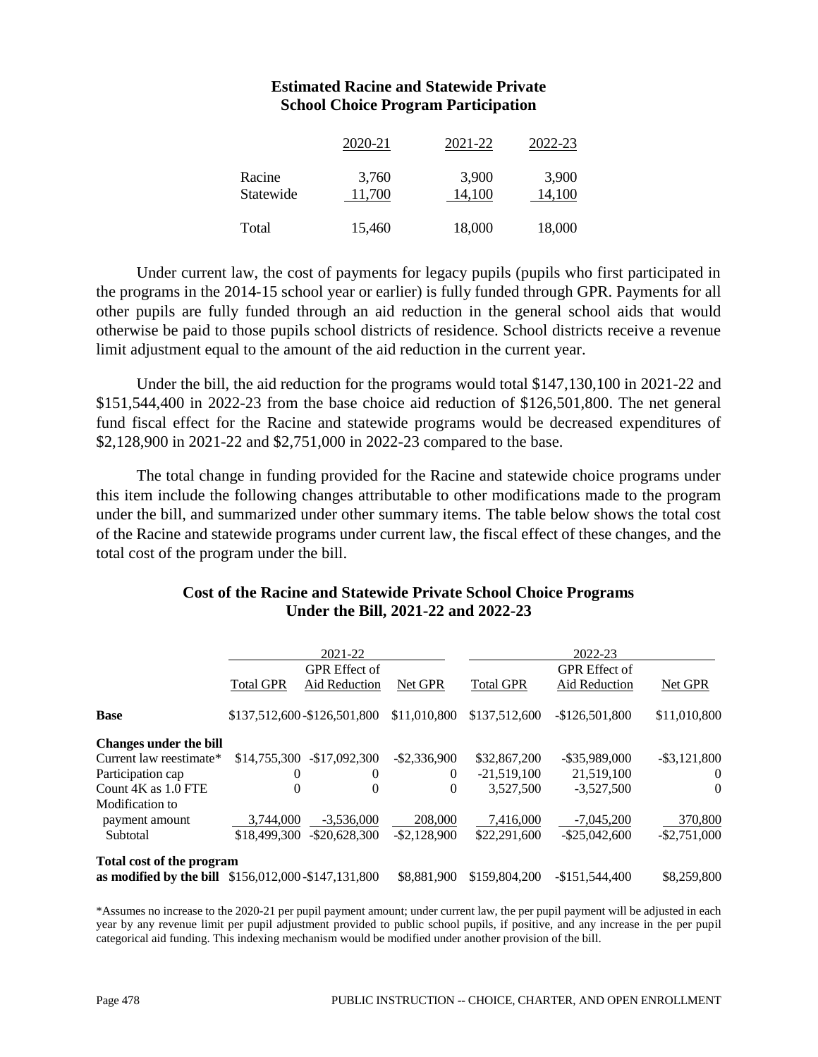#### **Estimated Racine and Statewide Private School Choice Program Participation**

|                     | 2020-21         | 2021-22         | 2022-23         |
|---------------------|-----------------|-----------------|-----------------|
| Racine<br>Statewide | 3,760<br>11,700 | 3,900<br>14,100 | 3,900<br>14,100 |
| Total               | 15,460          | 18,000          | 18,000          |

Under current law, the cost of payments for legacy pupils (pupils who first participated in the programs in the 2014-15 school year or earlier) is fully funded through GPR. Payments for all other pupils are fully funded through an aid reduction in the general school aids that would otherwise be paid to those pupils school districts of residence. School districts receive a revenue limit adjustment equal to the amount of the aid reduction in the current year.

Under the bill, the aid reduction for the programs would total \$147,130,100 in 2021-22 and \$151,544,400 in 2022-23 from the base choice aid reduction of \$126,501,800. The net general fund fiscal effect for the Racine and statewide programs would be decreased expenditures of \$2,128,900 in 2021-22 and \$2,751,000 in 2022-23 compared to the base.

The total change in funding provided for the Racine and statewide choice programs under this item include the following changes attributable to other modifications made to the program under the bill, and summarized under other summary items. The table below shows the total cost of the Racine and statewide programs under current law, the fiscal effect of these changes, and the total cost of the program under the bill.

#### **Cost of the Racine and Statewide Private School Choice Programs Under the Bill, 2021-22 and 2022-23**

|                                                     |                  | 2021-22                     |                 |                  | 2022-23              |                 |
|-----------------------------------------------------|------------------|-----------------------------|-----------------|------------------|----------------------|-----------------|
|                                                     |                  | <b>GPR</b> Effect of        |                 |                  | <b>GPR</b> Effect of |                 |
|                                                     | <b>Total GPR</b> | Aid Reduction               | Net GPR         | <b>Total GPR</b> | Aid Reduction        | Net GPR         |
| <b>Base</b>                                         |                  | \$137,512,600-\$126,501,800 | \$11,010,800    | \$137,512,600    | $-$126,501,800$      | \$11,010,800    |
| <b>Changes under the bill</b>                       |                  |                             |                 |                  |                      |                 |
| Current law reestimate*                             |                  | \$14,755,300 - \$17,092,300 | $-$ \$2,336,900 | \$32,867,200     | $-$ \$35,989,000     | $-$ \$3,121,800 |
| Participation cap                                   | $\theta$         | $\theta$                    | $\theta$        | $-21.519.100$    | 21,519,100           | $\theta$        |
| Count $4K$ as $1.0$ FTE                             | 0                | 0                           | $\theta$        | 3,527,500        | $-3,527,500$         | $\theta$        |
| Modification to                                     |                  |                             |                 |                  |                      |                 |
| payment amount                                      | 3.744.000        | $-3.536,000$                | 208,000         | 7.416.000        | $-7.045.200$         | 370,800         |
| Subtotal                                            | \$18,499,300     | $-$ \$20,628,300            | $-$ \$2,128,900 | \$22,291,600     | $-$ \$25,042,600     | $-$ \$2,751,000 |
| Total cost of the program                           |                  |                             |                 |                  |                      |                 |
| as modified by the bill \$156,012,000-\$147,131,800 |                  |                             | \$8,881,900     | \$159,804,200    | $-$151.544.400$      | \$8,259,800     |

\*Assumes no increase to the 2020-21 per pupil payment amount; under current law, the per pupil payment will be adjusted in each year by any revenue limit per pupil adjustment provided to public school pupils, if positive, and any increase in the per pupil categorical aid funding. This indexing mechanism would be modified under another provision of the bill.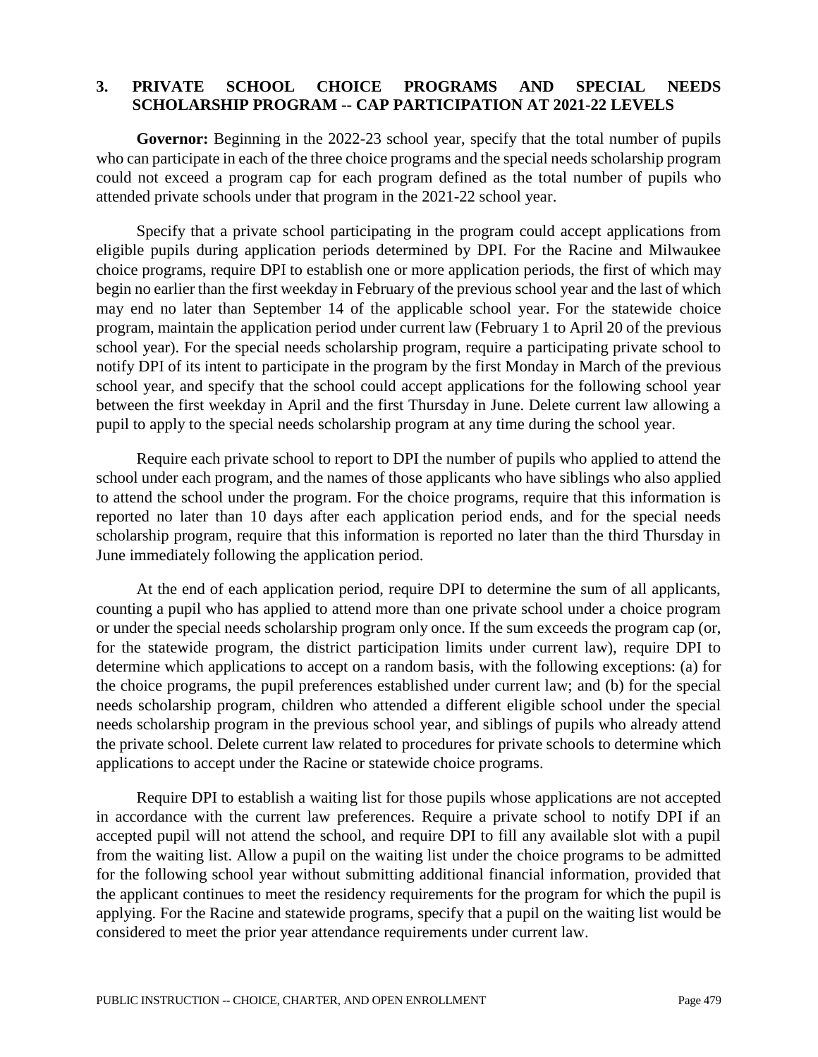#### **3. PRIVATE SCHOOL CHOICE PROGRAMS AND SPECIAL NEEDS SCHOLARSHIP PROGRAM -- CAP PARTICIPATION AT 2021-22 LEVELS**

**Governor:** Beginning in the 2022-23 school year, specify that the total number of pupils who can participate in each of the three choice programs and the special needs scholarship program could not exceed a program cap for each program defined as the total number of pupils who attended private schools under that program in the 2021-22 school year.

Specify that a private school participating in the program could accept applications from eligible pupils during application periods determined by DPI. For the Racine and Milwaukee choice programs, require DPI to establish one or more application periods, the first of which may begin no earlier than the first weekday in February of the previous school year and the last of which may end no later than September 14 of the applicable school year. For the statewide choice program, maintain the application period under current law (February 1 to April 20 of the previous school year). For the special needs scholarship program, require a participating private school to notify DPI of its intent to participate in the program by the first Monday in March of the previous school year, and specify that the school could accept applications for the following school year between the first weekday in April and the first Thursday in June. Delete current law allowing a pupil to apply to the special needs scholarship program at any time during the school year.

Require each private school to report to DPI the number of pupils who applied to attend the school under each program, and the names of those applicants who have siblings who also applied to attend the school under the program. For the choice programs, require that this information is reported no later than 10 days after each application period ends, and for the special needs scholarship program, require that this information is reported no later than the third Thursday in June immediately following the application period.

At the end of each application period, require DPI to determine the sum of all applicants, counting a pupil who has applied to attend more than one private school under a choice program or under the special needs scholarship program only once. If the sum exceeds the program cap (or, for the statewide program, the district participation limits under current law), require DPI to determine which applications to accept on a random basis, with the following exceptions: (a) for the choice programs, the pupil preferences established under current law; and (b) for the special needs scholarship program, children who attended a different eligible school under the special needs scholarship program in the previous school year, and siblings of pupils who already attend the private school. Delete current law related to procedures for private schools to determine which applications to accept under the Racine or statewide choice programs.

Require DPI to establish a waiting list for those pupils whose applications are not accepted in accordance with the current law preferences. Require a private school to notify DPI if an accepted pupil will not attend the school, and require DPI to fill any available slot with a pupil from the waiting list. Allow a pupil on the waiting list under the choice programs to be admitted for the following school year without submitting additional financial information, provided that the applicant continues to meet the residency requirements for the program for which the pupil is applying. For the Racine and statewide programs, specify that a pupil on the waiting list would be considered to meet the prior year attendance requirements under current law.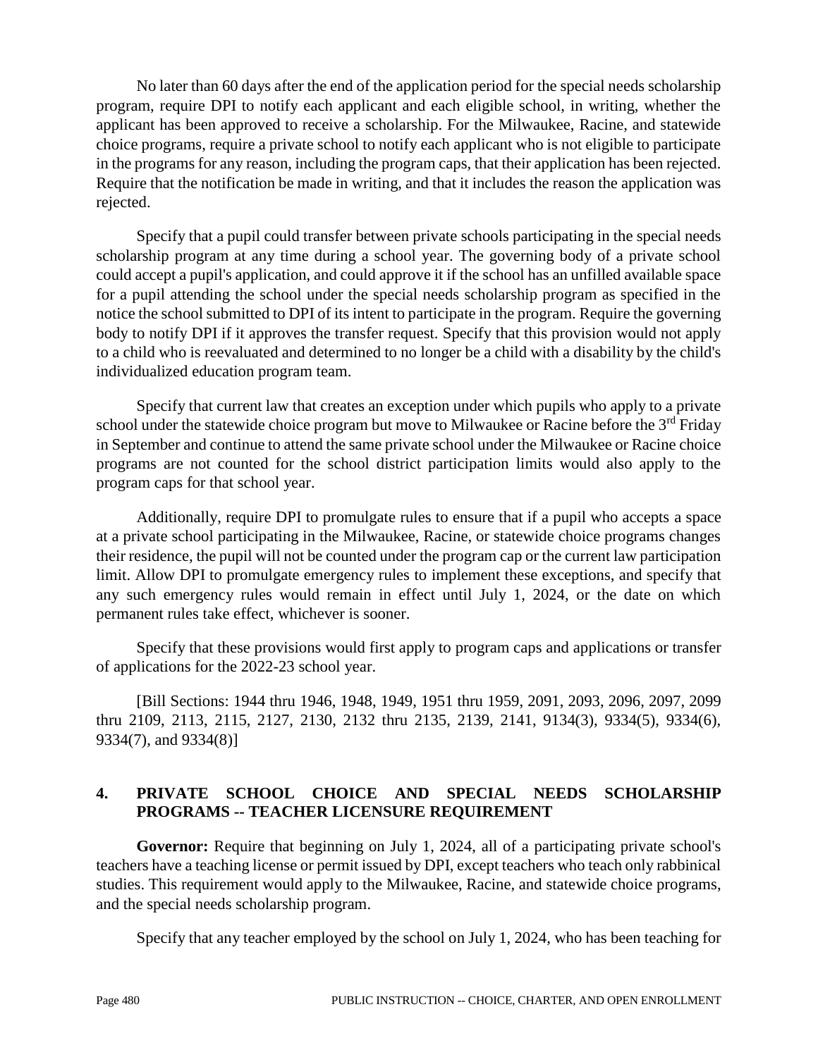No later than 60 days after the end of the application period for the special needs scholarship program, require DPI to notify each applicant and each eligible school, in writing, whether the applicant has been approved to receive a scholarship. For the Milwaukee, Racine, and statewide choice programs, require a private school to notify each applicant who is not eligible to participate in the programs for any reason, including the program caps, that their application has been rejected. Require that the notification be made in writing, and that it includes the reason the application was rejected.

Specify that a pupil could transfer between private schools participating in the special needs scholarship program at any time during a school year. The governing body of a private school could accept a pupil's application, and could approve it if the school has an unfilled available space for a pupil attending the school under the special needs scholarship program as specified in the notice the school submitted to DPI of its intent to participate in the program. Require the governing body to notify DPI if it approves the transfer request. Specify that this provision would not apply to a child who is reevaluated and determined to no longer be a child with a disability by the child's individualized education program team.

Specify that current law that creates an exception under which pupils who apply to a private school under the statewide choice program but move to Milwaukee or Racine before the  $3<sup>rd</sup>$  Friday in September and continue to attend the same private school under the Milwaukee or Racine choice programs are not counted for the school district participation limits would also apply to the program caps for that school year.

Additionally, require DPI to promulgate rules to ensure that if a pupil who accepts a space at a private school participating in the Milwaukee, Racine, or statewide choice programs changes their residence, the pupil will not be counted under the program cap or the current law participation limit. Allow DPI to promulgate emergency rules to implement these exceptions, and specify that any such emergency rules would remain in effect until July 1, 2024, or the date on which permanent rules take effect, whichever is sooner.

Specify that these provisions would first apply to program caps and applications or transfer of applications for the 2022-23 school year.

[Bill Sections: 1944 thru 1946, 1948, 1949, 1951 thru 1959, 2091, 2093, 2096, 2097, 2099 thru 2109, 2113, 2115, 2127, 2130, 2132 thru 2135, 2139, 2141, 9134(3), 9334(5), 9334(6), 9334(7), and 9334(8)]

## **4. PRIVATE SCHOOL CHOICE AND SPECIAL NEEDS SCHOLARSHIP PROGRAMS -- TEACHER LICENSURE REQUIREMENT**

**Governor:** Require that beginning on July 1, 2024, all of a participating private school's teachers have a teaching license or permit issued by DPI, except teachers who teach only rabbinical studies. This requirement would apply to the Milwaukee, Racine, and statewide choice programs, and the special needs scholarship program.

Specify that any teacher employed by the school on July 1, 2024, who has been teaching for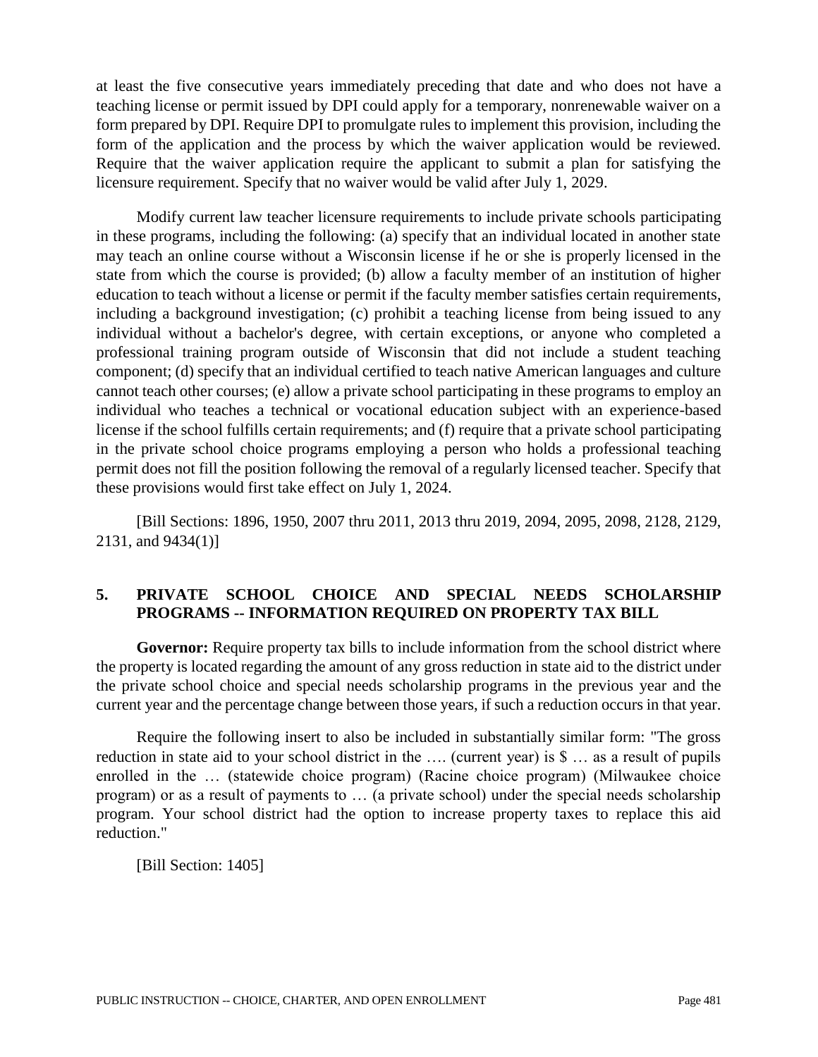at least the five consecutive years immediately preceding that date and who does not have a teaching license or permit issued by DPI could apply for a temporary, nonrenewable waiver on a form prepared by DPI. Require DPI to promulgate rules to implement this provision, including the form of the application and the process by which the waiver application would be reviewed. Require that the waiver application require the applicant to submit a plan for satisfying the licensure requirement. Specify that no waiver would be valid after July 1, 2029.

Modify current law teacher licensure requirements to include private schools participating in these programs, including the following: (a) specify that an individual located in another state may teach an online course without a Wisconsin license if he or she is properly licensed in the state from which the course is provided; (b) allow a faculty member of an institution of higher education to teach without a license or permit if the faculty member satisfies certain requirements, including a background investigation; (c) prohibit a teaching license from being issued to any individual without a bachelor's degree, with certain exceptions, or anyone who completed a professional training program outside of Wisconsin that did not include a student teaching component; (d) specify that an individual certified to teach native American languages and culture cannot teach other courses; (e) allow a private school participating in these programs to employ an individual who teaches a technical or vocational education subject with an experience-based license if the school fulfills certain requirements; and (f) require that a private school participating in the private school choice programs employing a person who holds a professional teaching permit does not fill the position following the removal of a regularly licensed teacher. Specify that these provisions would first take effect on July 1, 2024.

[Bill Sections: 1896, 1950, 2007 thru 2011, 2013 thru 2019, 2094, 2095, 2098, 2128, 2129, 2131, and 9434(1)]

## **5. PRIVATE SCHOOL CHOICE AND SPECIAL NEEDS SCHOLARSHIP PROGRAMS -- INFORMATION REQUIRED ON PROPERTY TAX BILL**

**Governor:** Require property tax bills to include information from the school district where the property is located regarding the amount of any gross reduction in state aid to the district under the private school choice and special needs scholarship programs in the previous year and the current year and the percentage change between those years, if such a reduction occurs in that year.

Require the following insert to also be included in substantially similar form: "The gross reduction in state aid to your school district in the …. (current year) is \$ … as a result of pupils enrolled in the … (statewide choice program) (Racine choice program) (Milwaukee choice program) or as a result of payments to … (a private school) under the special needs scholarship program. Your school district had the option to increase property taxes to replace this aid reduction."

[Bill Section: 1405]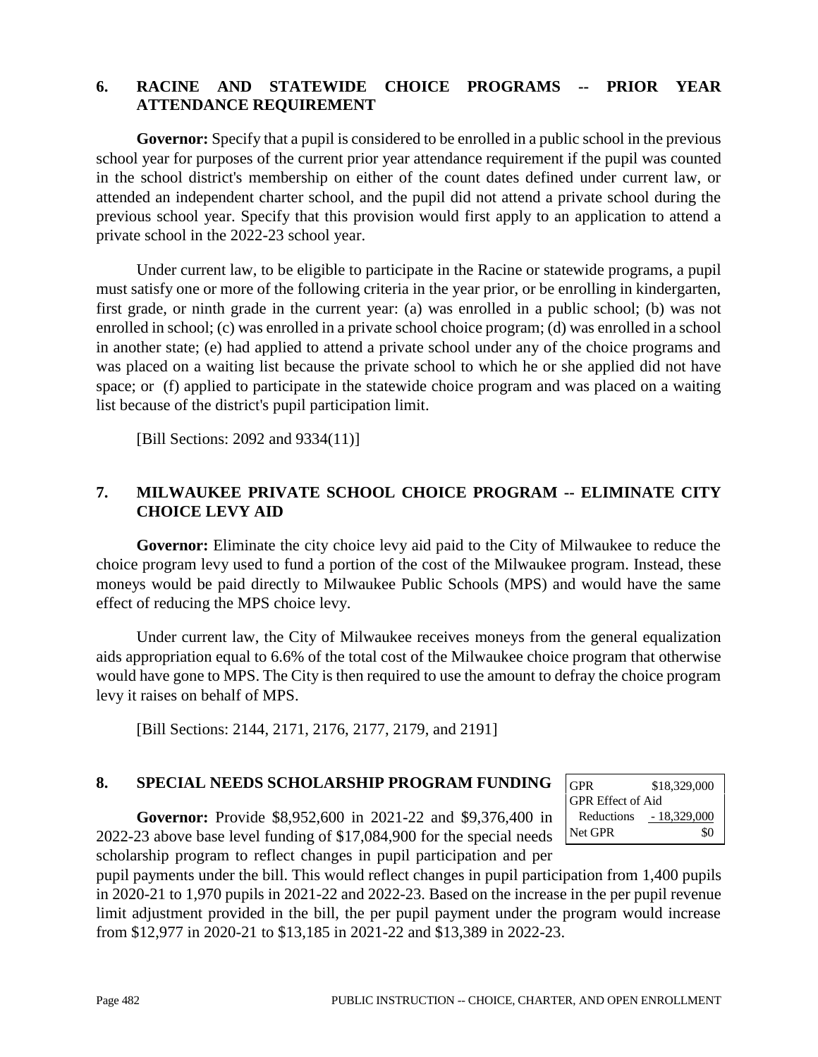#### **6. RACINE AND STATEWIDE CHOICE PROGRAMS -- PRIOR YEAR ATTENDANCE REQUIREMENT**

**Governor:** Specify that a pupil is considered to be enrolled in a public school in the previous school year for purposes of the current prior year attendance requirement if the pupil was counted in the school district's membership on either of the count dates defined under current law, or attended an independent charter school, and the pupil did not attend a private school during the previous school year. Specify that this provision would first apply to an application to attend a private school in the 2022-23 school year.

Under current law, to be eligible to participate in the Racine or statewide programs, a pupil must satisfy one or more of the following criteria in the year prior, or be enrolling in kindergarten, first grade, or ninth grade in the current year: (a) was enrolled in a public school; (b) was not enrolled in school; (c) was enrolled in a private school choice program; (d) was enrolled in a school in another state; (e) had applied to attend a private school under any of the choice programs and was placed on a waiting list because the private school to which he or she applied did not have space; or (f) applied to participate in the statewide choice program and was placed on a waiting list because of the district's pupil participation limit.

[Bill Sections: 2092 and 9334(11)]

## **7. MILWAUKEE PRIVATE SCHOOL CHOICE PROGRAM -- ELIMINATE CITY CHOICE LEVY AID**

**Governor:** Eliminate the city choice levy aid paid to the City of Milwaukee to reduce the choice program levy used to fund a portion of the cost of the Milwaukee program. Instead, these moneys would be paid directly to Milwaukee Public Schools (MPS) and would have the same effect of reducing the MPS choice levy.

Under current law, the City of Milwaukee receives moneys from the general equalization aids appropriation equal to 6.6% of the total cost of the Milwaukee choice program that otherwise would have gone to MPS. The City is then required to use the amount to defray the choice program levy it raises on behalf of MPS.

[Bill Sections: 2144, 2171, 2176, 2177, 2179, and 2191]

## **8. SPECIAL NEEDS SCHOLARSHIP PROGRAM FUNDING**

**Governor:** Provide \$8,952,600 in 2021-22 and \$9,376,400 in 2022-23 above base level funding of \$17,084,900 for the special needs scholarship program to reflect changes in pupil participation and per

GPR \$18,329,000 GPR Effect of Aid Reductions - 18,329,000 Net GPR \$0

pupil payments under the bill. This would reflect changes in pupil participation from 1,400 pupils in 2020-21 to 1,970 pupils in 2021-22 and 2022-23. Based on the increase in the per pupil revenue limit adjustment provided in the bill, the per pupil payment under the program would increase from \$12,977 in 2020-21 to \$13,185 in 2021-22 and \$13,389 in 2022-23.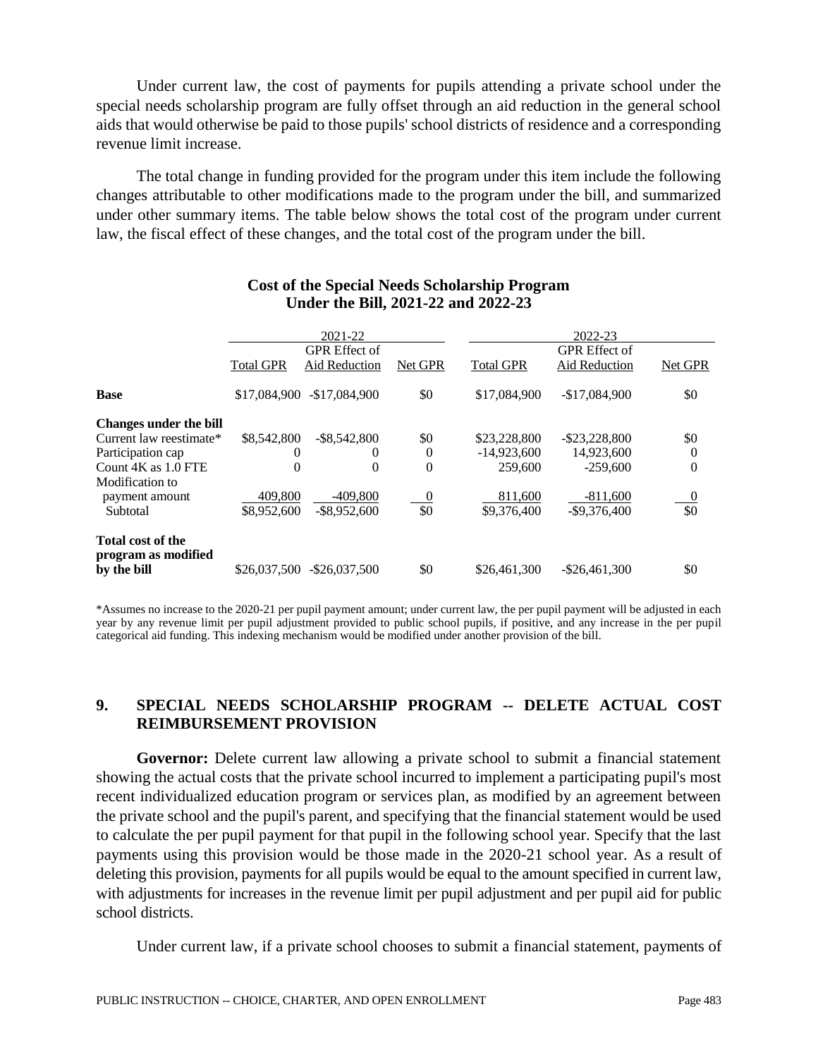Under current law, the cost of payments for pupils attending a private school under the special needs scholarship program are fully offset through an aid reduction in the general school aids that would otherwise be paid to those pupils' school districts of residence and a corresponding revenue limit increase.

The total change in funding provided for the program under this item include the following changes attributable to other modifications made to the program under the bill, and summarized under other summary items. The table below shows the total cost of the program under current law, the fiscal effect of these changes, and the total cost of the program under the bill.

|                                          |                  | 2021-22                               |                |                  | 2022-23                               |                  |
|------------------------------------------|------------------|---------------------------------------|----------------|------------------|---------------------------------------|------------------|
|                                          | <b>Total GPR</b> | <b>GPR</b> Effect of<br>Aid Reduction | Net GPR        | <b>Total GPR</b> | <b>GPR</b> Effect of<br>Aid Reduction | Net GPR          |
| <b>Base</b>                              | \$17,084,900     | $-$17,084,900$                        | \$0            | \$17,084,900     | $-$17,084,900$                        | \$0              |
| <b>Changes under the bill</b>            |                  |                                       |                |                  |                                       |                  |
| Current law reestimate*                  | \$8,542,800      | $-$ \$8,542,800                       | \$0            | \$23,228,800     | $-$ \$23,228,800                      | \$0              |
| Participation cap                        | 0                | $\theta$                              | $\theta$       | $-14,923,600$    | 14,923,600                            | $\boldsymbol{0}$ |
| Count 4K as 1.0 FTE                      | $\Omega$         | $\Omega$                              | $\theta$       | 259,600          | $-259,600$                            | $\overline{0}$   |
| Modification to                          |                  |                                       |                |                  |                                       |                  |
| payment amount                           | 409,800          | $-409.800$                            | $\overline{0}$ | 811.600          | $-811,600$                            | $\overline{0}$   |
| Subtotal                                 | \$8,952,600      | $-$ \$8,952,600                       | \$0            | \$9,376,400      | $-$9,376,400$                         | \$0              |
| Total cost of the<br>program as modified |                  |                                       |                |                  |                                       |                  |
| by the bill                              | \$26,037,500     | $-$ \$26,037,500                      | \$0            | \$26,461,300     | $-$ \$26,461,300                      | \$0              |

#### **Cost of the Special Needs Scholarship Program Under the Bill, 2021-22 and 2022-23**

\*Assumes no increase to the 2020-21 per pupil payment amount; under current law, the per pupil payment will be adjusted in each year by any revenue limit per pupil adjustment provided to public school pupils, if positive, and any increase in the per pupil categorical aid funding. This indexing mechanism would be modified under another provision of the bill.

## **9. SPECIAL NEEDS SCHOLARSHIP PROGRAM -- DELETE ACTUAL COST REIMBURSEMENT PROVISION**

**Governor:** Delete current law allowing a private school to submit a financial statement showing the actual costs that the private school incurred to implement a participating pupil's most recent individualized education program or services plan, as modified by an agreement between the private school and the pupil's parent, and specifying that the financial statement would be used to calculate the per pupil payment for that pupil in the following school year. Specify that the last payments using this provision would be those made in the 2020-21 school year. As a result of deleting this provision, payments for all pupils would be equal to the amount specified in current law, with adjustments for increases in the revenue limit per pupil adjustment and per pupil aid for public school districts.

Under current law, if a private school chooses to submit a financial statement, payments of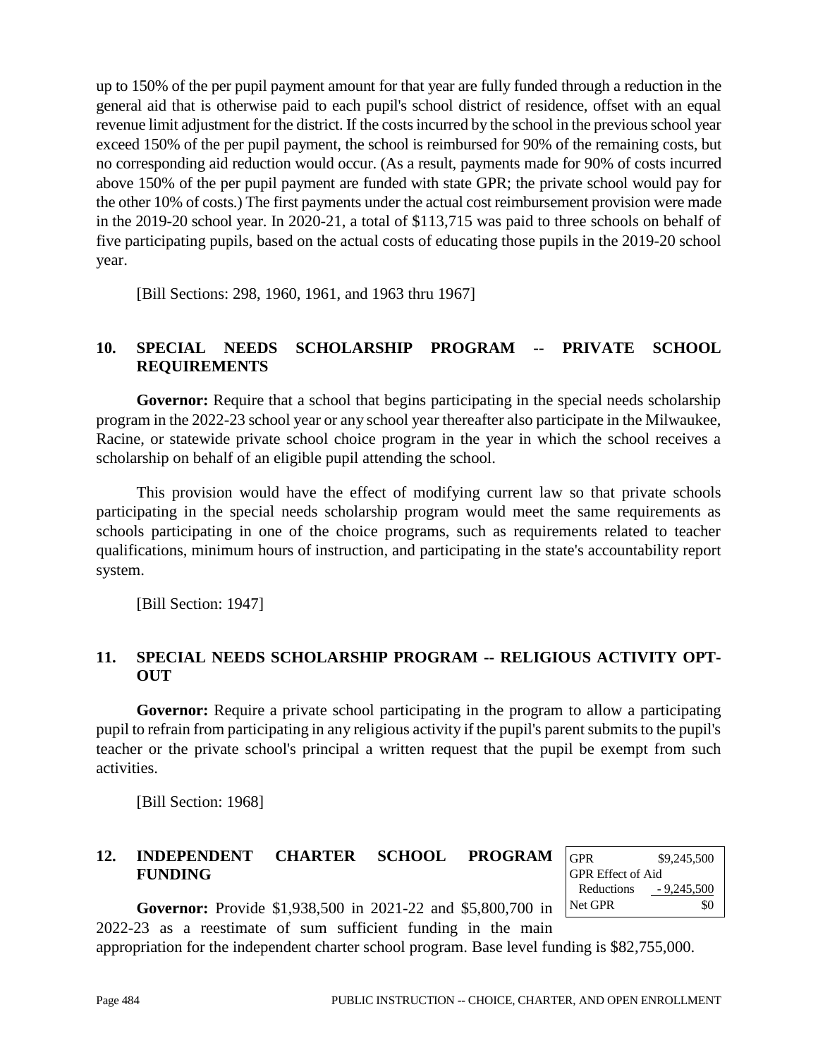up to 150% of the per pupil payment amount for that year are fully funded through a reduction in the general aid that is otherwise paid to each pupil's school district of residence, offset with an equal revenue limit adjustment for the district. If the costs incurred by the school in the previous school year exceed 150% of the per pupil payment, the school is reimbursed for 90% of the remaining costs, but no corresponding aid reduction would occur. (As a result, payments made for 90% of costs incurred above 150% of the per pupil payment are funded with state GPR; the private school would pay for the other 10% of costs.) The first payments under the actual cost reimbursement provision were made in the 2019-20 school year. In 2020-21, a total of \$113,715 was paid to three schools on behalf of five participating pupils, based on the actual costs of educating those pupils in the 2019-20 school year.

[Bill Sections: 298, 1960, 1961, and 1963 thru 1967]

## **10. SPECIAL NEEDS SCHOLARSHIP PROGRAM -- PRIVATE SCHOOL REQUIREMENTS**

Governor: Require that a school that begins participating in the special needs scholarship program in the 2022-23 school year or any school year thereafter also participate in the Milwaukee, Racine, or statewide private school choice program in the year in which the school receives a scholarship on behalf of an eligible pupil attending the school.

This provision would have the effect of modifying current law so that private schools participating in the special needs scholarship program would meet the same requirements as schools participating in one of the choice programs, such as requirements related to teacher qualifications, minimum hours of instruction, and participating in the state's accountability report system.

[Bill Section: 1947]

## **11. SPECIAL NEEDS SCHOLARSHIP PROGRAM -- RELIGIOUS ACTIVITY OPT-OUT**

**Governor:** Require a private school participating in the program to allow a participating pupil to refrain from participating in any religious activity if the pupil's parent submits to the pupil's teacher or the private school's principal a written request that the pupil be exempt from such activities.

[Bill Section: 1968]

## **12. INDEPENDENT CHARTER SCHOOL PROGRAM FUNDING**

| <b>GPR</b>               | \$9,245,500  |
|--------------------------|--------------|
| <b>GPR</b> Effect of Aid |              |
| Reductions               | $-9,245,500$ |
| Net GPR                  | \$0          |

**Governor:** Provide \$1,938,500 in 2021-22 and \$5,800,700 in 2022-23 as a reestimate of sum sufficient funding in the main

appropriation for the independent charter school program. Base level funding is \$82,755,000.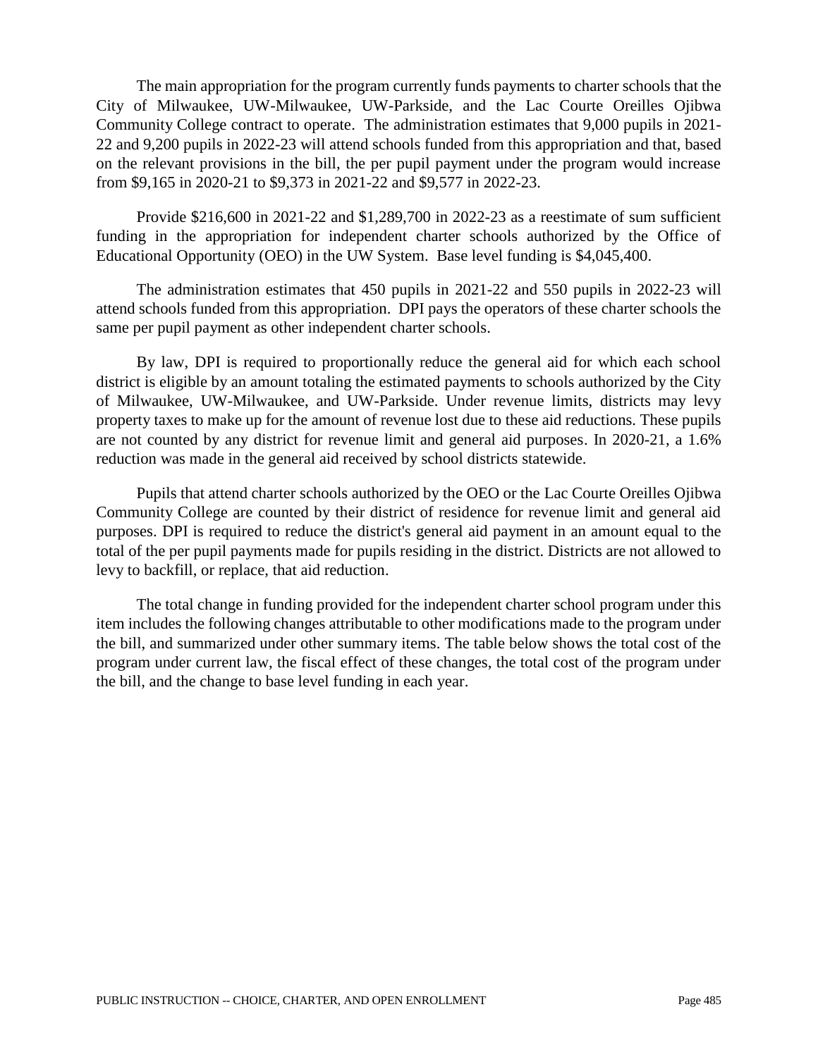The main appropriation for the program currently funds payments to charter schools that the City of Milwaukee, UW-Milwaukee, UW-Parkside, and the Lac Courte Oreilles Ojibwa Community College contract to operate. The administration estimates that 9,000 pupils in 2021- 22 and 9,200 pupils in 2022-23 will attend schools funded from this appropriation and that, based on the relevant provisions in the bill, the per pupil payment under the program would increase from \$9,165 in 2020-21 to \$9,373 in 2021-22 and \$9,577 in 2022-23.

Provide \$216,600 in 2021-22 and \$1,289,700 in 2022-23 as a reestimate of sum sufficient funding in the appropriation for independent charter schools authorized by the Office of Educational Opportunity (OEO) in the UW System. Base level funding is \$4,045,400.

The administration estimates that 450 pupils in 2021-22 and 550 pupils in 2022-23 will attend schools funded from this appropriation. DPI pays the operators of these charter schools the same per pupil payment as other independent charter schools.

By law, DPI is required to proportionally reduce the general aid for which each school district is eligible by an amount totaling the estimated payments to schools authorized by the City of Milwaukee, UW-Milwaukee, and UW-Parkside. Under revenue limits, districts may levy property taxes to make up for the amount of revenue lost due to these aid reductions. These pupils are not counted by any district for revenue limit and general aid purposes. In 2020-21, a 1.6% reduction was made in the general aid received by school districts statewide.

Pupils that attend charter schools authorized by the OEO or the Lac Courte Oreilles Ojibwa Community College are counted by their district of residence for revenue limit and general aid purposes. DPI is required to reduce the district's general aid payment in an amount equal to the total of the per pupil payments made for pupils residing in the district. Districts are not allowed to levy to backfill, or replace, that aid reduction.

The total change in funding provided for the independent charter school program under this item includes the following changes attributable to other modifications made to the program under the bill, and summarized under other summary items. The table below shows the total cost of the program under current law, the fiscal effect of these changes, the total cost of the program under the bill, and the change to base level funding in each year.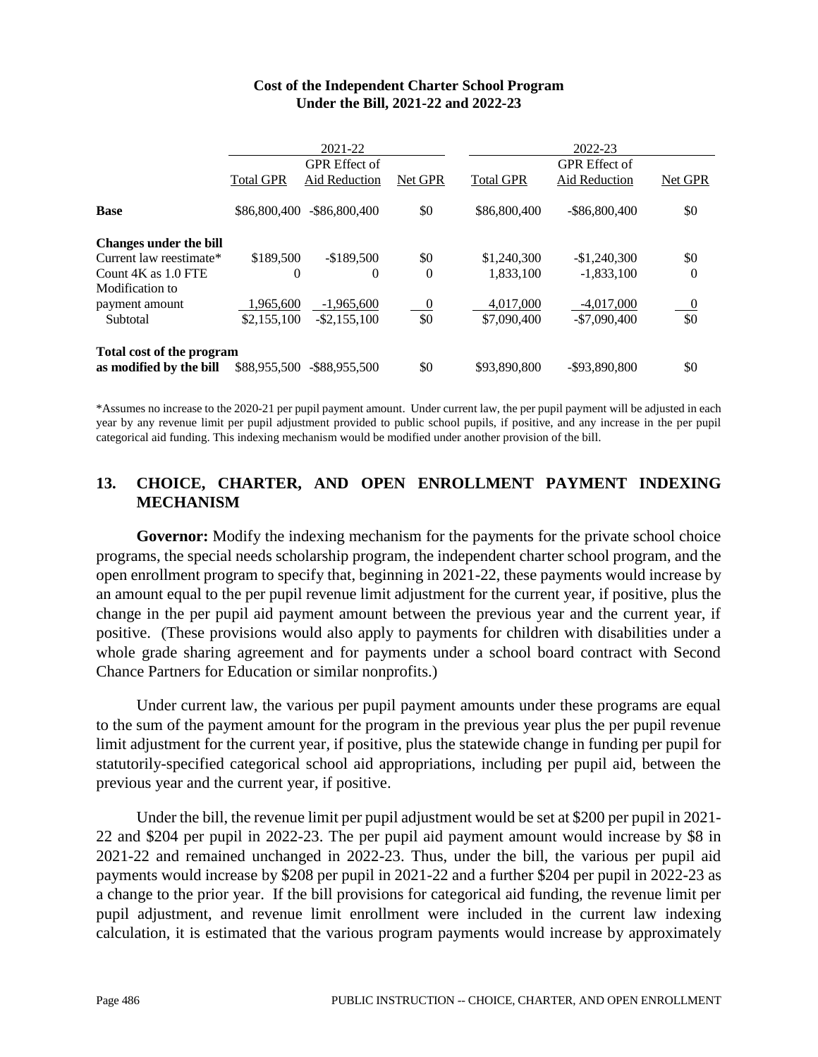|                                                      |                          | 2021-22                                      |                       |                          | 2022-23                               |                       |
|------------------------------------------------------|--------------------------|----------------------------------------------|-----------------------|--------------------------|---------------------------------------|-----------------------|
|                                                      | <b>Total GPR</b>         | <b>GPR</b> Effect of<br><b>Aid Reduction</b> | Net GPR               | <b>Total GPR</b>         | <b>GPR</b> Effect of<br>Aid Reduction | Net GPR               |
| <b>Base</b>                                          | \$86,800,400             | $-$ \$86,800,400                             | \$0                   | \$86,800,400             | $-$ \$86,800,400                      | \$0                   |
| <b>Changes under the bill</b>                        |                          |                                              |                       |                          |                                       |                       |
| Current law reestimate*                              | \$189,500                | $-$189.500$                                  | \$0                   | \$1,240,300              | $-$1,240,300$                         | \$0                   |
| Count 4K as 1.0 FTE                                  | 0                        | $\Omega$                                     | $\overline{0}$        | 1,833,100                | $-1,833,100$                          | $\theta$              |
| Modification to<br>payment amount<br>Subtotal        | 1,965,600<br>\$2,155,100 | $-1,965,600$<br>$-$ \$2,155,100              | $\overline{0}$<br>\$0 | 4,017,000<br>\$7,090,400 | $-4,017,000$<br>$-$7,090,400$         | $\overline{0}$<br>\$0 |
| Total cost of the program<br>as modified by the bill | \$88,955,500             | $-$ \$88,955,500                             | \$0                   | \$93,890,800             | -\$93,890,800                         | \$0                   |

#### **Cost of the Independent Charter School Program Under the Bill, 2021-22 and 2022-23**

\*Assumes no increase to the 2020-21 per pupil payment amount. Under current law, the per pupil payment will be adjusted in each year by any revenue limit per pupil adjustment provided to public school pupils, if positive, and any increase in the per pupil categorical aid funding. This indexing mechanism would be modified under another provision of the bill.

## **13. CHOICE, CHARTER, AND OPEN ENROLLMENT PAYMENT INDEXING MECHANISM**

**Governor:** Modify the indexing mechanism for the payments for the private school choice programs, the special needs scholarship program, the independent charter school program, and the open enrollment program to specify that, beginning in 2021-22, these payments would increase by an amount equal to the per pupil revenue limit adjustment for the current year, if positive, plus the change in the per pupil aid payment amount between the previous year and the current year, if positive. (These provisions would also apply to payments for children with disabilities under a whole grade sharing agreement and for payments under a school board contract with Second Chance Partners for Education or similar nonprofits.)

Under current law, the various per pupil payment amounts under these programs are equal to the sum of the payment amount for the program in the previous year plus the per pupil revenue limit adjustment for the current year, if positive, plus the statewide change in funding per pupil for statutorily-specified categorical school aid appropriations, including per pupil aid, between the previous year and the current year, if positive.

Under the bill, the revenue limit per pupil adjustment would be set at \$200 per pupil in 2021- 22 and \$204 per pupil in 2022-23. The per pupil aid payment amount would increase by \$8 in 2021-22 and remained unchanged in 2022-23. Thus, under the bill, the various per pupil aid payments would increase by \$208 per pupil in 2021-22 and a further \$204 per pupil in 2022-23 as a change to the prior year. If the bill provisions for categorical aid funding, the revenue limit per pupil adjustment, and revenue limit enrollment were included in the current law indexing calculation, it is estimated that the various program payments would increase by approximately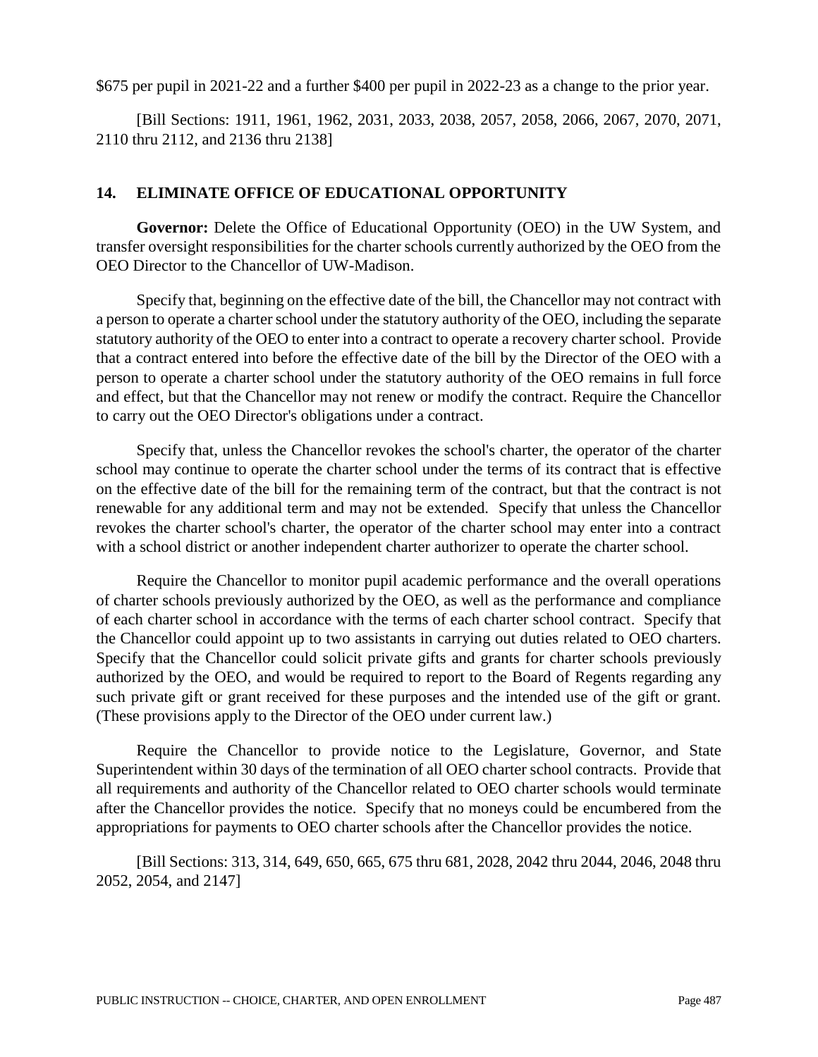\$675 per pupil in 2021-22 and a further \$400 per pupil in 2022-23 as a change to the prior year.

[Bill Sections: 1911, 1961, 1962, 2031, 2033, 2038, 2057, 2058, 2066, 2067, 2070, 2071, 2110 thru 2112, and 2136 thru 2138]

#### **14. ELIMINATE OFFICE OF EDUCATIONAL OPPORTUNITY**

**Governor:** Delete the Office of Educational Opportunity (OEO) in the UW System, and transfer oversight responsibilities for the charter schools currently authorized by the OEO from the OEO Director to the Chancellor of UW-Madison.

Specify that, beginning on the effective date of the bill, the Chancellor may not contract with a person to operate a charter school under the statutory authority of the OEO, including the separate statutory authority of the OEO to enter into a contract to operate a recovery charter school. Provide that a contract entered into before the effective date of the bill by the Director of the OEO with a person to operate a charter school under the statutory authority of the OEO remains in full force and effect, but that the Chancellor may not renew or modify the contract. Require the Chancellor to carry out the OEO Director's obligations under a contract.

Specify that, unless the Chancellor revokes the school's charter, the operator of the charter school may continue to operate the charter school under the terms of its contract that is effective on the effective date of the bill for the remaining term of the contract, but that the contract is not renewable for any additional term and may not be extended. Specify that unless the Chancellor revokes the charter school's charter, the operator of the charter school may enter into a contract with a school district or another independent charter authorizer to operate the charter school.

Require the Chancellor to monitor pupil academic performance and the overall operations of charter schools previously authorized by the OEO, as well as the performance and compliance of each charter school in accordance with the terms of each charter school contract. Specify that the Chancellor could appoint up to two assistants in carrying out duties related to OEO charters. Specify that the Chancellor could solicit private gifts and grants for charter schools previously authorized by the OEO, and would be required to report to the Board of Regents regarding any such private gift or grant received for these purposes and the intended use of the gift or grant. (These provisions apply to the Director of the OEO under current law.)

Require the Chancellor to provide notice to the Legislature, Governor, and State Superintendent within 30 days of the termination of all OEO charter school contracts. Provide that all requirements and authority of the Chancellor related to OEO charter schools would terminate after the Chancellor provides the notice. Specify that no moneys could be encumbered from the appropriations for payments to OEO charter schools after the Chancellor provides the notice.

[Bill Sections: 313, 314, 649, 650, 665, 675 thru 681, 2028, 2042 thru 2044, 2046, 2048 thru 2052, 2054, and 2147]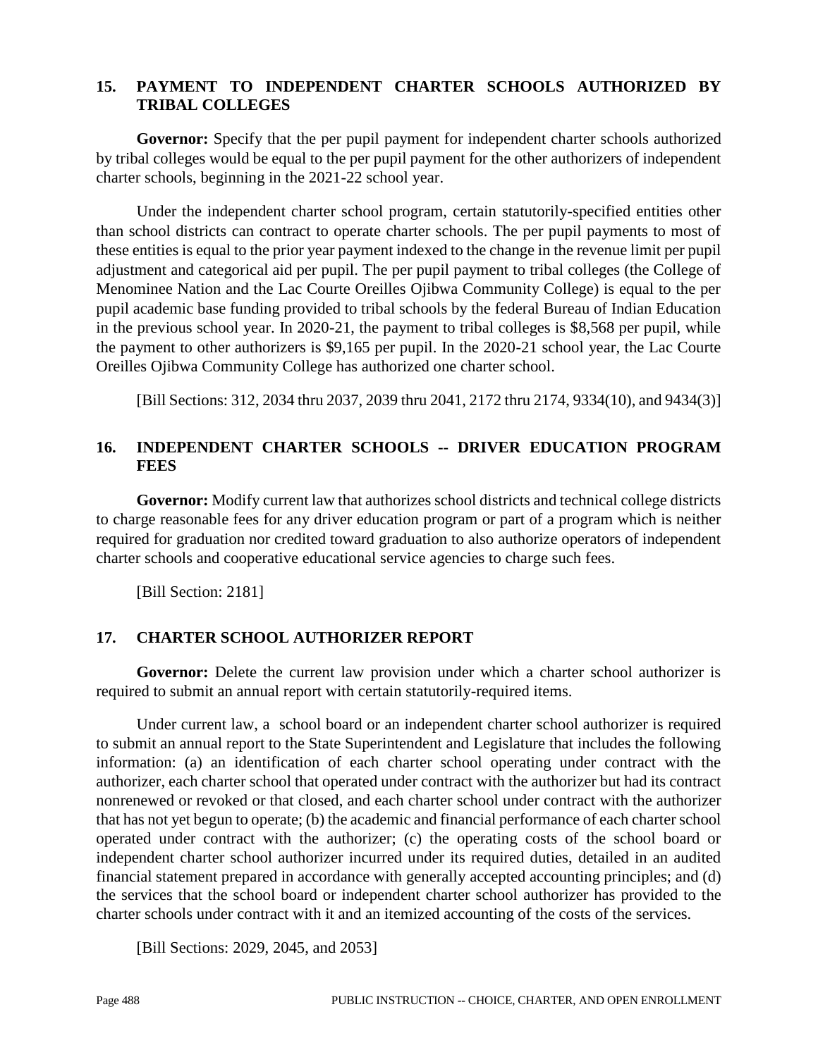#### **15. PAYMENT TO INDEPENDENT CHARTER SCHOOLS AUTHORIZED BY TRIBAL COLLEGES**

**Governor:** Specify that the per pupil payment for independent charter schools authorized by tribal colleges would be equal to the per pupil payment for the other authorizers of independent charter schools, beginning in the 2021-22 school year.

Under the independent charter school program, certain statutorily-specified entities other than school districts can contract to operate charter schools. The per pupil payments to most of these entities is equal to the prior year payment indexed to the change in the revenue limit per pupil adjustment and categorical aid per pupil. The per pupil payment to tribal colleges (the College of Menominee Nation and the Lac Courte Oreilles Ojibwa Community College) is equal to the per pupil academic base funding provided to tribal schools by the federal Bureau of Indian Education in the previous school year. In 2020-21, the payment to tribal colleges is \$8,568 per pupil, while the payment to other authorizers is \$9,165 per pupil. In the 2020-21 school year, the Lac Courte Oreilles Ojibwa Community College has authorized one charter school.

[Bill Sections: 312, 2034 thru 2037, 2039 thru 2041, 2172 thru 2174, 9334(10), and 9434(3)]

## **16. INDEPENDENT CHARTER SCHOOLS -- DRIVER EDUCATION PROGRAM FEES**

**Governor:** Modify current law that authorizes school districts and technical college districts to charge reasonable fees for any driver education program or part of a program which is neither required for graduation nor credited toward graduation to also authorize operators of independent charter schools and cooperative educational service agencies to charge such fees.

[Bill Section: 2181]

## **17. CHARTER SCHOOL AUTHORIZER REPORT**

**Governor:** Delete the current law provision under which a charter school authorizer is required to submit an annual report with certain statutorily-required items.

Under current law, a school board or an independent charter school authorizer is required to submit an annual report to the State Superintendent and Legislature that includes the following information: (a) an identification of each charter school operating under contract with the authorizer, each charter school that operated under contract with the authorizer but had its contract nonrenewed or revoked or that closed, and each charter school under contract with the authorizer that has not yet begun to operate; (b) the academic and financial performance of each charter school operated under contract with the authorizer; (c) the operating costs of the school board or independent charter school authorizer incurred under its required duties, detailed in an audited financial statement prepared in accordance with generally accepted accounting principles; and (d) the services that the school board or independent charter school authorizer has provided to the charter schools under contract with it and an itemized accounting of the costs of the services.

[Bill Sections: 2029, 2045, and 2053]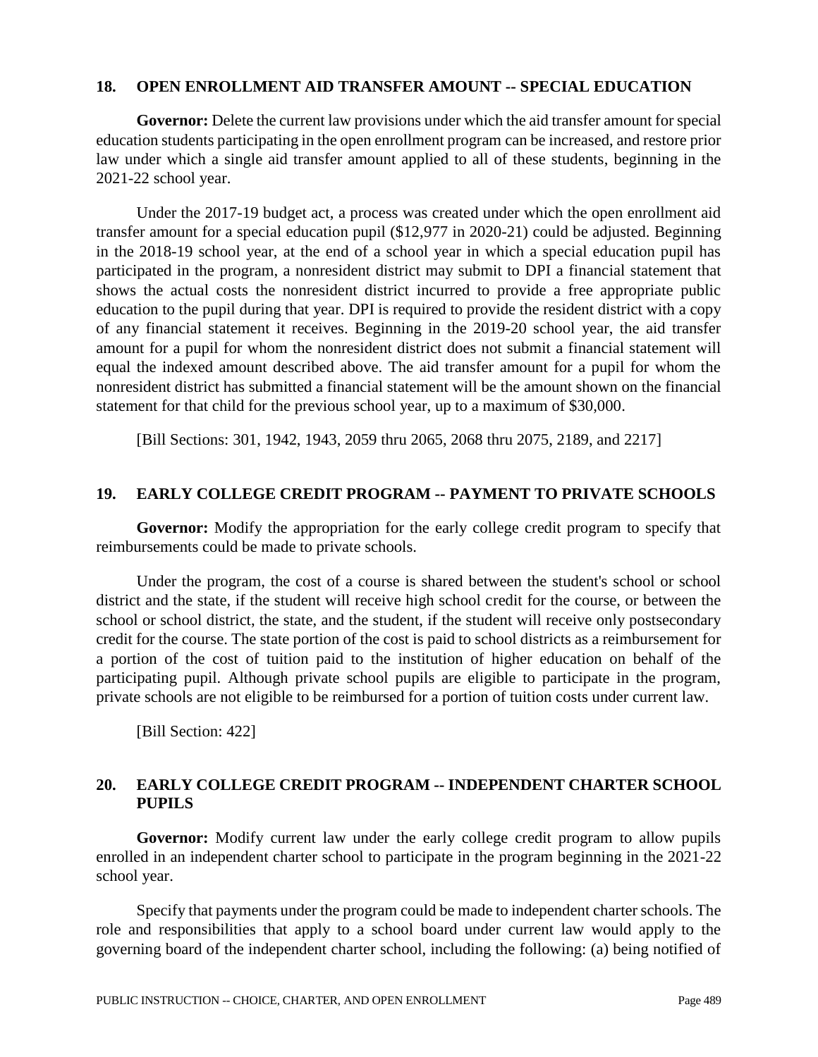#### **18. OPEN ENROLLMENT AID TRANSFER AMOUNT -- SPECIAL EDUCATION**

**Governor:** Delete the current law provisions under which the aid transfer amount for special education students participating in the open enrollment program can be increased, and restore prior law under which a single aid transfer amount applied to all of these students, beginning in the 2021-22 school year.

Under the 2017-19 budget act, a process was created under which the open enrollment aid transfer amount for a special education pupil (\$12,977 in 2020-21) could be adjusted. Beginning in the 2018-19 school year, at the end of a school year in which a special education pupil has participated in the program, a nonresident district may submit to DPI a financial statement that shows the actual costs the nonresident district incurred to provide a free appropriate public education to the pupil during that year. DPI is required to provide the resident district with a copy of any financial statement it receives. Beginning in the 2019-20 school year, the aid transfer amount for a pupil for whom the nonresident district does not submit a financial statement will equal the indexed amount described above. The aid transfer amount for a pupil for whom the nonresident district has submitted a financial statement will be the amount shown on the financial statement for that child for the previous school year, up to a maximum of \$30,000.

[Bill Sections: 301, 1942, 1943, 2059 thru 2065, 2068 thru 2075, 2189, and 2217]

#### **19. EARLY COLLEGE CREDIT PROGRAM -- PAYMENT TO PRIVATE SCHOOLS**

**Governor:** Modify the appropriation for the early college credit program to specify that reimbursements could be made to private schools.

Under the program, the cost of a course is shared between the student's school or school district and the state, if the student will receive high school credit for the course, or between the school or school district, the state, and the student, if the student will receive only postsecondary credit for the course. The state portion of the cost is paid to school districts as a reimbursement for a portion of the cost of tuition paid to the institution of higher education on behalf of the participating pupil. Although private school pupils are eligible to participate in the program, private schools are not eligible to be reimbursed for a portion of tuition costs under current law.

[Bill Section: 422]

## **20. EARLY COLLEGE CREDIT PROGRAM -- INDEPENDENT CHARTER SCHOOL PUPILS**

**Governor:** Modify current law under the early college credit program to allow pupils enrolled in an independent charter school to participate in the program beginning in the 2021-22 school year.

Specify that payments under the program could be made to independent charter schools. The role and responsibilities that apply to a school board under current law would apply to the governing board of the independent charter school, including the following: (a) being notified of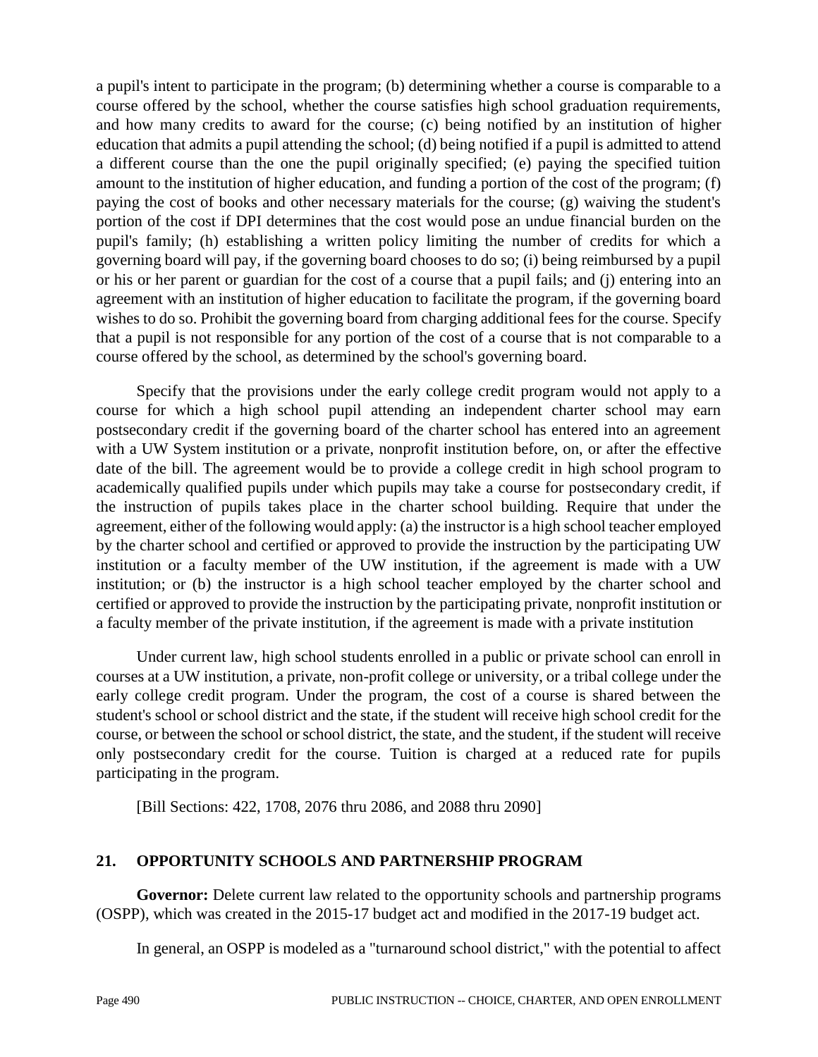a pupil's intent to participate in the program; (b) determining whether a course is comparable to a course offered by the school, whether the course satisfies high school graduation requirements, and how many credits to award for the course; (c) being notified by an institution of higher education that admits a pupil attending the school; (d) being notified if a pupil is admitted to attend a different course than the one the pupil originally specified; (e) paying the specified tuition amount to the institution of higher education, and funding a portion of the cost of the program; (f) paying the cost of books and other necessary materials for the course; (g) waiving the student's portion of the cost if DPI determines that the cost would pose an undue financial burden on the pupil's family; (h) establishing a written policy limiting the number of credits for which a governing board will pay, if the governing board chooses to do so; (i) being reimbursed by a pupil or his or her parent or guardian for the cost of a course that a pupil fails; and (j) entering into an agreement with an institution of higher education to facilitate the program, if the governing board wishes to do so. Prohibit the governing board from charging additional fees for the course. Specify that a pupil is not responsible for any portion of the cost of a course that is not comparable to a course offered by the school, as determined by the school's governing board.

Specify that the provisions under the early college credit program would not apply to a course for which a high school pupil attending an independent charter school may earn postsecondary credit if the governing board of the charter school has entered into an agreement with a UW System institution or a private, nonprofit institution before, on, or after the effective date of the bill. The agreement would be to provide a college credit in high school program to academically qualified pupils under which pupils may take a course for postsecondary credit, if the instruction of pupils takes place in the charter school building. Require that under the agreement, either of the following would apply: (a) the instructor is a high school teacher employed by the charter school and certified or approved to provide the instruction by the participating UW institution or a faculty member of the UW institution, if the agreement is made with a UW institution; or (b) the instructor is a high school teacher employed by the charter school and certified or approved to provide the instruction by the participating private, nonprofit institution or a faculty member of the private institution, if the agreement is made with a private institution

Under current law, high school students enrolled in a public or private school can enroll in courses at a UW institution, a private, non-profit college or university, or a tribal college under the early college credit program. Under the program, the cost of a course is shared between the student's school or school district and the state, if the student will receive high school credit for the course, or between the school or school district, the state, and the student, if the student will receive only postsecondary credit for the course. Tuition is charged at a reduced rate for pupils participating in the program.

[Bill Sections: 422, 1708, 2076 thru 2086, and 2088 thru 2090]

## **21. OPPORTUNITY SCHOOLS AND PARTNERSHIP PROGRAM**

Governor: Delete current law related to the opportunity schools and partnership programs (OSPP), which was created in the 2015-17 budget act and modified in the 2017-19 budget act.

In general, an OSPP is modeled as a "turnaround school district," with the potential to affect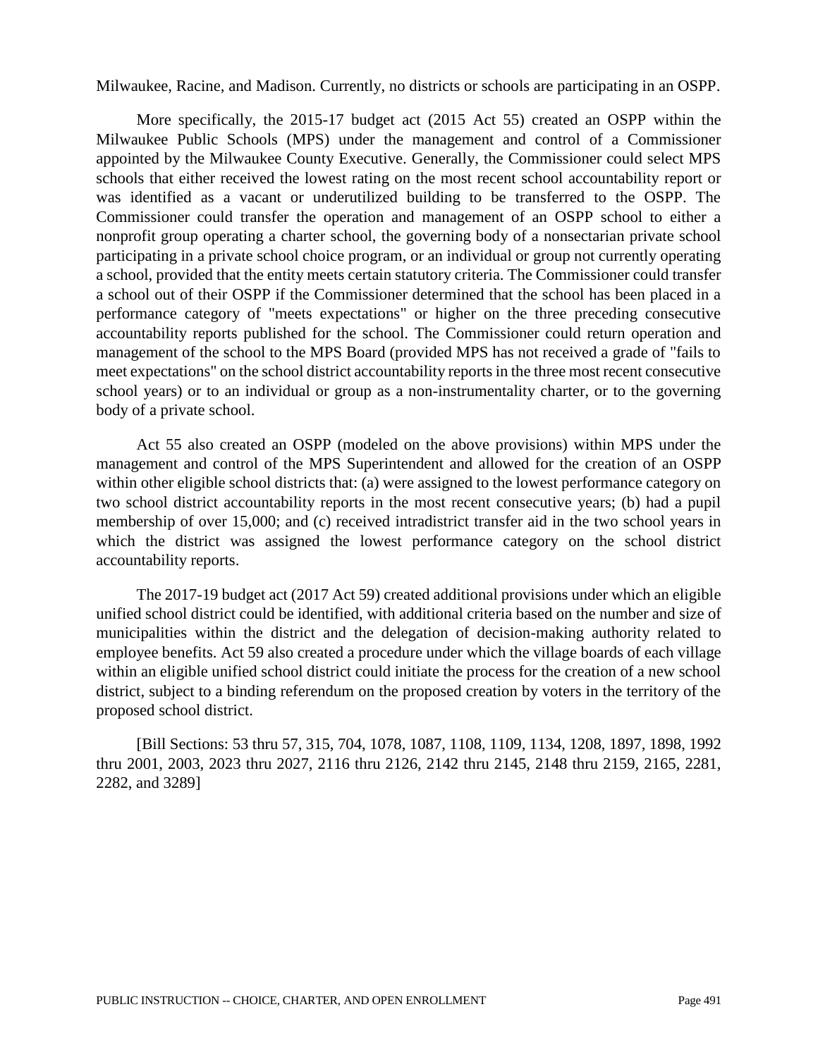Milwaukee, Racine, and Madison. Currently, no districts or schools are participating in an OSPP.

More specifically, the 2015-17 budget act (2015 Act 55) created an OSPP within the Milwaukee Public Schools (MPS) under the management and control of a Commissioner appointed by the Milwaukee County Executive. Generally, the Commissioner could select MPS schools that either received the lowest rating on the most recent school accountability report or was identified as a vacant or underutilized building to be transferred to the OSPP. The Commissioner could transfer the operation and management of an OSPP school to either a nonprofit group operating a charter school, the governing body of a nonsectarian private school participating in a private school choice program, or an individual or group not currently operating a school, provided that the entity meets certain statutory criteria. The Commissioner could transfer a school out of their OSPP if the Commissioner determined that the school has been placed in a performance category of "meets expectations" or higher on the three preceding consecutive accountability reports published for the school. The Commissioner could return operation and management of the school to the MPS Board (provided MPS has not received a grade of "fails to meet expectations" on the school district accountability reports in the three most recent consecutive school years) or to an individual or group as a non-instrumentality charter, or to the governing body of a private school.

Act 55 also created an OSPP (modeled on the above provisions) within MPS under the management and control of the MPS Superintendent and allowed for the creation of an OSPP within other eligible school districts that: (a) were assigned to the lowest performance category on two school district accountability reports in the most recent consecutive years; (b) had a pupil membership of over 15,000; and (c) received intradistrict transfer aid in the two school years in which the district was assigned the lowest performance category on the school district accountability reports.

The 2017-19 budget act (2017 Act 59) created additional provisions under which an eligible unified school district could be identified, with additional criteria based on the number and size of municipalities within the district and the delegation of decision-making authority related to employee benefits. Act 59 also created a procedure under which the village boards of each village within an eligible unified school district could initiate the process for the creation of a new school district, subject to a binding referendum on the proposed creation by voters in the territory of the proposed school district.

[Bill Sections: 53 thru 57, 315, 704, 1078, 1087, 1108, 1109, 1134, 1208, 1897, 1898, 1992 thru 2001, 2003, 2023 thru 2027, 2116 thru 2126, 2142 thru 2145, 2148 thru 2159, 2165, 2281, 2282, and 3289]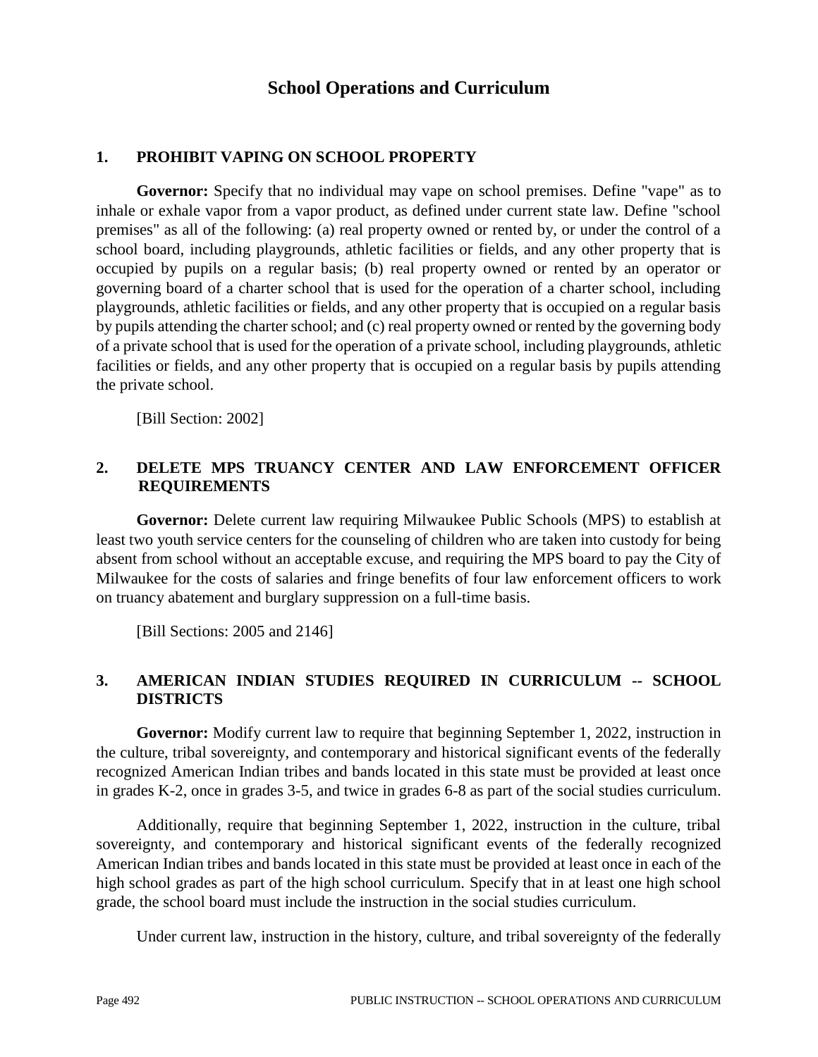## **School Operations and Curriculum**

## **1. PROHIBIT VAPING ON SCHOOL PROPERTY**

**Governor:** Specify that no individual may vape on school premises. Define "vape" as to inhale or exhale vapor from a vapor product, as defined under current state law. Define "school premises" as all of the following: (a) real property owned or rented by, or under the control of a school board, including playgrounds, athletic facilities or fields, and any other property that is occupied by pupils on a regular basis; (b) real property owned or rented by an operator or governing board of a charter school that is used for the operation of a charter school, including playgrounds, athletic facilities or fields, and any other property that is occupied on a regular basis by pupils attending the charter school; and (c) real property owned or rented by the governing body of a private school that is used for the operation of a private school, including playgrounds, athletic facilities or fields, and any other property that is occupied on a regular basis by pupils attending the private school.

[Bill Section: 2002]

#### **2. DELETE MPS TRUANCY CENTER AND LAW ENFORCEMENT OFFICER REQUIREMENTS**

**Governor:** Delete current law requiring Milwaukee Public Schools (MPS) to establish at least two youth service centers for the counseling of children who are taken into custody for being absent from school without an acceptable excuse, and requiring the MPS board to pay the City of Milwaukee for the costs of salaries and fringe benefits of four law enforcement officers to work on truancy abatement and burglary suppression on a full-time basis.

[Bill Sections: 2005 and 2146]

## **3. AMERICAN INDIAN STUDIES REQUIRED IN CURRICULUM -- SCHOOL DISTRICTS**

**Governor:** Modify current law to require that beginning September 1, 2022, instruction in the culture, tribal sovereignty, and contemporary and historical significant events of the federally recognized American Indian tribes and bands located in this state must be provided at least once in grades K-2, once in grades 3-5, and twice in grades 6-8 as part of the social studies curriculum.

Additionally, require that beginning September 1, 2022, instruction in the culture, tribal sovereignty, and contemporary and historical significant events of the federally recognized American Indian tribes and bands located in this state must be provided at least once in each of the high school grades as part of the high school curriculum. Specify that in at least one high school grade, the school board must include the instruction in the social studies curriculum.

Under current law, instruction in the history, culture, and tribal sovereignty of the federally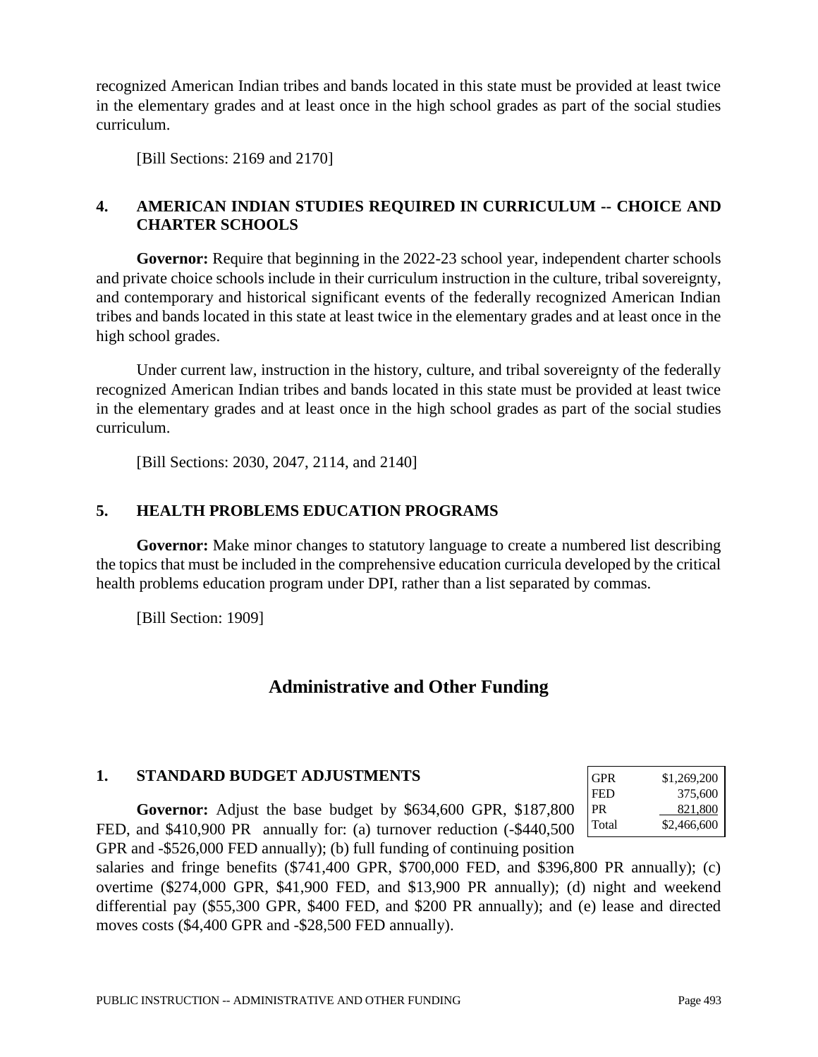recognized American Indian tribes and bands located in this state must be provided at least twice in the elementary grades and at least once in the high school grades as part of the social studies curriculum.

[Bill Sections: 2169 and 2170]

## **4. AMERICAN INDIAN STUDIES REQUIRED IN CURRICULUM -- CHOICE AND CHARTER SCHOOLS**

**Governor:** Require that beginning in the 2022-23 school year, independent charter schools and private choice schools include in their curriculum instruction in the culture, tribal sovereignty, and contemporary and historical significant events of the federally recognized American Indian tribes and bands located in this state at least twice in the elementary grades and at least once in the high school grades.

Under current law, instruction in the history, culture, and tribal sovereignty of the federally recognized American Indian tribes and bands located in this state must be provided at least twice in the elementary grades and at least once in the high school grades as part of the social studies curriculum.

[Bill Sections: 2030, 2047, 2114, and 2140]

## **5. HEALTH PROBLEMS EDUCATION PROGRAMS**

**Governor:** Make minor changes to statutory language to create a numbered list describing the topics that must be included in the comprehensive education curricula developed by the critical health problems education program under DPI, rather than a list separated by commas.

[Bill Section: 1909]

# **Administrative and Other Funding**

#### **1. STANDARD BUDGET ADJUSTMENTS**

**Governor:** Adjust the base budget by \$634,600 GPR, \$187,800 FED, and \$410,900 PR annually for: (a) turnover reduction (-\$440,500 GPR and -\$526,000 FED annually); (b) full funding of continuing position

| GPR   | \$1,269,200 |
|-------|-------------|
| FED   | 375,600     |
| PR    | 821.800     |
| Total | \$2,466,600 |

salaries and fringe benefits (\$741,400 GPR, \$700,000 FED, and \$396,800 PR annually); (c) overtime (\$274,000 GPR, \$41,900 FED, and \$13,900 PR annually); (d) night and weekend differential pay (\$55,300 GPR, \$400 FED, and \$200 PR annually); and (e) lease and directed moves costs (\$4,400 GPR and -\$28,500 FED annually).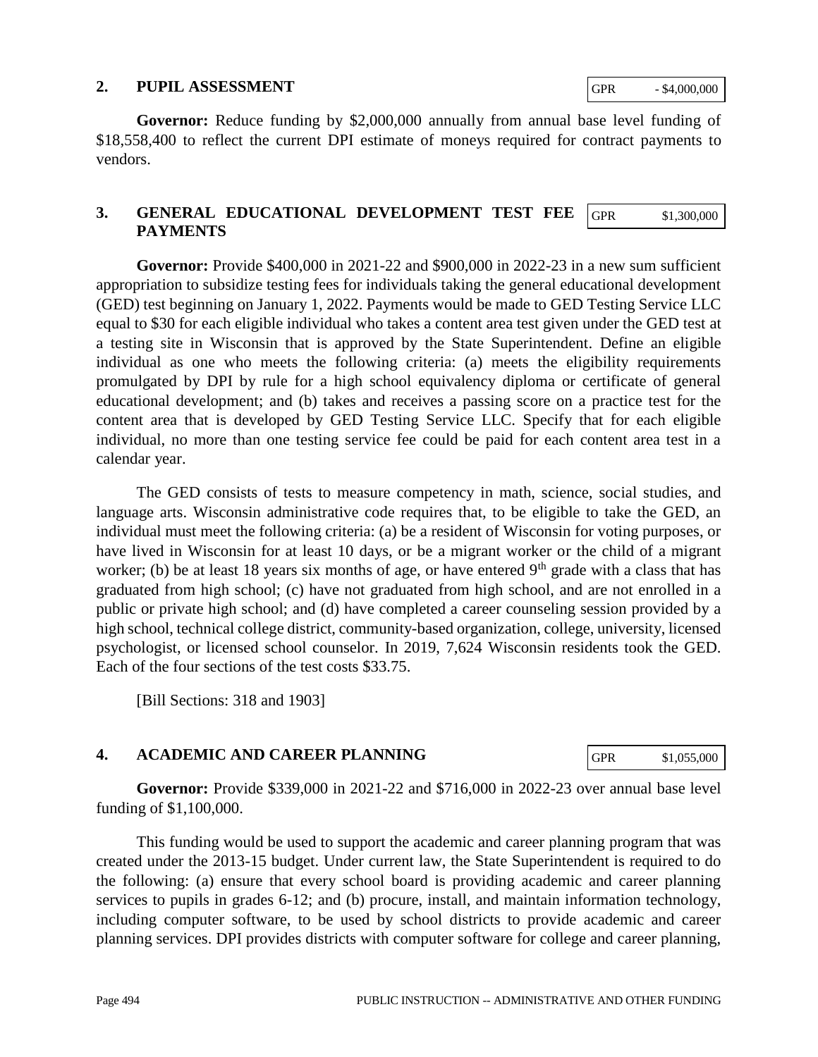#### **2. PUPIL ASSESSMENT**

**Governor:** Reduce funding by \$2,000,000 annually from annual base level funding of \$18,558,400 to reflect the current DPI estimate of moneys required for contract payments to vendors.

#### **3. GENERAL EDUCATIONAL DEVELOPMENT TEST FEE PAYMENTS** GPR \$1,300,000

**Governor:** Provide \$400,000 in 2021-22 and \$900,000 in 2022-23 in a new sum sufficient appropriation to subsidize testing fees for individuals taking the general educational development (GED) test beginning on January 1, 2022. Payments would be made to GED Testing Service LLC equal to \$30 for each eligible individual who takes a content area test given under the GED test at a testing site in Wisconsin that is approved by the State Superintendent. Define an eligible individual as one who meets the following criteria: (a) meets the eligibility requirements promulgated by DPI by rule for a high school equivalency diploma or certificate of general educational development; and (b) takes and receives a passing score on a practice test for the content area that is developed by GED Testing Service LLC. Specify that for each eligible individual, no more than one testing service fee could be paid for each content area test in a calendar year.

The GED consists of tests to measure competency in math, science, social studies, and language arts. Wisconsin administrative code requires that, to be eligible to take the GED, an individual must meet the following criteria: (a) be a resident of Wisconsin for voting purposes, or have lived in Wisconsin for at least 10 days, or be a migrant worker or the child of a migrant worker; (b) be at least 18 years six months of age, or have entered  $9<sup>th</sup>$  grade with a class that has graduated from high school; (c) have not graduated from high school, and are not enrolled in a public or private high school; and (d) have completed a career counseling session provided by a high school, technical college district, community-based organization, college, university, licensed psychologist, or licensed school counselor. In 2019, 7,624 Wisconsin residents took the GED. Each of the four sections of the test costs \$33.75.

[Bill Sections: 318 and 1903]

## **4. ACADEMIC AND CAREER PLANNING**

**Governor:** Provide \$339,000 in 2021-22 and \$716,000 in 2022-23 over annual base level funding of \$1,100,000.

This funding would be used to support the academic and career planning program that was created under the 2013-15 budget. Under current law, the State Superintendent is required to do the following: (a) ensure that every school board is providing academic and career planning services to pupils in grades 6-12; and (b) procure, install, and maintain information technology, including computer software, to be used by school districts to provide academic and career planning services. DPI provides districts with computer software for college and career planning,

GPR  $-$  \$4,000,000

GPR \$1,055,000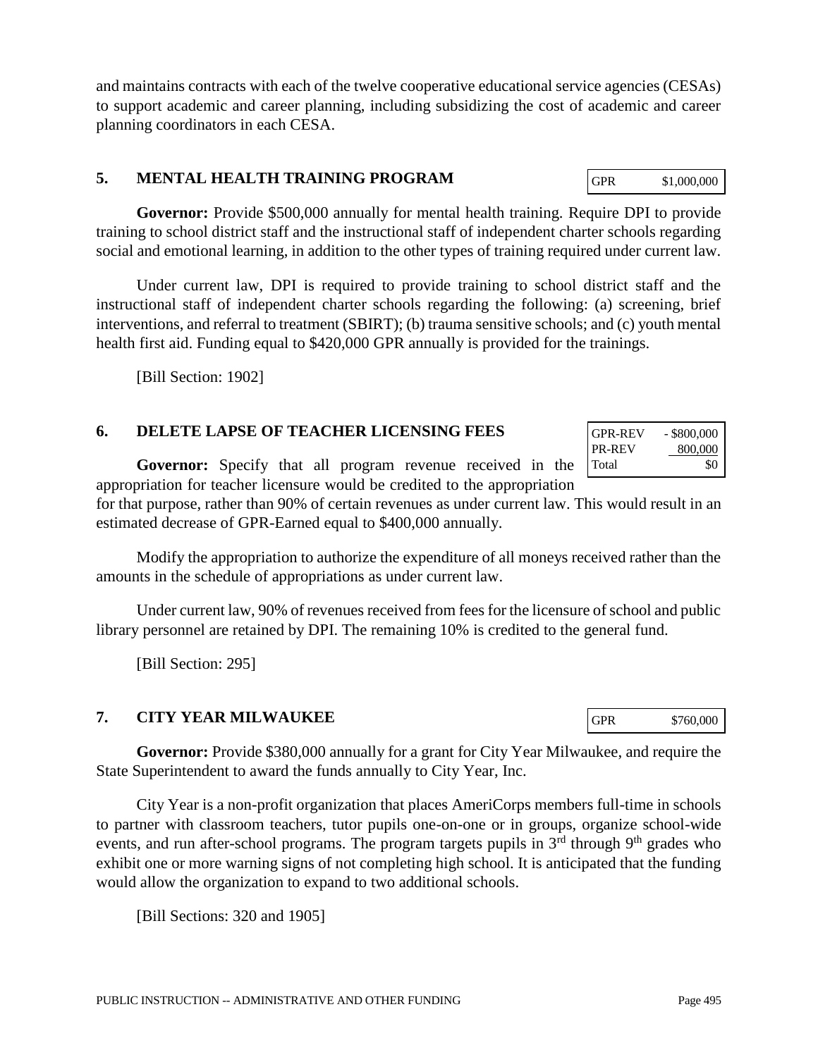and maintains contracts with each of the twelve cooperative educational service agencies (CESAs) to support academic and career planning, including subsidizing the cost of academic and career planning coordinators in each CESA.

## **5. MENTAL HEALTH TRAINING PROGRAM**

**Governor:** Provide \$500,000 annually for mental health training. Require DPI to provide training to school district staff and the instructional staff of independent charter schools regarding social and emotional learning, in addition to the other types of training required under current law.

Under current law, DPI is required to provide training to school district staff and the instructional staff of independent charter schools regarding the following: (a) screening, brief interventions, and referral to treatment (SBIRT); (b) trauma sensitive schools; and (c) youth mental health first aid. Funding equal to \$420,000 GPR annually is provided for the trainings.

[Bill Section: 1902]

## **6. DELETE LAPSE OF TEACHER LICENSING FEES**

**Governor:** Specify that all program revenue received in the appropriation for teacher licensure would be credited to the appropriation

for that purpose, rather than 90% of certain revenues as under current law. This would result in an estimated decrease of GPR-Earned equal to \$400,000 annually.

Modify the appropriation to authorize the expenditure of all moneys received rather than the amounts in the schedule of appropriations as under current law.

Under current law, 90% of revenues received from fees for the licensure of school and public library personnel are retained by DPI. The remaining 10% is credited to the general fund.

[Bill Section: 295]

#### **7. CITY YEAR MILWAUKEE**

**Governor:** Provide \$380,000 annually for a grant for City Year Milwaukee, and require the State Superintendent to award the funds annually to City Year, Inc.

City Year is a non-profit organization that places AmeriCorps members full-time in schools to partner with classroom teachers, tutor pupils one-on-one or in groups, organize school-wide events, and run after-school programs. The program targets pupils in  $3<sup>rd</sup>$  through  $9<sup>th</sup>$  grades who exhibit one or more warning signs of not completing high school. It is anticipated that the funding would allow the organization to expand to two additional schools.

[Bill Sections: 320 and 1905]

| .             | -------- |
|---------------|----------|
| <b>PR-REV</b> | 800,000  |
| Total         | \$0      |
|               |          |

GPR-REV - \$800,000

GPR \$760,000

GPR \$1,000,000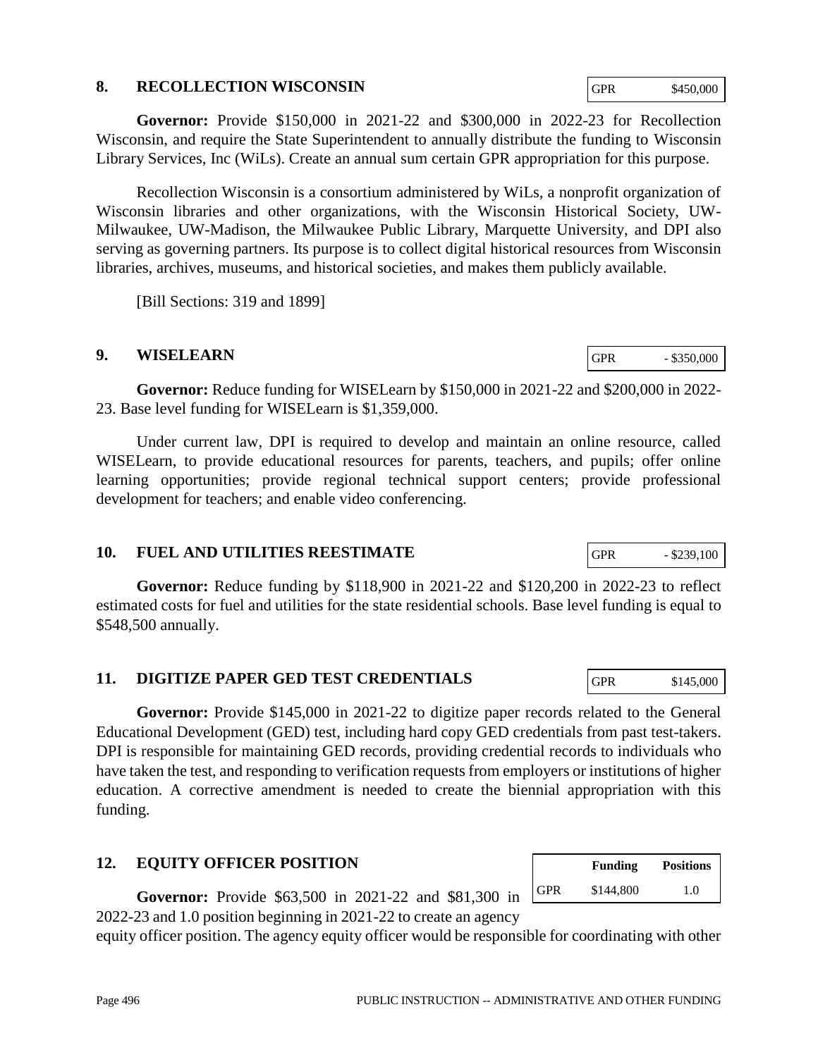#### **8. RECOLLECTION WISCONSIN**

**Governor:** Provide \$150,000 in 2021-22 and \$300,000 in 2022-23 for Recollection Wisconsin, and require the State Superintendent to annually distribute the funding to Wisconsin Library Services, Inc (WiLs). Create an annual sum certain GPR appropriation for this purpose.

Recollection Wisconsin is a consortium administered by WiLs, a nonprofit organization of Wisconsin libraries and other organizations, with the Wisconsin Historical Society, UW-Milwaukee, UW-Madison, the Milwaukee Public Library, Marquette University, and DPI also serving as governing partners. Its purpose is to collect digital historical resources from Wisconsin libraries, archives, museums, and historical societies, and makes them publicly available.

[Bill Sections: 319 and 1899]

## **9. WISELEARN**

**Governor:** Reduce funding for WISELearn by \$150,000 in 2021-22 and \$200,000 in 2022- 23. Base level funding for WISELearn is \$1,359,000.

Under current law, DPI is required to develop and maintain an online resource, called WISELearn, to provide educational resources for parents, teachers, and pupils; offer online learning opportunities; provide regional technical support centers; provide professional development for teachers; and enable video conferencing.

#### **10. FUEL AND UTILITIES REESTIMATE**

**Governor:** Reduce funding by \$118,900 in 2021-22 and \$120,200 in 2022-23 to reflect estimated costs for fuel and utilities for the state residential schools. Base level funding is equal to \$548,500 annually.

## **11. DIGITIZE PAPER GED TEST CREDENTIALS**

**Governor:** Provide \$145,000 in 2021-22 to digitize paper records related to the General Educational Development (GED) test, including hard copy GED credentials from past test-takers. DPI is responsible for maintaining GED records, providing credential records to individuals who have taken the test, and responding to verification requests from employers or institutions of higher education. A corrective amendment is needed to create the biennial appropriation with this funding.

## **12. EQUITY OFFICER POSITION**

**Governor:** Provide \$63,500 in 2021-22 and \$81,300 in 2022-23 and 1.0 position beginning in 2021-22 to create an agency

equity officer position. The agency equity officer would be responsible for coordinating with other

|     | <b>Funding</b> | <b>Positions</b> |
|-----|----------------|------------------|
| GPR | \$144,800      | 1.0              |

GPR - \$239,100

GPR \$145,000

GPR - \$350,000

GPR \$450,000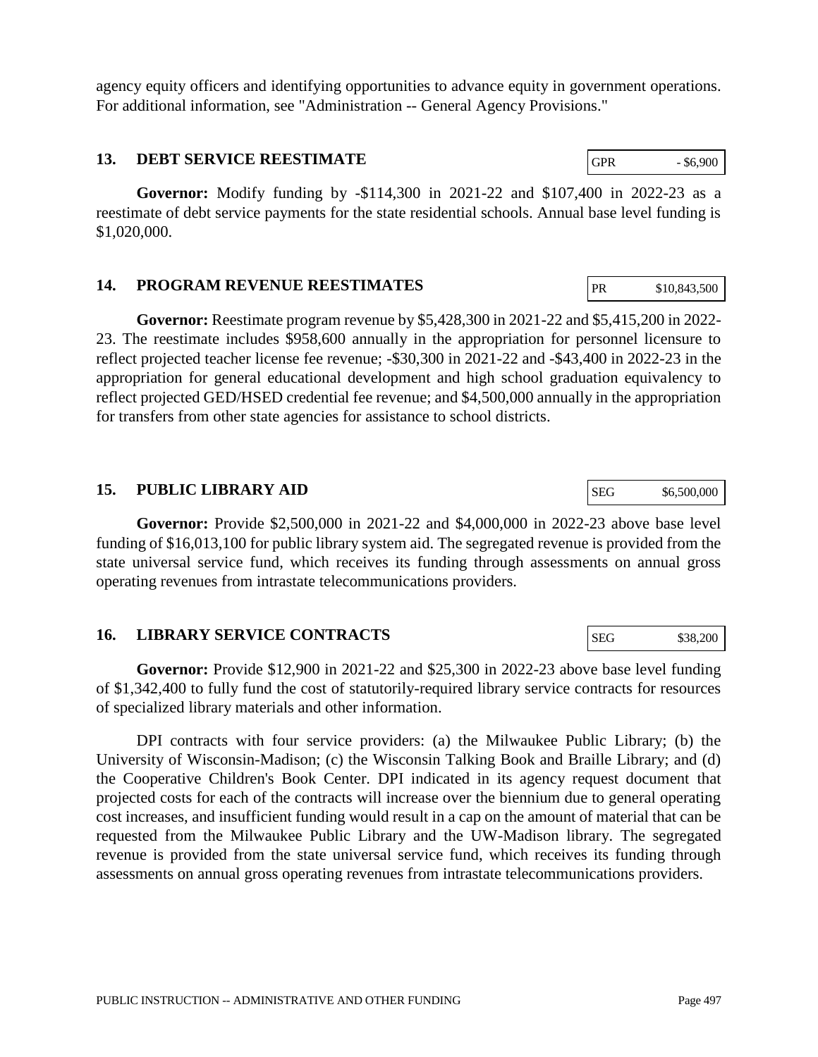agency equity officers and identifying opportunities to advance equity in government operations. For additional information, see "Administration -- General Agency Provisions."

#### **13. DEBT SERVICE REESTIMATE**

**Governor:** Modify funding by -\$114,300 in 2021-22 and \$107,400 in 2022-23 as a reestimate of debt service payments for the state residential schools. Annual base level funding is \$1,020,000.

#### **14. PROGRAM REVENUE REESTIMATES**

**Governor:** Reestimate program revenue by \$5,428,300 in 2021-22 and \$5,415,200 in 2022- 23. The reestimate includes \$958,600 annually in the appropriation for personnel licensure to reflect projected teacher license fee revenue; -\$30,300 in 2021-22 and -\$43,400 in 2022-23 in the appropriation for general educational development and high school graduation equivalency to reflect projected GED/HSED credential fee revenue; and \$4,500,000 annually in the appropriation for transfers from other state agencies for assistance to school districts.

#### **15. PUBLIC LIBRARY AID**

**Governor:** Provide \$2,500,000 in 2021-22 and \$4,000,000 in 2022-23 above base level funding of \$16,013,100 for public library system aid. The segregated revenue is provided from the state universal service fund, which receives its funding through assessments on annual gross operating revenues from intrastate telecommunications providers.

#### **16. LIBRARY SERVICE CONTRACTS**

**Governor:** Provide \$12,900 in 2021-22 and \$25,300 in 2022-23 above base level funding of \$1,342,400 to fully fund the cost of statutorily-required library service contracts for resources of specialized library materials and other information.

DPI contracts with four service providers: (a) the Milwaukee Public Library; (b) the University of Wisconsin-Madison; (c) the Wisconsin Talking Book and Braille Library; and (d) the Cooperative Children's Book Center. DPI indicated in its agency request document that projected costs for each of the contracts will increase over the biennium due to general operating cost increases, and insufficient funding would result in a cap on the amount of material that can be requested from the Milwaukee Public Library and the UW-Madison library. The segregated revenue is provided from the state universal service fund, which receives its funding through assessments on annual gross operating revenues from intrastate telecommunications providers.

SEG \$38,200

SEG \$6,500,000

PR \$10,843,500

GPR - \$6,900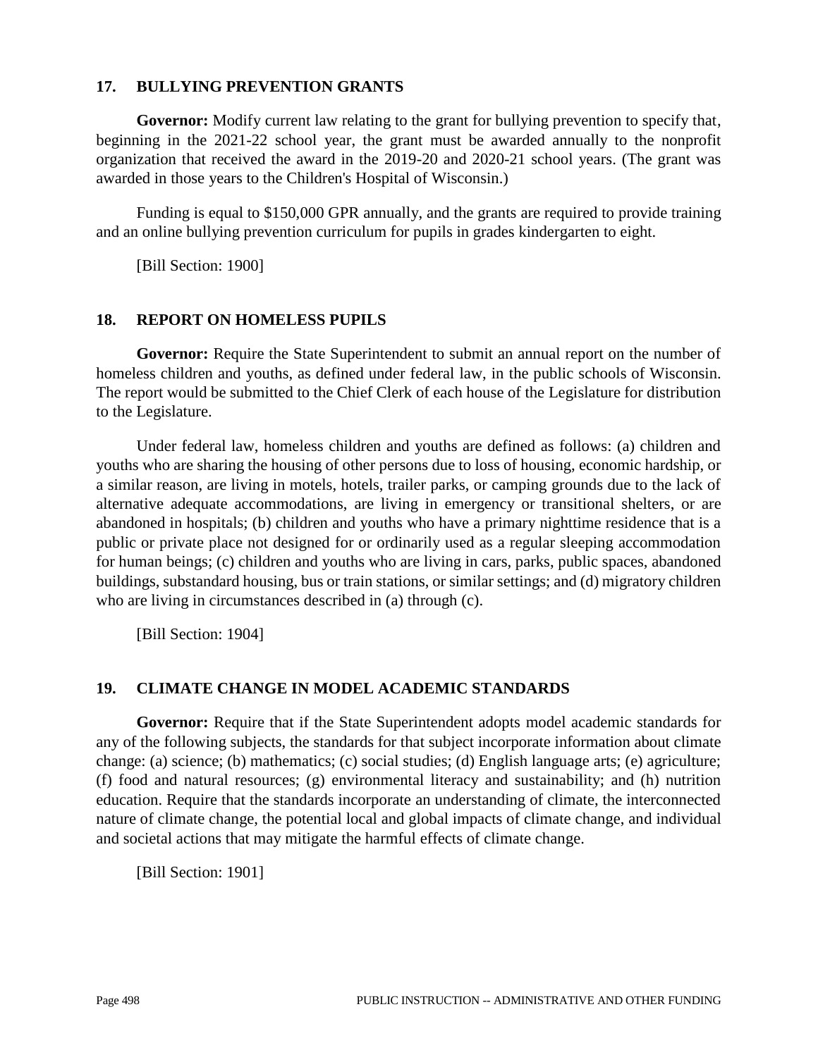#### **17. BULLYING PREVENTION GRANTS**

**Governor:** Modify current law relating to the grant for bullying prevention to specify that, beginning in the 2021-22 school year, the grant must be awarded annually to the nonprofit organization that received the award in the 2019-20 and 2020-21 school years. (The grant was awarded in those years to the Children's Hospital of Wisconsin.)

Funding is equal to \$150,000 GPR annually, and the grants are required to provide training and an online bullying prevention curriculum for pupils in grades kindergarten to eight.

[Bill Section: 1900]

#### **18. REPORT ON HOMELESS PUPILS**

**Governor:** Require the State Superintendent to submit an annual report on the number of homeless children and youths, as defined under federal law, in the public schools of Wisconsin. The report would be submitted to the Chief Clerk of each house of the Legislature for distribution to the Legislature.

Under federal law, homeless children and youths are defined as follows: (a) children and youths who are sharing the housing of other persons due to loss of housing, economic hardship, or a similar reason, are living in motels, hotels, trailer parks, or camping grounds due to the lack of alternative adequate accommodations, are living in emergency or transitional shelters, or are abandoned in hospitals; (b) children and youths who have a primary nighttime residence that is a public or private place not designed for or ordinarily used as a regular sleeping accommodation for human beings; (c) children and youths who are living in cars, parks, public spaces, abandoned buildings, substandard housing, bus or train stations, or similar settings; and (d) migratory children who are living in circumstances described in (a) through (c).

[Bill Section: 1904]

## **19. CLIMATE CHANGE IN MODEL ACADEMIC STANDARDS**

**Governor:** Require that if the State Superintendent adopts model academic standards for any of the following subjects, the standards for that subject incorporate information about climate change: (a) science; (b) mathematics; (c) social studies; (d) English language arts; (e) agriculture; (f) food and natural resources; (g) environmental literacy and sustainability; and (h) nutrition education. Require that the standards incorporate an understanding of climate, the interconnected nature of climate change, the potential local and global impacts of climate change, and individual and societal actions that may mitigate the harmful effects of climate change.

[Bill Section: 1901]